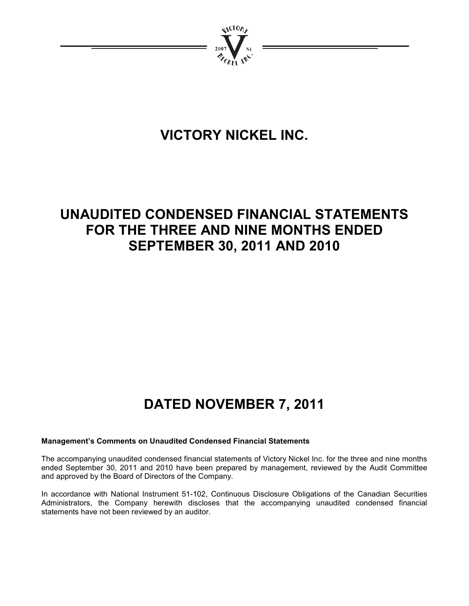

# **VICTORY NICKEL INC.**

# **UNAUDITED CONDENSED FINANCIAL STATEMENTS FOR THE THREE AND NINE MONTHS ENDED SEPTEMBER 30, 2011 AND 2010**

# **DATED NOVEMBER 7, 2011**

# **Management's Comments on Unaudited Condensed Financial Statements**

The accompanying unaudited condensed financial statements of Victory Nickel Inc. for the three and nine months ended September 30, 2011 and 2010 have been prepared by management, reviewed by the Audit Committee and approved by the Board of Directors of the Company.

In accordance with National Instrument 51-102, Continuous Disclosure Obligations of the Canadian Securities Administrators, the Company herewith discloses that the accompanying unaudited condensed financial statements have not been reviewed by an auditor.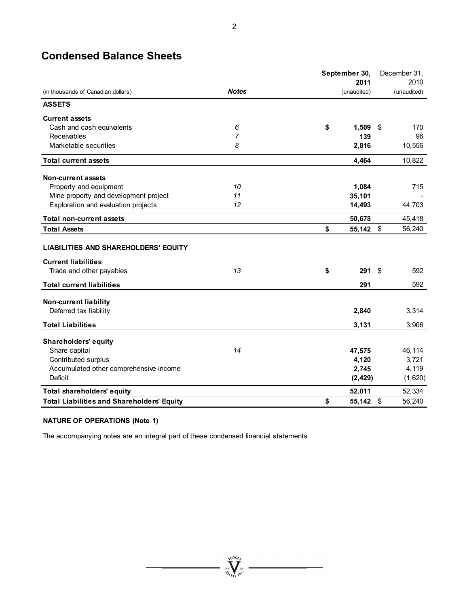# **Condensed Balance Sheets**

|                                                   |              | September 30, |           |     | December 31, |
|---------------------------------------------------|--------------|---------------|-----------|-----|--------------|
|                                                   |              |               | 2011      |     | 2010         |
| (in thousands of Canadian dollars)                | <b>Notes</b> | (unaudited)   |           |     | (unaudited)  |
| <b>ASSETS</b>                                     |              |               |           |     |              |
| <b>Current assets</b>                             |              |               |           |     |              |
| Cash and cash equivalents                         | 6            | \$            | 1,509     | -\$ | 170          |
| Receivables                                       | 7            |               | 139       |     | 96           |
| Marketable securities                             | 8            |               | 2,816     |     | 10,556       |
| <b>Total current assets</b>                       |              |               | 4,464     |     | 10,822       |
| <b>Non-current assets</b>                         |              |               |           |     |              |
| Property and equipment                            | 10           |               | 1,084     |     | 715          |
| Mine property and development project             | 11           |               | 35,101    |     |              |
| Exploration and evaluation projects               | 12           |               | 14,493    |     | 44,703       |
| <b>Total non-current assets</b>                   |              |               | 50,678    |     | 45,418       |
| <b>Total Assets</b>                               |              | \$            | 55,142 \$ |     | 56,240       |
| <b>LIABILITIES AND SHAREHOLDERS' EQUITY</b>       |              |               |           |     |              |
| <b>Current liabilities</b>                        |              |               |           |     |              |
| Trade and other payables                          | 13           | \$            | 291       | \$  | 592          |
| <b>Total current liabilities</b>                  |              |               | 291       |     | 592          |
| <b>Non-current liability</b>                      |              |               |           |     |              |
| Deferred tax liability                            |              |               | 2,840     |     | 3,314        |
| <b>Total Liabilities</b>                          |              |               | 3,131     |     | 3,906        |
| <b>Shareholders' equity</b>                       |              |               |           |     |              |
| Share capital                                     | 14           |               | 47,575    |     | 46,114       |
| Contributed surplus                               |              |               | 4,120     |     | 3,721        |
| Accumulated other comprehensive income            |              |               | 2,745     |     | 4,119        |
| <b>Deficit</b>                                    |              |               | (2, 429)  |     | (1,620)      |
| Total shareholders' equity                        |              |               | 52,011    |     | 52.334       |
| <b>Total Liabilities and Shareholders' Equity</b> |              | \$            | 55,142 \$ |     | 56,240       |

 $\sum_{\substack{\mathbf{2007}}\\ \mathbf{201}} \sum_{\mathbf{N} \in \mathcal{N}^{\mathrm{N}}} \mathbf{N}^{\mathrm{N}}$ 

# **NATURE OF OPERATIONS (Note 1)**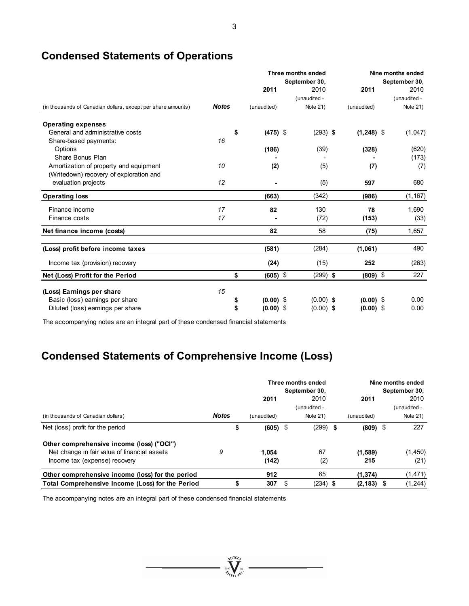|                                                              |              |    |             | Three months ended<br>September 30, | Nine months ended |              | September 30, |              |
|--------------------------------------------------------------|--------------|----|-------------|-------------------------------------|-------------------|--------------|---------------|--------------|
|                                                              |              |    | 2011        | 2010                                |                   | 2011         |               | 2010         |
|                                                              |              |    |             | (unaudited -                        |                   |              |               | (unaudited - |
| (in thousands of Canadian dollars, except per share amounts) | <b>Notes</b> |    | (unaudited) | Note 21)                            |                   | (unaudited)  |               | Note 21)     |
| <b>Operating expenses</b>                                    |              |    |             |                                     |                   |              |               |              |
| General and administrative costs                             |              | \$ | $(475)$ \$  | $(293)$ \$                          |                   | $(1,248)$ \$ |               | (1,047)      |
| Share-based payments:                                        | 16           |    |             |                                     |                   |              |               |              |
| Options                                                      |              |    | (186)       | (39)                                |                   | (328)        |               | (620)        |
| Share Bonus Plan                                             |              |    |             |                                     |                   |              |               | (173)        |
| Amortization of property and equipment                       | 10           |    | (2)         | (5)                                 |                   | (7)          |               | (7)          |
| (Writedown) recovery of exploration and                      |              |    |             |                                     |                   |              |               |              |
| evaluation projects                                          | 12           |    |             | (5)                                 |                   | 597          |               | 680          |
| <b>Operating loss</b>                                        |              |    | (663)       | (342)                               |                   | (986)        |               | (1, 167)     |
| Finance income                                               | 17           |    | 82          | 130                                 |                   | 78           |               | 1.690        |
| Finance costs                                                | 17           |    |             | (72)                                |                   | (153)        |               | (33)         |
| Net finance income (costs)                                   |              |    | 82          | 58                                  |                   | (75)         |               | 1,657        |
| (Loss) profit before income taxes                            |              |    | (581)       | (284)                               |                   | (1,061)      |               | 490          |
| Income tax (provision) recovery                              |              |    | (24)        | (15)                                |                   | 252          |               | (263)        |
|                                                              |              |    |             |                                     |                   |              |               | 227          |
| Net (Loss) Profit for the Period                             |              | \$ | $(605)$ \$  | $(299)$ \$                          |                   | $(809)$ \$   |               |              |
| (Loss) Earnings per share                                    | 15           |    |             |                                     |                   |              |               |              |
| Basic (loss) earnings per share                              |              | \$ | $(0.00)$ \$ | $(0.00)$ \$                         |                   | $(0.00)$ \$  |               | 0.00         |
| Diluted (loss) earnings per share                            |              | \$ | $(0.00)$ \$ | $(0.00)$ \$                         |                   | $(0.00)$ \$  |               | 0.00         |

# **Condensed Statements of Operations**

The accompanying notes are an integral part of these condensed financial statements

# **Condensed Statements of Comprehensive Income (Loss)**

|                                                                                                                            |              |                  |   | Three months ended<br>September 30, |                |      | Nine months ended<br>September 30, |
|----------------------------------------------------------------------------------------------------------------------------|--------------|------------------|---|-------------------------------------|----------------|------|------------------------------------|
|                                                                                                                            |              | 2011             |   | 2010                                | 2011           |      | 2010                               |
| (in thousands of Canadian dollars)                                                                                         | <b>Notes</b> | (unaudited)      |   | (unaudited -<br>Note $21$ )         | (unaudited)    |      | (unaudited -<br>Note $21$ )        |
| Net (loss) profit for the period                                                                                           |              | \$<br>$(605)$ \$ |   | $(299)$ \$                          | $(809)$ \$     |      | 227                                |
| Other comprehensive income (loss) ("OCI")<br>Net change in fair value of financial assets<br>Income tax (expense) recovery | 9            | 1.054<br>(142)   |   | 67<br>(2)                           | (1,589)<br>215 |      | (1,450)<br>(21)                    |
| Other comprehensive income (loss) for the period                                                                           |              | 912              |   | 65                                  | (1, 374)       |      | (1, 471)                           |
| Total Comprehensive Income (Loss) for the Period                                                                           |              | \$<br>307        | S | $(234)$ \$                          | (2, 183)       | - \$ | (1, 244)                           |

 $= \sqrt{\sum_{i=1}^{\text{NIGD}} \sum_{j=1}^{N_i}}$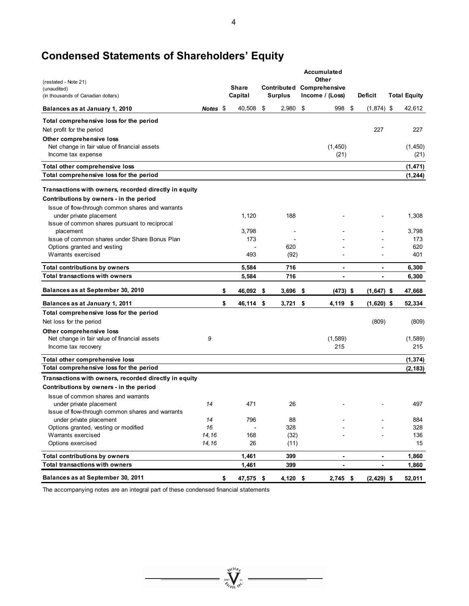# **Condensed Statements of Shareholders' Equity**

|                                                                           |          |                         |                               | Accumulated                      |                          |                      |
|---------------------------------------------------------------------------|----------|-------------------------|-------------------------------|----------------------------------|--------------------------|----------------------|
| (restated - Note 21)                                                      |          |                         |                               | Other                            |                          |                      |
| (unaudited)<br>(in thousands of Canadian dollars)                         |          | <b>Share</b><br>Capital | Contributed<br><b>Surplus</b> | Comprehensive<br>Income / (Loss) | <b>Deficit</b>           | <b>Total Equity</b>  |
| Balances as at January 1, 2010                                            | Notes \$ | 40,508                  | \$<br>2,980                   | \$<br>998                        | \$<br>$(1,874)$ \$       | 42,612               |
|                                                                           |          |                         |                               |                                  |                          |                      |
| Total comprehensive loss for the period                                   |          |                         |                               |                                  |                          |                      |
| Net profit for the period                                                 |          |                         |                               |                                  | 227                      | 227                  |
| Other comprehensive loss                                                  |          |                         |                               |                                  |                          |                      |
| Net change in fair value of financial assets                              |          |                         |                               | (1, 450)                         |                          | (1,450)              |
| Income tax expense                                                        |          |                         |                               | (21)                             |                          | (21)                 |
| Total other comprehensive loss                                            |          |                         |                               |                                  |                          | (1, 471)             |
| Total comprehensive loss for the period                                   |          |                         |                               |                                  |                          | (1, 244)             |
| Transactions with owners, recorded directly in equity                     |          |                         |                               |                                  |                          |                      |
| Contributions by owners - in the period                                   |          |                         |                               |                                  |                          |                      |
| Issue of flow-through common shares and warrants                          |          |                         |                               |                                  |                          |                      |
| under private placement                                                   |          | 1,120                   | 188                           |                                  |                          | 1,308                |
| Issue of common shares pursuant to reciprocal                             |          |                         |                               |                                  |                          |                      |
| placement                                                                 |          | 3,798                   |                               |                                  |                          | 3,798                |
| Issue of common shares under Share Bonus Plan                             |          | 173                     |                               |                                  |                          | 173                  |
| Options granted and vesting                                               |          |                         | 620                           |                                  |                          | 620                  |
| Warrants exercised                                                        |          | 493                     | (92)                          |                                  |                          | 401                  |
| <b>Total contributions by owners</b>                                      |          | 5,584                   | 716                           | $\blacksquare$                   | $\overline{\phantom{a}}$ | 6,300                |
| <b>Total transactions with owners</b>                                     |          | 5,584                   | 716                           | $\overline{\phantom{a}}$         | $\overline{\phantom{a}}$ | 6,300                |
| Balances as at September 30, 2010                                         |          | \$<br>46,092            | \$<br>$3,696$ \$              | $(473)$ \$                       | $(1,647)$ \$             | 47,668               |
| Balances as at January 1, 2011                                            |          | \$<br>46,114 \$         | $3,721$ \$                    | 4,119 \$                         | $(1,620)$ \$             | 52,334               |
| Total comprehensive loss for the period                                   |          |                         |                               |                                  |                          |                      |
| Net loss for the period                                                   |          |                         |                               |                                  | (809)                    | (809)                |
| Other comprehensive loss                                                  |          |                         |                               |                                  |                          |                      |
| Net change in fair value of financial assets                              | 9        |                         |                               | (1,589)                          |                          | (1,589)              |
| Income tax recovery                                                       |          |                         |                               | 215                              |                          | 215                  |
|                                                                           |          |                         |                               |                                  |                          |                      |
| Total other comprehensive loss<br>Total comprehensive loss for the period |          |                         |                               |                                  |                          | (1, 374)<br>(2, 183) |
| Transactions with owners, recorded directly in equity                     |          |                         |                               |                                  |                          |                      |
| Contributions by owners - in the period                                   |          |                         |                               |                                  |                          |                      |
| Issue of common shares and warrants                                       |          |                         |                               |                                  |                          |                      |
| under private placement                                                   | 14       | 471                     | 26                            |                                  |                          | 497                  |
| Issue of flow-through common shares and warrants                          |          |                         |                               |                                  |                          |                      |
| under private placement                                                   | 14       | 796                     | 88                            |                                  |                          | 884                  |
| Options granted, vesting or modified                                      | 16       |                         | 328                           |                                  |                          | 328                  |
| Warrants exercised                                                        | 14,16    | 168                     | (32)                          |                                  |                          | 136                  |
| Options exercised                                                         | 14,16    | 26                      | (11)                          |                                  |                          | 15                   |
| <b>Total contributions by owners</b>                                      |          | 1,461                   | 399                           | $\blacksquare$                   | $\overline{\phantom{a}}$ | 1,860                |
| <b>Total transactions with owners</b>                                     |          | 1,461                   | 399                           | $\blacksquare$                   | $\blacksquare$           | 1,860                |
| Balances as at September 30, 2011                                         |          | \$<br>47,575 \$         | 4,120 \$                      | $2,745$ \$                       | $(2, 429)$ \$            | 52,011               |

 $\overbrace{\hspace{2.5cm}\sum^{N_{\text{top}}} \sum^{N_{\text{top}}} \sum^{N_{\text{top}}}}^{\text{top}}$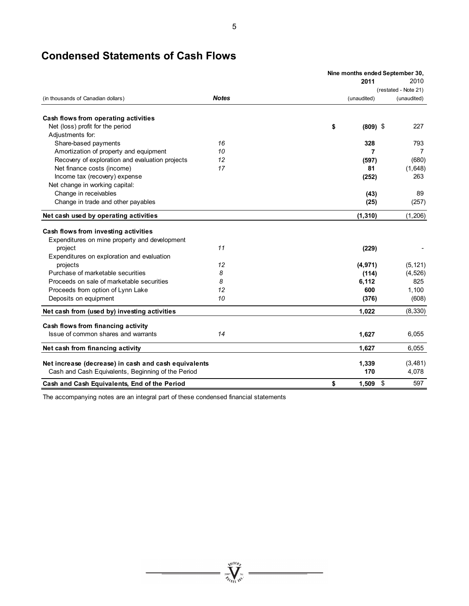# **Condensed Statements of Cash Flows**

|                                                      |              |                  | Nine months ended September 30, |
|------------------------------------------------------|--------------|------------------|---------------------------------|
|                                                      |              | 2011             | 2010                            |
|                                                      |              |                  | (restated - Note 21)            |
| (in thousands of Canadian dollars)                   | <b>Notes</b> | (unaudited)      | (unaudited)                     |
| Cash flows from operating activities                 |              |                  |                                 |
| Net (loss) profit for the period                     |              | \$<br>$(809)$ \$ | 227                             |
| Adjustments for:                                     |              |                  |                                 |
| Share-based payments                                 | 16           | 328              | 793                             |
| Amortization of property and equipment               | 10           | 7                | 7                               |
| Recovery of exploration and evaluation projects      | 12           | (597)            | (680)                           |
| Net finance costs (income)                           | 17           | 81               | (1,648)                         |
| Income tax (recovery) expense                        |              | (252)            | 263                             |
| Net change in working capital:                       |              |                  |                                 |
| Change in receivables                                |              | (43)             | 89                              |
| Change in trade and other payables                   |              | (25)             | (257)                           |
| Net cash used by operating activities                |              | (1, 310)         | (1,206)                         |
|                                                      |              |                  |                                 |
| Cash flows from investing activities                 |              |                  |                                 |
| Expenditures on mine property and development        |              |                  |                                 |
| project                                              | 11           | (229)            |                                 |
| Expenditures on exploration and evaluation           |              |                  |                                 |
| projects                                             | 12           | (4, 971)         | (5, 121)                        |
| Purchase of marketable securities                    | 8            | (114)            | (4, 526)                        |
| Proceeds on sale of marketable securities            | 8            | 6,112            | 825                             |
| Proceeds from option of Lynn Lake                    | 12           | 600              | 1,100                           |
| Deposits on equipment                                | 10           | (376)            | (608)                           |
| Net cash from (used by) investing activities         |              | 1,022            | (8, 330)                        |
| Cash flows from financing activity                   |              |                  |                                 |
| Issue of common shares and warrants                  | 14           | 1,627            | 6,055                           |
| Net cash from financing activity                     |              | 1,627            | 6,055                           |
| Net increase (decrease) in cash and cash equivalents |              | 1,339            | (3, 481)                        |
| Cash and Cash Equivalents, Beginning of the Period   |              | 170              | 4,078                           |
| Cash and Cash Equivalents, End of the Period         |              | \$<br>1,509      | \$<br>597                       |

 $\sum_{j_{\ell}}^{N_{\ell}}\sum_{\ell=1}^{N_{\ell}}\sum_{\ell=1}^{N_{\ell}}\sum_{\ell=1}^{N_{\ell}}$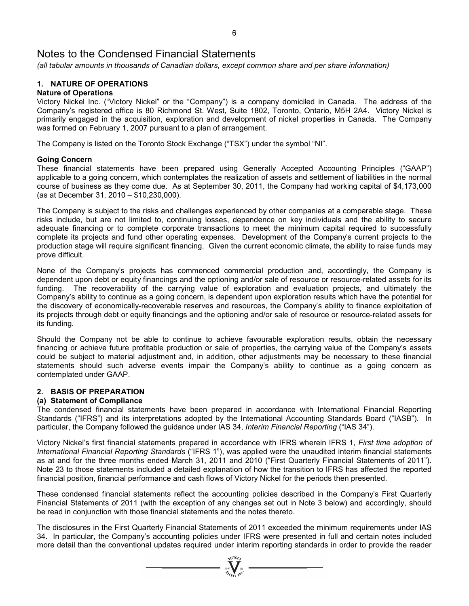*(all tabular amounts in thousands of Canadian dollars, except common share and per share information)* 

# **1. NATURE OF OPERATIONS**

# **Nature of Operations**

Victory Nickel Inc. ("Victory Nickel" or the "Company") is a company domiciled in Canada. The address of the Company's registered office is 80 Richmond St. West, Suite 1802, Toronto, Ontario, M5H 2A4. Victory Nickel is primarily engaged in the acquisition, exploration and development of nickel properties in Canada. The Company was formed on February 1, 2007 pursuant to a plan of arrangement.

The Company is listed on the Toronto Stock Exchange ("TSX") under the symbol "NI".

### **Going Concern**

These financial statements have been prepared using Generally Accepted Accounting Principles ("GAAP") applicable to a going concern, which contemplates the realization of assets and settlement of liabilities in the normal course of business as they come due. As at September 30, 2011, the Company had working capital of \$4,173,000 (as at December 31, 2010 – \$10,230,000).

The Company is subject to the risks and challenges experienced by other companies at a comparable stage. These risks include, but are not limited to, continuing losses, dependence on key individuals and the ability to secure adequate financing or to complete corporate transactions to meet the minimum capital required to successfully complete its projects and fund other operating expenses. Development of the Company's current projects to the production stage will require significant financing. Given the current economic climate, the ability to raise funds may prove difficult.

None of the Company's projects has commenced commercial production and, accordingly, the Company is dependent upon debt or equity financings and the optioning and/or sale of resource or resource-related assets for its funding. The recoverability of the carrying value of exploration and evaluation projects, and ultimately the Company's ability to continue as a going concern, is dependent upon exploration results which have the potential for the discovery of economically-recoverable reserves and resources, the Company's ability to finance exploitation of its projects through debt or equity financings and the optioning and/or sale of resource or resource-related assets for its funding.

Should the Company not be able to continue to achieve favourable exploration results, obtain the necessary financing or achieve future profitable production or sale of properties, the carrying value of the Company's assets could be subject to material adjustment and, in addition, other adjustments may be necessary to these financial statements should such adverse events impair the Company's ability to continue as a going concern as contemplated under GAAP.

# **2. BASIS OF PREPARATION**

### **(a) Statement of Compliance**

The condensed financial statements have been prepared in accordance with International Financial Reporting Standards ("IFRS") and its interpretations adopted by the International Accounting Standards Board ("IASB"). In particular, the Company followed the guidance under IAS 34, *Interim Financial Reporting* ("IAS 34").

Victory Nickel's first financial statements prepared in accordance with IFRS wherein IFRS 1, *First time adoption of International Financial Reporting Standards* ("IFRS 1"), was applied were the unaudited interim financial statements as at and for the three months ended March 31, 2011 and 2010 ("First Quarterly Financial Statements of 2011"). Note 23 to those statements included a detailed explanation of how the transition to IFRS has affected the reported financial position, financial performance and cash flows of Victory Nickel for the periods then presented.

These condensed financial statements reflect the accounting policies described in the Company's First Quarterly Financial Statements of 2011 (with the exception of any changes set out in Note 3 below) and accordingly, should be read in conjunction with those financial statements and the notes thereto.

The disclosures in the First Quarterly Financial Statements of 2011 exceeded the minimum requirements under IAS 34. In particular, the Company's accounting policies under IFRS were presented in full and certain notes included more detail than the conventional updates required under interim reporting standards in order to provide the reader

 $\sum_{2007}$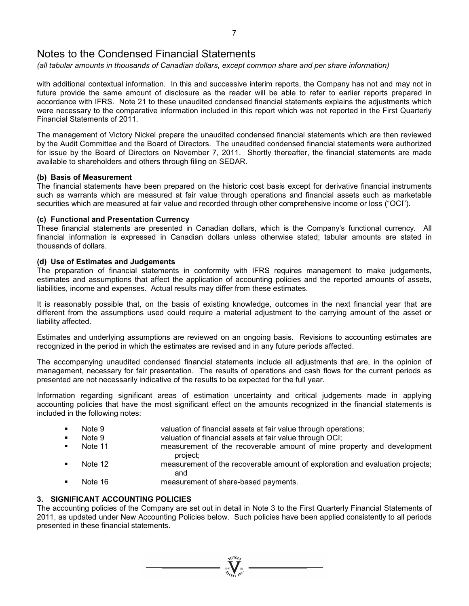*(all tabular amounts in thousands of Canadian dollars, except common share and per share information)* 

with additional contextual information. In this and successive interim reports, the Company has not and may not in future provide the same amount of disclosure as the reader will be able to refer to earlier reports prepared in accordance with IFRS. Note 21 to these unaudited condensed financial statements explains the adjustments which were necessary to the comparative information included in this report which was not reported in the First Quarterly Financial Statements of 2011.

The management of Victory Nickel prepare the unaudited condensed financial statements which are then reviewed by the Audit Committee and the Board of Directors. The unaudited condensed financial statements were authorized for issue by the Board of Directors on November 7, 2011. Shortly thereafter, the financial statements are made available to shareholders and others through filing on SEDAR.

### **(b) Basis of Measurement**

The financial statements have been prepared on the historic cost basis except for derivative financial instruments such as warrants which are measured at fair value through operations and financial assets such as marketable securities which are measured at fair value and recorded through other comprehensive income or loss ("OCI").

### **(c) Functional and Presentation Currency**

These financial statements are presented in Canadian dollars, which is the Company's functional currency. All financial information is expressed in Canadian dollars unless otherwise stated; tabular amounts are stated in thousands of dollars.

### **(d) Use of Estimates and Judgements**

The preparation of financial statements in conformity with IFRS requires management to make judgements, estimates and assumptions that affect the application of accounting policies and the reported amounts of assets, liabilities, income and expenses. Actual results may differ from these estimates.

It is reasonably possible that, on the basis of existing knowledge, outcomes in the next financial year that are different from the assumptions used could require a material adjustment to the carrying amount of the asset or liability affected.

Estimates and underlying assumptions are reviewed on an ongoing basis. Revisions to accounting estimates are recognized in the period in which the estimates are revised and in any future periods affected.

The accompanying unaudited condensed financial statements include all adjustments that are, in the opinion of management, necessary for fair presentation. The results of operations and cash flows for the current periods as presented are not necessarily indicative of the results to be expected for the full year.

Information regarding significant areas of estimation uncertainty and critical judgements made in applying accounting policies that have the most significant effect on the amounts recognized in the financial statements is included in the following notes:

- Note 9 valuation of financial assets at fair value through operations;
- **Note 9** valuation of financial assets at fair value through OCI;
- Note 11 measurement of the recoverable amount of mine property and development project;
- Note 12 measurement of the recoverable amount of exploration and evaluation projects; and
- Note 16 measurement of share-based payments.

# **3. SIGNIFICANT ACCOUNTING POLICIES**

The accounting policies of the Company are set out in detail in Note 3 to the First Quarterly Financial Statements of 2011, as updated under New Accounting Policies below. Such policies have been applied consistently to all periods presented in these financial statements.

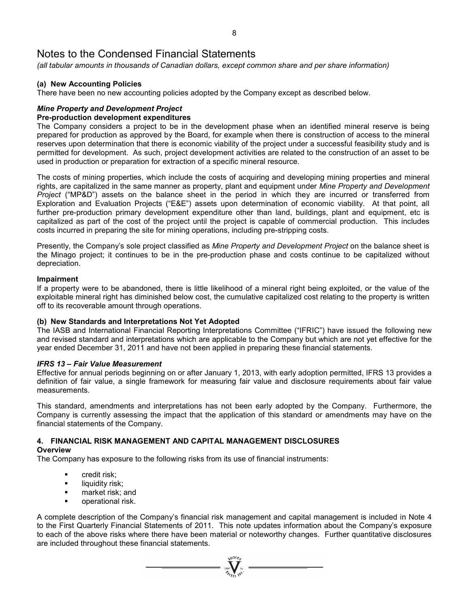*(all tabular amounts in thousands of Canadian dollars, except common share and per share information)* 

# **(a) New Accounting Policies**

There have been no new accounting policies adopted by the Company except as described below.

# *Mine Property and Development Project*

# **Pre-production development expenditures**

The Company considers a project to be in the development phase when an identified mineral reserve is being prepared for production as approved by the Board, for example when there is construction of access to the mineral reserves upon determination that there is economic viability of the project under a successful feasibility study and is permitted for development. As such, project development activities are related to the construction of an asset to be used in production or preparation for extraction of a specific mineral resource.

The costs of mining properties, which include the costs of acquiring and developing mining properties and mineral rights, are capitalized in the same manner as property, plant and equipment under *Mine Property and Development Project* ("MP&D") assets on the balance sheet in the period in which they are incurred or transferred from Exploration and Evaluation Projects ("E&E") assets upon determination of economic viability. At that point, all further pre-production primary development expenditure other than land, buildings, plant and equipment, etc is capitalized as part of the cost of the project until the project is capable of commercial production. This includes costs incurred in preparing the site for mining operations, including pre-stripping costs.

Presently, the Company's sole project classified as *Mine Property and Development Project* on the balance sheet is the Minago project; it continues to be in the pre-production phase and costs continue to be capitalized without depreciation.

### **Impairment**

If a property were to be abandoned, there is little likelihood of a mineral right being exploited, or the value of the exploitable mineral right has diminished below cost, the cumulative capitalized cost relating to the property is written off to its recoverable amount through operations.

# **(b) New Standards and Interpretations Not Yet Adopted**

The IASB and International Financial Reporting Interpretations Committee ("IFRIC") have issued the following new and revised standard and interpretations which are applicable to the Company but which are not yet effective for the year ended December 31, 2011 and have not been applied in preparing these financial statements.

### *IFRS 13 – Fair Value Measurement*

Effective for annual periods beginning on or after January 1, 2013, with early adoption permitted, IFRS 13 provides a definition of fair value, a single framework for measuring fair value and disclosure requirements about fair value measurements.

This standard, amendments and interpretations has not been early adopted by the Company. Furthermore, the Company is currently assessing the impact that the application of this standard or amendments may have on the financial statements of the Company.

#### **4. FINANCIAL RISK MANAGEMENT AND CAPITAL MANAGEMENT DISCLOSURES Overview**

The Company has exposure to the following risks from its use of financial instruments:

- **•** credit risk:
- **I** liquidity risk;
- **n** market risk; and
- operational risk.

A complete description of the Company's financial risk management and capital management is included in Note 4 to the First Quarterly Financial Statements of 2011. This note updates information about the Company's exposure to each of the above risks where there have been material or noteworthy changes. Further quantitative disclosures are included throughout these financial statements.

 $\sum_{\substack{2007 \ \text{N} \text{N}}} \sum_{\substack{N \mid \text{N} \text{N} \text{N}}} \blacksquare$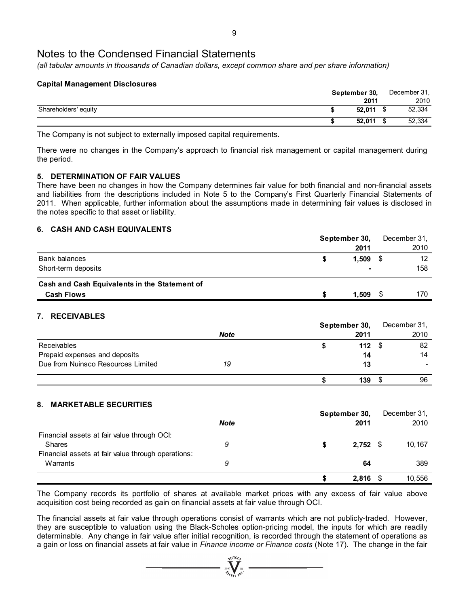*(all tabular amounts in thousands of Canadian dollars, except common share and per share information)* 

### **Capital Management Disclosures**

|                      | September 30, |        |  | December 31, |  |  |
|----------------------|---------------|--------|--|--------------|--|--|
|                      |               | 2011   |  | 2010         |  |  |
| Shareholders' equity |               | 52.011 |  | 52,334       |  |  |
|                      |               | 52.011 |  | 52,334       |  |  |

The Company is not subject to externally imposed capital requirements.

There were no changes in the Company's approach to financial risk management or capital management during the period.

# **5. DETERMINATION OF FAIR VALUES**

There have been no changes in how the Company determines fair value for both financial and non-financial assets and liabilities from the descriptions included in Note 5 to the Company's First Quarterly Financial Statements of 2011. When applicable, further information about the assumptions made in determining fair values is disclosed in the notes specific to that asset or liability.

# **6. CASH AND CASH EQUIVALENTS**

|                                               | September 30, |       | December 31,    |
|-----------------------------------------------|---------------|-------|-----------------|
|                                               |               | 2011  | 2010            |
| <b>Bank balances</b>                          |               | 1.509 | 12 <sup>2</sup> |
| Short-term deposits                           |               |       | 158             |
| Cash and Cash Equivalents in the Statement of |               |       |                 |
| <b>Cash Flows</b>                             |               | 1.509 | 170             |

# **7. RECEIVABLES**

|                                    |             | September 30, |    | December 31, |
|------------------------------------|-------------|---------------|----|--------------|
|                                    | <b>Note</b> | 2011          |    | 2010         |
| Receivables                        |             | 112           |    | 82           |
| Prepaid expenses and deposits      |             |               | 14 | 14           |
| Due from Nuinsco Resources Limited | 19          |               | 13 |              |
|                                    |             | 139           |    | 96           |

# **8. MARKETABLE SECURITIES**

|                                                    |             | September 30, | December 31, |
|----------------------------------------------------|-------------|---------------|--------------|
|                                                    | <b>Note</b> | 2011          | 2010         |
| Financial assets at fair value through OCI:        |             |               |              |
| <b>Shares</b>                                      | 9           | $2,752$ \$    | 10,167       |
| Financial assets at fair value through operations: |             |               |              |
| Warrants                                           | 9           | 64            | 389          |
|                                                    |             | $2,816$ \$    | 10,556       |

The Company records its portfolio of shares at available market prices with any excess of fair value above acquisition cost being recorded as gain on financial assets at fair value through OCI.

The financial assets at fair value through operations consist of warrants which are not publicly-traded. However, they are susceptible to valuation using the Black-Scholes option-pricing model, the inputs for which are readily determinable. Any change in fair value after initial recognition, is recorded through the statement of operations as a gain or loss on financial assets at fair value in *Finance income or Finance costs* (Note 17). The change in the fair

 $\sum_{2007}$   $\sum_{n=1}^{N^{100}h}$   $\sum_{n=1}^{N^{100}}$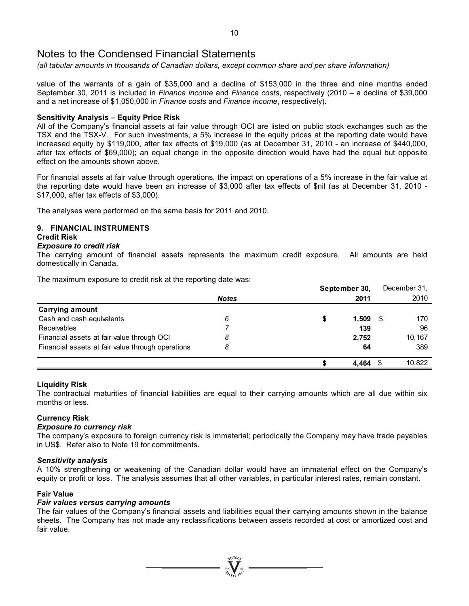*(all tabular amounts in thousands of Canadian dollars, except common share and per share information)* 

value of the warrants of a gain of \$35,000 and a decline of \$153,000 in the three and nine months ended September 30, 2011 is included in *Finance income* and *Finance costs*, respectively (2010 – a decline of \$39,000 and a net increase of \$1,050,000 in *Finance costs* and *Finance income*, respectively).

### **Sensitivity Analysis – Equity Price Risk**

All of the Company's financial assets at fair value through OCI are listed on public stock exchanges such as the TSX and the TSX-V. For such investments, a 5% increase in the equity prices at the reporting date would have increased equity by \$119,000, after tax effects of \$19,000 (as at December 31, 2010 - an increase of \$440,000, after tax effects of \$69,000); an equal change in the opposite direction would have had the equal but opposite effect on the amounts shown above.

For financial assets at fair value through operations, the impact on operations of a 5% increase in the fair value at the reporting date would have been an increase of \$3,000 after tax effects of \$nil (as at December 31, 2010 - \$17,000, after tax effects of \$3,000).

The analyses were performed on the same basis for 2011 and 2010.

### **9. FINANCIAL INSTRUMENTS**

### **Credit Risk**

### *Exposure to credit risk*

The carrying amount of financial assets represents the maximum credit exposure. All amounts are held domestically in Canada.

The maximum exposure to credit risk at the reporting date was:

|                                                   |              | September 30, |       |    | December 31, |
|---------------------------------------------------|--------------|---------------|-------|----|--------------|
|                                                   | <b>Notes</b> |               | 2011  |    | 2010         |
| <b>Carrying amount</b>                            |              |               |       |    |              |
| Cash and cash equivalents                         | 6            | 5             | 1,509 | -5 | 170          |
| Receivables                                       |              |               | 139   |    | 96           |
| Financial assets at fair value through OCI        | 8            |               | 2.752 |    | 10.167       |
| Financial assets at fair value through operations | 8            |               | 64    |    | 389          |
|                                                   |              |               | 4.464 | S  | 10.822       |

### **Liquidity Risk**

The contractual maturities of financial liabilities are equal to their carrying amounts which are all due within six months or less.

# **Currency Risk**

### *Exposure to currency risk*

The company's exposure to foreign currency risk is immaterial; periodically the Company may have trade payables in US\$. Refer also to Note 19 for commitments.

### *Sensitivity analysis*

A 10% strengthening or weakening of the Canadian dollar would have an immaterial effect on the Company's equity or profit or loss. The analysis assumes that all other variables, in particular interest rates, remain constant.

### **Fair Value**

### *Fair values versus carrying amounts*

The fair values of the Company's financial assets and liabilities equal their carrying amounts shown in the balance sheets. The Company has not made any reclassifications between assets recorded at cost or amortized cost and fair value.

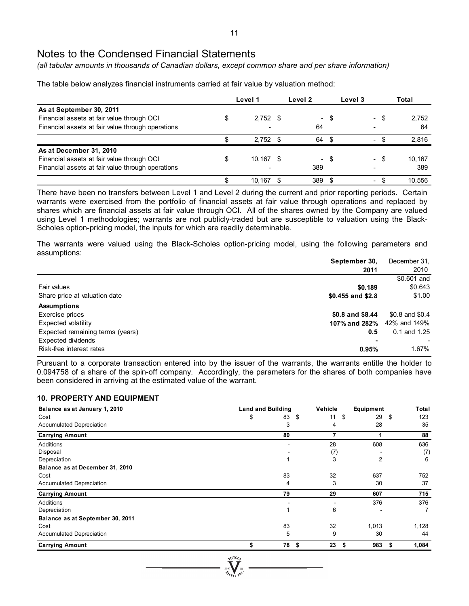*(all tabular amounts in thousands of Canadian dollars, except common share and per share information)* 

The table below analyzes financial instruments carried at fair value by valuation method:

|                                                   |    | Level 1    | Level 2        |      | Level 3                  |      | Total  |
|---------------------------------------------------|----|------------|----------------|------|--------------------------|------|--------|
| As at September 30, 2011                          |    |            |                |      |                          |      |        |
| Financial assets at fair value through OCI        | \$ | $2,752$ \$ | $\blacksquare$ | - \$ |                          | - \$ | 2,752  |
| Financial assets at fair value through operations |    |            | 64             |      |                          |      | 64     |
|                                                   |    | $2,752$ \$ | 64             | - \$ | $\overline{\phantom{0}}$ |      | 2.816  |
| As at December 31, 2010                           |    |            |                |      |                          |      |        |
| Financial assets at fair value through OCI        | \$ | 10,167 \$  |                | - \$ |                          | - \$ | 10,167 |
| Financial assets at fair value through operations |    |            | 389            |      |                          |      | 389    |
|                                                   | S  | 10.167     | 389            |      | ۰.                       |      | 10.556 |

There have been no transfers between Level 1 and Level 2 during the current and prior reporting periods. Certain warrants were exercised from the portfolio of financial assets at fair value through operations and replaced by shares which are financial assets at fair value through OCI. All of the shares owned by the Company are valued using Level 1 methodologies; warrants are not publicly-traded but are susceptible to valuation using the Black-Scholes option-pricing model, the inputs for which are readily determinable.

The warrants were valued using the Black-Scholes option-pricing model, using the following parameters and assumptions:

|                                  | September 30,       | December 31.     |
|----------------------------------|---------------------|------------------|
|                                  | 2011                | 2010             |
|                                  |                     | \$0.601 and      |
| Fair values                      | \$0.189             | \$0.643          |
| Share price at valuation date    | $$0.455$ and $$2.8$ | \$1.00           |
| <b>Assumptions</b>               |                     |                  |
| Exercise prices                  | \$0.8 and \$8.44    | \$0.8 and \$0.4  |
| Expected volatility              | 107% and 282%       | 42% and 149%     |
| Expected remaining terms (years) | 0.5                 | $0.1$ and $1.25$ |
| Expected dividends               | -                   |                  |
| Risk-free interest rates         | 0.95%               | 1.67%            |

Pursuant to a corporate transaction entered into by the issuer of the warrants, the warrants entitle the holder to 0.094758 of a share of the spin-off company. Accordingly, the parameters for the shares of both companies have been considered in arriving at the estimated value of the warrant.

### **10. PROPERTY AND EQUIPMENT**

| Balance as at January 1, 2010    | <b>Land and Building</b> |    | Vehicle    | Equipment      | Total      |  |
|----------------------------------|--------------------------|----|------------|----------------|------------|--|
| Cost                             | \$                       | 83 | \$<br>11   | 29<br>\$       | 123<br>\$  |  |
| <b>Accumulated Depreciation</b>  |                          | 3  | 4          | 28             | 35         |  |
| <b>Carrying Amount</b>           |                          | 80 |            |                | 88         |  |
| Additions                        |                          |    | 28         | 608            | 636        |  |
| Disposal                         |                          |    | (7)        |                | (7)        |  |
| Depreciation                     |                          | 1  | 3          | $\overline{2}$ | 6          |  |
| Balance as at December 31, 2010  |                          |    |            |                |            |  |
| Cost                             |                          | 83 | 32         | 637            | 752        |  |
| <b>Accumulated Depreciation</b>  |                          | 4  | 3          | 30             | 37         |  |
| <b>Carrying Amount</b>           |                          | 79 | 29         | 607            | 715        |  |
| Additions                        |                          |    |            | 376            | 376        |  |
| Depreciation                     |                          | 1  | 6          |                | 7          |  |
| Balance as at September 30, 2011 |                          |    |            |                |            |  |
| Cost                             |                          | 83 | 32         | 1,013          | 1,128      |  |
| Accumulated Depreciation         |                          | 5  | 9          | 30             | 44         |  |
| <b>Carrying Amount</b>           |                          | 78 | 23<br>- \$ | 983<br>5       | 1,084<br>5 |  |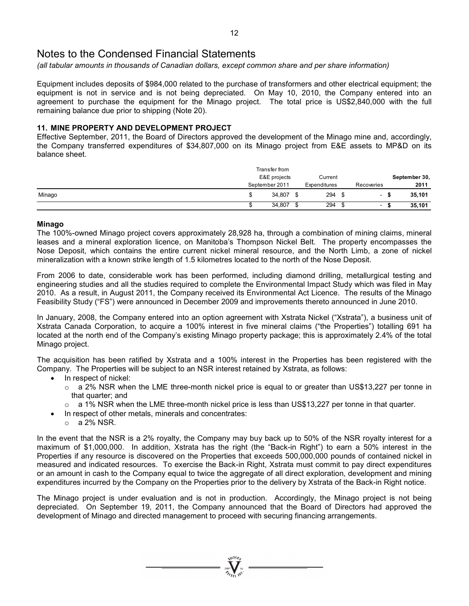*(all tabular amounts in thousands of Canadian dollars, except common share and per share information)* 

Equipment includes deposits of \$984,000 related to the purchase of transformers and other electrical equipment; the equipment is not in service and is not being depreciated. On May 10, 2010, the Company entered into an agreement to purchase the equipment for the Minago project. The total price is US\$2,840,000 with the full remaining balance due prior to shipping (Note 20).

### **11. MINE PROPERTY AND DEVELOPMENT PROJECT**

Effective September, 2011, the Board of Directors approved the development of the Minago mine and, accordingly, the Company transferred expenditures of \$34,807,000 on its Minago project from E&E assets to MP&D on its balance sheet.

|        | Transfer from<br>E&E projects |   | Current      |                          | September 30, |        |
|--------|-------------------------------|---|--------------|--------------------------|---------------|--------|
|        | September 2011                |   | Expenditures | Recoveries               |               | 2011   |
| Minago | 34.807                        | S | 294          | $\sim$                   |               | 35,101 |
|        | 34,807                        | S | 294          | $\overline{\phantom{0}}$ |               | 35,101 |

### **Minago**

The 100%-owned Minago project covers approximately 28,928 ha, through a combination of mining claims, mineral leases and a mineral exploration licence, on Manitoba's Thompson Nickel Belt. The property encompasses the Nose Deposit, which contains the entire current nickel mineral resource, and the North Limb, a zone of nickel mineralization with a known strike length of 1.5 kilometres located to the north of the Nose Deposit.

From 2006 to date, considerable work has been performed, including diamond drilling, metallurgical testing and engineering studies and all the studies required to complete the Environmental Impact Study which was filed in May 2010. As a result, in August 2011, the Company received its Environmental Act Licence. The results of the Minago Feasibility Study ("FS") were announced in December 2009 and improvements thereto announced in June 2010.

In January, 2008, the Company entered into an option agreement with Xstrata Nickel ("Xstrata"), a business unit of Xstrata Canada Corporation, to acquire a 100% interest in five mineral claims ("the Properties") totalling 691 ha located at the north end of the Company's existing Minago property package; this is approximately 2.4% of the total Minago project.

The acquisition has been ratified by Xstrata and a 100% interest in the Properties has been registered with the Company. The Properties will be subject to an NSR interest retained by Xstrata, as follows:

- In respect of nickel:
	- $\circ$  a 2% NSR when the LME three-month nickel price is equal to or greater than US\$13,227 per tonne in that quarter; and
	- $\circ$  a 1% NSR when the LME three-month nickel price is less than US\$13,227 per tonne in that quarter.
	- In respect of other metals, minerals and concentrates:
	- $\circ$  a 2% NSR.

In the event that the NSR is a 2% royalty, the Company may buy back up to 50% of the NSR royalty interest for a maximum of \$1,000,000. In addition, Xstrata has the right (the "Back-in Right") to earn a 50% interest in the Properties if any resource is discovered on the Properties that exceeds 500,000,000 pounds of contained nickel in measured and indicated resources. To exercise the Back-in Right, Xstrata must commit to pay direct expenditures or an amount in cash to the Company equal to twice the aggregate of all direct exploration, development and mining expenditures incurred by the Company on the Properties prior to the delivery by Xstrata of the Back-in Right notice.

The Minago project is under evaluation and is not in production. Accordingly, the Minago project is not being depreciated. On September 19, 2011, the Company announced that the Board of Directors had approved the development of Minago and directed management to proceed with securing financing arrangements.

 $\sum_{2007}$  Wellon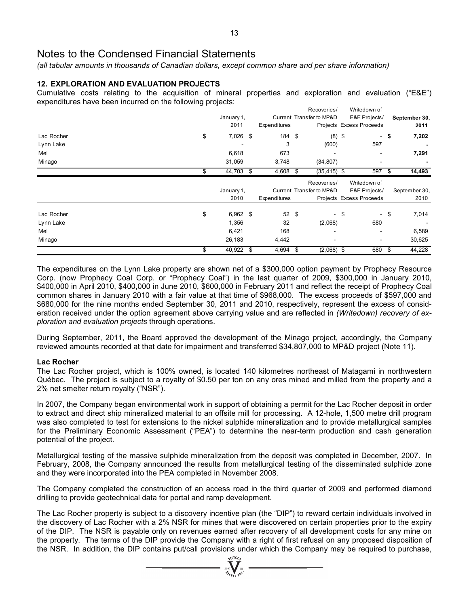*(all tabular amounts in thousands of Canadian dollars, except common share and per share information)* 

# **12. EXPLORATION AND EVALUATION PROJECTS**

Cumulative costs relating to the acquisition of mineral properties and exploration and evaluation ("E&E") expenditures have been incurred on the following projects:

|            |                  |              | Recoveries/              | Writedown of             |              |               |
|------------|------------------|--------------|--------------------------|--------------------------|--------------|---------------|
|            | January 1,       |              | Current Transfer to MP&D | E&E Projects/            |              | September 30, |
|            | 2011             | Expenditures |                          | Projects Excess Proceeds |              | 2011          |
| Lac Rocher | \$<br>7,026 \$   | 184 \$       |                          | $(8)$ \$                 | \$<br>$\sim$ | 7,202         |
| Lynn Lake  |                  | 3            | (600)                    | 597                      |              |               |
| Mel        | 6,618            | 673          |                          |                          |              | 7,291         |
| Minago     | 31,059           | 3,748        | (34, 807)                |                          |              |               |
|            | 44,703 \$        | 4,608        | $(35, 415)$ \$<br>- \$   | 597                      | -\$          | 14,493        |
|            |                  |              | Recoveries/              | Writedown of             |              |               |
|            | January 1,       |              | Current Transfer to MP&D | E&E Projects/            |              | September 30, |
|            | 2010             | Expenditures |                          | Projects Excess Proceeds |              | 2010          |
| Lac Rocher | \$<br>$6,962$ \$ | $52 \quad$   |                          | - \$                     | \$<br>$\sim$ | 7,014         |
| Lynn Lake  | 1,356            | 32           | (2,068)                  | 680                      |              |               |
| Mel        | 6,421            | 168          | $\overline{\phantom{a}}$ |                          |              | 6,589         |
| Minago     | 26,183           | 4,442        | $\blacksquare$           |                          |              | 30,625        |
|            | 40,922 \$<br>\$  | 4,694        | $(2,068)$ \$<br>\$       | 680                      | -\$          | 44,228        |

The expenditures on the Lynn Lake property are shown net of a \$300,000 option payment by Prophecy Resource Corp. (now Prophecy Coal Corp. or "Prophecy Coal") in the last quarter of 2009, \$300,000 in January 2010, \$400,000 in April 2010, \$400,000 in June 2010, \$600,000 in February 2011 and reflect the receipt of Prophecy Coal common shares in January 2010 with a fair value at that time of \$968,000. The excess proceeds of \$597,000 and \$680,000 for the nine months ended September 30, 2011 and 2010, respectively, represent the excess of consideration received under the option agreement above carrying value and are reflected in *(Writedown) recovery of exploration and evaluation projects* through operations.

During September, 2011, the Board approved the development of the Minago project, accordingly, the Company reviewed amounts recorded at that date for impairment and transferred \$34,807,000 to MP&D project (Note 11).

# **Lac Rocher**

The Lac Rocher project, which is 100% owned, is located 140 kilometres northeast of Matagami in northwestern Québec. The project is subject to a royalty of \$0.50 per ton on any ores mined and milled from the property and a 2% net smelter return royalty ("NSR").

In 2007, the Company began environmental work in support of obtaining a permit for the Lac Rocher deposit in order to extract and direct ship mineralized material to an offsite mill for processing. A 12-hole, 1,500 metre drill program was also completed to test for extensions to the nickel sulphide mineralization and to provide metallurgical samples for the Preliminary Economic Assessment ("PEA") to determine the near-term production and cash generation potential of the project.

Metallurgical testing of the massive sulphide mineralization from the deposit was completed in December, 2007. In February, 2008, the Company announced the results from metallurgical testing of the disseminated sulphide zone and they were incorporated into the PEA completed in November 2008.

The Company completed the construction of an access road in the third quarter of 2009 and performed diamond drilling to provide geotechnical data for portal and ramp development.

The Lac Rocher property is subject to a discovery incentive plan (the "DIP") to reward certain individuals involved in the discovery of Lac Rocher with a 2% NSR for mines that were discovered on certain properties prior to the expiry of the DIP. The NSR is payable only on revenues earned after recovery of all development costs for any mine on the property. The terms of the DIP provide the Company with a right of first refusal on any proposed disposition of the NSR. In addition, the DIP contains put/call provisions under which the Company may be required to purchase,

 $\sum_{2007}$   $\sum_{N}$   $\sum_{N}$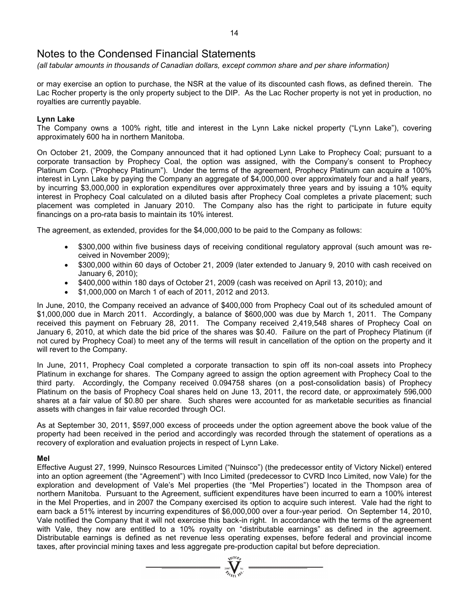*(all tabular amounts in thousands of Canadian dollars, except common share and per share information)* 

or may exercise an option to purchase, the NSR at the value of its discounted cash flows, as defined therein. The Lac Rocher property is the only property subject to the DIP. As the Lac Rocher property is not yet in production, no royalties are currently payable.

### **Lynn Lake**

The Company owns a 100% right, title and interest in the Lynn Lake nickel property ("Lynn Lake"), covering approximately 600 ha in northern Manitoba.

On October 21, 2009, the Company announced that it had optioned Lynn Lake to Prophecy Coal; pursuant to a corporate transaction by Prophecy Coal, the option was assigned, with the Company's consent to Prophecy Platinum Corp. ("Prophecy Platinum"). Under the terms of the agreement, Prophecy Platinum can acquire a 100% interest in Lynn Lake by paying the Company an aggregate of \$4,000,000 over approximately four and a half years, by incurring \$3,000,000 in exploration expenditures over approximately three years and by issuing a 10% equity interest in Prophecy Coal calculated on a diluted basis after Prophecy Coal completes a private placement; such placement was completed in January 2010. The Company also has the right to participate in future equity financings on a pro-rata basis to maintain its 10% interest.

The agreement, as extended, provides for the \$4,000,000 to be paid to the Company as follows:

- \$300,000 within five business days of receiving conditional regulatory approval (such amount was received in November 2009);
- \$300,000 within 60 days of October 21, 2009 (later extended to January 9, 2010 with cash received on January 6, 2010);
- \$400,000 within 180 days of October 21, 2009 (cash was received on April 13, 2010); and
- \$1,000,000 on March 1 of each of 2011, 2012 and 2013.

In June, 2010, the Company received an advance of \$400,000 from Prophecy Coal out of its scheduled amount of \$1,000,000 due in March 2011. Accordingly, a balance of \$600,000 was due by March 1, 2011. The Company received this payment on February 28, 2011. The Company received 2,419,548 shares of Prophecy Coal on January 6, 2010, at which date the bid price of the shares was \$0.40. Failure on the part of Prophecy Platinum (if not cured by Prophecy Coal) to meet any of the terms will result in cancellation of the option on the property and it will revert to the Company.

In June, 2011, Prophecy Coal completed a corporate transaction to spin off its non-coal assets into Prophecy Platinum in exchange for shares. The Company agreed to assign the option agreement with Prophecy Coal to the third party. Accordingly, the Company received 0.094758 shares (on a post-consolidation basis) of Prophecy Platinum on the basis of Prophecy Coal shares held on June 13, 2011, the record date, or approximately 596,000 shares at a fair value of \$0.80 per share. Such shares were accounted for as marketable securities as financial assets with changes in fair value recorded through OCI.

As at September 30, 2011, \$597,000 excess of proceeds under the option agreement above the book value of the property had been received in the period and accordingly was recorded through the statement of operations as a recovery of exploration and evaluation projects in respect of Lynn Lake.

### **Mel**

Effective August 27, 1999, Nuinsco Resources Limited ("Nuinsco") (the predecessor entity of Victory Nickel) entered into an option agreement (the "Agreement") with Inco Limited (predecessor to CVRD Inco Limited, now Vale) for the exploration and development of Vale's Mel properties (the "Mel Properties") located in the Thompson area of northern Manitoba. Pursuant to the Agreement, sufficient expenditures have been incurred to earn a 100% interest in the Mel Properties, and in 2007 the Company exercised its option to acquire such interest. Vale had the right to earn back a 51% interest by incurring expenditures of \$6,000,000 over a four-year period. On September 14, 2010, Vale notified the Company that it will not exercise this back-in right. In accordance with the terms of the agreement with Vale, they now are entitled to a 10% royalty on "distributable earnings" as defined in the agreement. Distributable earnings is defined as net revenue less operating expenses, before federal and provincial income taxes, after provincial mining taxes and less aggregate pre-production capital but before depreciation.

 $\sum_{2007}$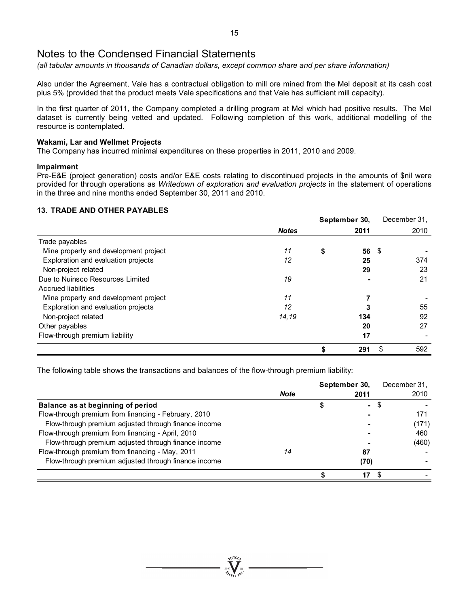*(all tabular amounts in thousands of Canadian dollars, except common share and per share information)* 

Also under the Agreement, Vale has a contractual obligation to mill ore mined from the Mel deposit at its cash cost plus 5% (provided that the product meets Vale specifications and that Vale has sufficient mill capacity).

In the first quarter of 2011, the Company completed a drilling program at Mel which had positive results. The Mel dataset is currently being vetted and updated. Following completion of this work, additional modelling of the resource is contemplated.

### **Wakami, Lar and Wellmet Projects**

The Company has incurred minimal expenditures on these properties in 2011, 2010 and 2009.

### **Impairment**

Pre-E&E (project generation) costs and/or E&E costs relating to discontinued projects in the amounts of \$nil were provided for through operations as *Writedown of exploration and evaluation projects* in the statement of operations in the three and nine months ended September 30, 2011 and 2010.

# **13. TRADE AND OTHER PAYABLES**

|                                       |              |    | September 30, |     | December 31, |
|---------------------------------------|--------------|----|---------------|-----|--------------|
|                                       | <b>Notes</b> |    | 2011          |     | 2010         |
| Trade payables                        |              |    |               |     |              |
| Mine property and development project | 11           | \$ | 56            | -\$ |              |
| Exploration and evaluation projects   | 12           |    | 25            |     | 374          |
| Non-project related                   |              |    | 29            |     | 23           |
| Due to Nuinsco Resources Limited      | 19           |    |               |     | 21           |
| Accrued liabilities                   |              |    |               |     |              |
| Mine property and development project | 11           |    |               |     |              |
| Exploration and evaluation projects   | 12           |    |               |     | 55           |
| Non-project related                   | 14,19        |    | 134           |     | 92           |
| Other payables                        |              |    | 20            |     | 27           |
| Flow-through premium liability        |              |    | 17            |     |              |
|                                       |              |    | 291           | S   | 592          |

The following table shows the transactions and balances of the flow-through premium liability:

|                                                      |             |   | September 30, | December 31, |
|------------------------------------------------------|-------------|---|---------------|--------------|
|                                                      | <b>Note</b> |   | 2011          | 2010         |
| Balance as at beginning of period                    |             | ⊕ | $\sim$        | \$.          |
| Flow-through premium from financing - February, 2010 |             |   |               | 171          |
| Flow-through premium adjusted through finance income |             |   |               | (171)        |
| Flow-through premium from financing - April, 2010    |             |   |               | 460          |
| Flow-through premium adjusted through finance income |             |   |               | (460)        |
| Flow-through premium from financing - May, 2011      | 14          |   | 87            |              |
| Flow-through premium adjusted through finance income |             |   | (70)          |              |
|                                                      |             |   | 17            |              |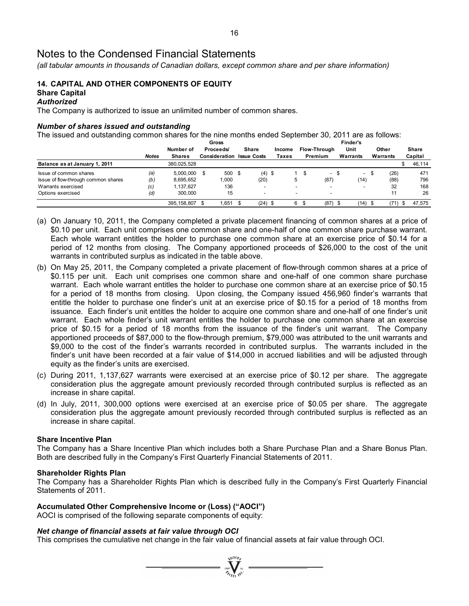*(all tabular amounts in thousands of Canadian dollars, except common share and per share information)* 

# **14. CAPITAL AND OTHER COMPONENTS OF EQUITY Share Capital**

### *Authorized*

The Company is authorized to issue an unlimited number of common shares.

### *Number of shares issued and outstanding*

The issued and outstanding common shares for the nine months ended September 30, 2011 are as follows:

|                                     |              | Gross          |  |                                  |  |                          | Finder's |        |                          |  |              |      |                          |      |          |              |
|-------------------------------------|--------------|----------------|--|----------------------------------|--|--------------------------|----------|--------|--------------------------|--|--------------|------|--------------------------|------|----------|--------------|
|                                     |              | Number of      |  | Proceeds/                        |  | <b>Share</b>             |          | Income |                          |  | Flow-Through |      | Unit                     |      | Other    | <b>Share</b> |
|                                     | <b>Notes</b> | <b>Shares</b>  |  | <b>Consideration Issue Costs</b> |  |                          |          | Taxes  |                          |  | Premium      |      | Warrants                 |      | Warrants | Capital      |
| Balance as at January 1, 2011       |              | 380,025,528    |  |                                  |  |                          |          |        |                          |  |              |      |                          |      |          | 46,114       |
| Issue of common shares              | (a)          | $5.000.000$ \$ |  | 500 \$                           |  | $(4)$ \$                 |          |        |                          |  | $\sim$       | - \$ | $\overline{\phantom{a}}$ | - \$ | (26)     | 471          |
| Issue of flow-through common shares | (b)          | 8,695,652      |  | 1,000                            |  | (20)                     |          |        |                          |  | (87)         |      | (14)                     |      | (88)     | 796          |
| Warrants exercised                  | (c)          | 1.137.627      |  | 136                              |  |                          |          |        | $\overline{\phantom{0}}$ |  |              |      |                          |      | 32       | 168          |
| Options exercised                   | (d)          | 300.000        |  | 15                               |  | $\overline{\phantom{0}}$ |          |        | $\overline{\phantom{0}}$ |  |              |      |                          |      | 11       | 26           |
|                                     |              | 395.158.807    |  | 1.651                            |  | $(24)$ \$                |          |        | 6                        |  | (87)         |      | (14)                     |      | (71)     | 47.575       |

- (a) On January 10, 2011, the Company completed a private placement financing of common shares at a price of \$0.10 per unit. Each unit comprises one common share and one-half of one common share purchase warrant. Each whole warrant entitles the holder to purchase one common share at an exercise price of \$0.14 for a period of 12 months from closing. The Company apportioned proceeds of \$26,000 to the cost of the unit warrants in contributed surplus as indicated in the table above.
- (b) On May 25, 2011, the Company completed a private placement of flow-through common shares at a price of \$0.115 per unit. Each unit comprises one common share and one-half of one common share purchase warrant. Each whole warrant entitles the holder to purchase one common share at an exercise price of \$0.15 for a period of 18 months from closing. Upon closing, the Company issued 456,960 finder's warrants that entitle the holder to purchase one finder's unit at an exercise price of \$0.15 for a period of 18 months from issuance. Each finder's unit entitles the holder to acquire one common share and one-half of one finder's unit warrant. Each whole finder's unit warrant entitles the holder to purchase one common share at an exercise price of \$0.15 for a period of 18 months from the issuance of the finder's unit warrant. The Company apportioned proceeds of \$87,000 to the flow-through premium, \$79,000 was attributed to the unit warrants and \$9,000 to the cost of the finder's warrants recorded in contributed surplus. The warrants included in the finder's unit have been recorded at a fair value of \$14,000 in accrued liabilities and will be adjusted through equity as the finder's units are exercised.
- (c) During 2011, 1,137,627 warrants were exercised at an exercise price of \$0.12 per share. The aggregate consideration plus the aggregate amount previously recorded through contributed surplus is reflected as an increase in share capital.
- (d) In July, 2011, 300,000 options were exercised at an exercise price of \$0.05 per share. The aggregate consideration plus the aggregate amount previously recorded through contributed surplus is reflected as an increase in share capital.

### **Share Incentive Plan**

The Company has a Share Incentive Plan which includes both a Share Purchase Plan and a Share Bonus Plan. Both are described fully in the Company's First Quarterly Financial Statements of 2011.

#### **Shareholder Rights Plan**

The Company has a Shareholder Rights Plan which is described fully in the Company's First Quarterly Financial Statements of 2011.

 $\sum_{i=1}^{\text{N}}\sum_{j=1}^{\text{N}}$ 

### **Accumulated Other Comprehensive Income or (Loss) ("AOCI")**

AOCI is comprised of the following separate components of equity:

### *Net change of financial assets at fair value through OCI*

This comprises the cumulative net change in the fair value of financial assets at fair value through OCI.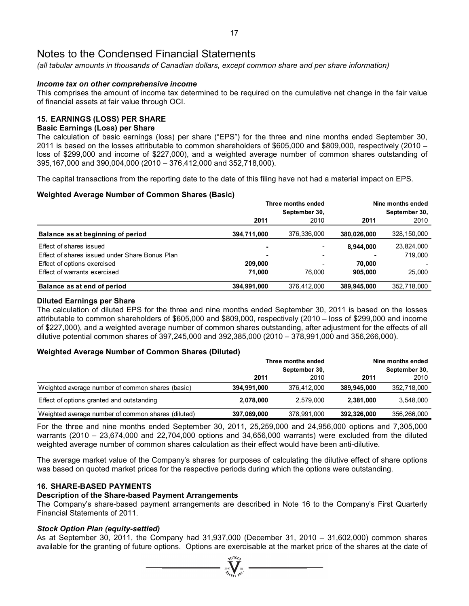*(all tabular amounts in thousands of Canadian dollars, except common share and per share information)* 

### *Income tax on other comprehensive income*

This comprises the amount of income tax determined to be required on the cumulative net change in the fair value of financial assets at fair value through OCI.

### **15. EARNINGS (LOSS) PER SHARE**

### **Basic Earnings (Loss) per Share**

The calculation of basic earnings (loss) per share ("EPS") for the three and nine months ended September 30, 2011 is based on the losses attributable to common shareholders of \$605,000 and \$809,000, respectively (2010 – loss of \$299,000 and income of \$227,000), and a weighted average number of common shares outstanding of 395,167,000 and 390,004,000 (2010 – 376,412,000 and 352,718,000).

The capital transactions from the reporting date to the date of this filing have not had a material impact on EPS.

### **Weighted Average Number of Common Shares (Basic)**

|                                                |             | Three months ended       | Nine months ended |               |  |  |
|------------------------------------------------|-------------|--------------------------|-------------------|---------------|--|--|
|                                                |             | September 30,            |                   | September 30. |  |  |
|                                                | 2011        | 2010                     | 2011              | 2010          |  |  |
| Balance as at beginning of period              | 394,711,000 | 376,336,000              | 380,026,000       | 328,150,000   |  |  |
| Effect of shares issued                        |             |                          | 8.944.000         | 23,824,000    |  |  |
| Effect of shares issued under Share Bonus Plan |             | $\overline{\phantom{a}}$ |                   | 719.000       |  |  |
| Effect of options exercised                    | 209.000     | $\overline{\phantom{0}}$ | 70.000            |               |  |  |
| Effect of warrants exercised                   | 71.000      | 76.000                   | 905,000           | 25.000        |  |  |
| Balance as at end of period                    | 394,991,000 | 376,412,000              | 389.945.000       | 352,718,000   |  |  |

### **Diluted Earnings per Share**

The calculation of diluted EPS for the three and nine months ended September 30, 2011 is based on the losses attributable to common shareholders of \$605,000 and \$809,000, respectively (2010 – loss of \$299,000 and income of \$227,000), and a weighted average number of common shares outstanding, after adjustment for the effects of all dilutive potential common shares of 397,245,000 and 392,385,000 (2010 – 378,991,000 and 356,266,000).

### **Weighted Average Number of Common Shares (Diluted)**

|             |               |                    | Nine months ended |  |  |
|-------------|---------------|--------------------|-------------------|--|--|
|             | September 30, |                    | September 30,     |  |  |
| 2011        | 2010          | 2011               | 2010              |  |  |
| 394,991,000 | 376,412,000   | 389,945,000        | 352,718,000       |  |  |
| 2,078,000   | 2.579.000     | 2.381.000          | 3,548,000         |  |  |
| 397,069,000 | 378,991,000   | 392,326,000        | 356,266,000       |  |  |
|             |               | Three months ended |                   |  |  |

For the three and nine months ended September 30, 2011, 25,259,000 and 24,956,000 options and 7,305,000 warrants (2010 – 23,674,000 and 22,704,000 options and 34,656,000 warrants) were excluded from the diluted weighted average number of common shares calculation as their effect would have been anti-dilutive.

The average market value of the Company's shares for purposes of calculating the dilutive effect of share options was based on quoted market prices for the respective periods during which the options were outstanding.

### **16. SHARE-BASED PAYMENTS**

#### **Description of the Share-based Payment Arrangements**

The Company's share-based payment arrangements are described in Note 16 to the Company's First Quarterly Financial Statements of 2011.

### *Stock Option Plan (equity-settled)*

As at September 30, 2011, the Company had 31,937,000 (December 31, 2010 – 31,602,000) common shares available for the granting of future options. Options are exercisable at the market price of the shares at the date of

 $\sum_{n=1}^{\infty}$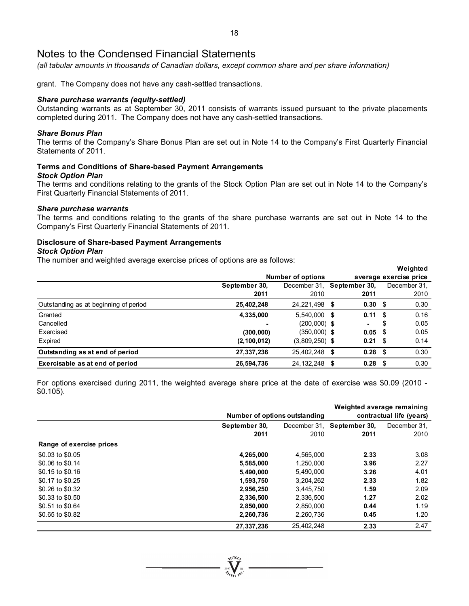*(all tabular amounts in thousands of Canadian dollars, except common share and per share information)* 

grant. The Company does not have any cash-settled transactions.

### *Share purchase warrants (equity-settled)*

Outstanding warrants as at September 30, 2011 consists of warrants issued pursuant to the private placements completed during 2011. The Company does not have any cash-settled transactions.

### *Share Bonus Plan*

The terms of the Company's Share Bonus Plan are set out in Note 14 to the Company's First Quarterly Financial Statements of 2011.

# **Terms and Conditions of Share-based Payment Arrangements**

#### *Stock Option Plan*

The terms and conditions relating to the grants of the Stock Option Plan are set out in Note 14 to the Company's First Quarterly Financial Statements of 2011.

#### *Share purchase warrants*

The terms and conditions relating to the grants of the share purchase warrants are set out in Note 14 to the Company's First Quarterly Financial Statements of 2011.

# **Disclosure of Share-based Payment Arrangements**

### *Stock Option Plan*

The number and weighted average exercise prices of options are as follows:

|                                       |               |                            |                    | Weighted               |  |
|---------------------------------------|---------------|----------------------------|--------------------|------------------------|--|
|                                       |               | <b>Number of options</b>   |                    | average exercise price |  |
|                                       | September 30, | December 31. September 30. |                    | December 31.           |  |
|                                       | 2011          | 2010                       | 2011               | 2010                   |  |
| Outstanding as at beginning of period | 25,402,248    | 24,221,498 \$              | $0.30 \, \hat{ }$  | 0.30                   |  |
| Granted                               | 4,335,000     | 5,540,000 \$               | $0.11 \text{ }$ \$ | 0.16                   |  |
| Cancelled                             |               | $(200,000)$ \$             | ۰.                 | \$<br>0.05             |  |
| Exercised                             | (300,000)     | $(350,000)$ \$             | 0.05 S             | 0.05                   |  |
| Expired                               | (2, 100, 012) | $(3,809,250)$ \$           | $0.21 \quad$ \$    | 0.14                   |  |
| Outstanding as at end of period       | 27,337,236    | 25,402,248 \$              | $0.28$ \$          | 0.30                   |  |
| Exercisable as at end of period       | 26,594,736    | 24, 132, 248 \$            | 0.28               | \$<br>0.30             |  |

For options exercised during 2011, the weighted average share price at the date of exercise was \$0.09 (2010 - \$0.105).

|                          | Weighted average remaining |                               |                            |              |  |  |  |  |  |
|--------------------------|----------------------------|-------------------------------|----------------------------|--------------|--|--|--|--|--|
|                          |                            | Number of options outstanding |                            |              |  |  |  |  |  |
|                          | September 30,              |                               | December 31, September 30, | December 31. |  |  |  |  |  |
|                          | 2011                       | 2010                          | 2011                       | 2010         |  |  |  |  |  |
| Range of exercise prices |                            |                               |                            |              |  |  |  |  |  |
| \$0.03 to \$0.05         | 4,265,000                  | 4,565,000                     | 2.33                       | 3.08         |  |  |  |  |  |
| \$0.06 to \$0.14         | 5,585,000                  | 1,250,000                     | 3.96                       | 2.27         |  |  |  |  |  |
| \$0.15 to \$0.16         | 5,490,000                  | 5,490,000                     | 3.26                       | 4.01         |  |  |  |  |  |
| \$0.17 to \$0.25         | 1,593,750                  | 3,204,262                     | 2.33                       | 1.82         |  |  |  |  |  |
| \$0.26 to \$0.32         | 2,956,250                  | 3,445,750                     | 1.59                       | 2.09         |  |  |  |  |  |
| \$0.33 to \$0.50         | 2,336,500                  | 2,336,500                     | 1.27                       | 2.02         |  |  |  |  |  |
| \$0.51 to \$0.64         | 2,850,000                  | 2,850,000                     | 0.44                       | 1.19         |  |  |  |  |  |
| \$0.65 to \$0.82         | 2,260,736                  | 2.260.736                     | 0.45                       | 1.20         |  |  |  |  |  |
|                          | 27,337,236                 | 25,402,248                    | 2.33                       | 2.47         |  |  |  |  |  |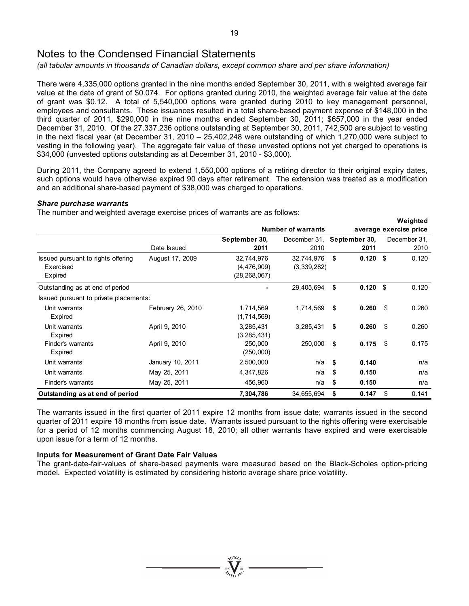*(all tabular amounts in thousands of Canadian dollars, except common share and per share information)* 

There were 4,335,000 options granted in the nine months ended September 30, 2011, with a weighted average fair value at the date of grant of \$0.074. For options granted during 2010, the weighted average fair value at the date of grant was \$0.12. A total of 5,540,000 options were granted during 2010 to key management personnel, employees and consultants. These issuances resulted in a total share-based payment expense of \$148,000 in the third quarter of 2011, \$290,000 in the nine months ended September 30, 2011; \$657,000 in the year ended December 31, 2010. Of the 27,337,236 options outstanding at September 30, 2011, 742,500 are subject to vesting in the next fiscal year (at December 31, 2010 – 25,402,248 were outstanding of which 1,270,000 were subject to vesting in the following year). The aggregate fair value of these unvested options not yet charged to operations is \$34,000 (unvested options outstanding as at December 31, 2010 - \$3,000).

During 2011, the Company agreed to extend 1,550,000 options of a retiring director to their original expiry dates, such options would have otherwise expired 90 days after retirement. The extension was treated as a modification and an additional share-based payment of \$38,000 was charged to operations.

**Weighted**

### *Share purchase warrants*

The number and weighted average exercise prices of warrants are as follows:

|                                        |                   |                |                            |     |            |     | vveignted              |
|----------------------------------------|-------------------|----------------|----------------------------|-----|------------|-----|------------------------|
|                                        |                   |                | <b>Number of warrants</b>  |     |            |     | average exercise price |
|                                        |                   | September 30,  | December 31, September 30, |     |            |     | December 31.           |
|                                        | Date Issued       | 2011           | 2010                       |     | 2011       |     | 2010                   |
| Issued pursuant to rights offering     | August 17, 2009   | 32,744,976     | 32,744,976                 | \$  | $0.120$ \$ |     | 0.120                  |
| Exercised                              |                   | (4, 476, 909)  | (3,339,282)                |     |            |     |                        |
| Expired                                |                   | (28, 268, 067) |                            |     |            |     |                        |
| Outstanding as at end of period        |                   |                | 29,405,694                 | \$  | 0.120      | -\$ | 0.120                  |
| Issued pursuant to private placements: |                   |                |                            |     |            |     |                        |
| Unit warrants                          | February 26, 2010 | 1,714,569      | 1,714,569                  | \$  | 0.260      | -\$ | 0.260                  |
| Expired                                |                   | (1,714,569)    |                            |     |            |     |                        |
| Unit warrants                          | April 9, 2010     | 3,285,431      | 3,285,431                  | \$  | 0.260      | -\$ | 0.260                  |
| Expired                                |                   | (3, 285, 431)  |                            |     |            |     |                        |
| Finder's warrants                      | April 9, 2010     | 250,000        | 250,000                    | \$  | 0.175      | -\$ | 0.175                  |
| Expired                                |                   | (250,000)      |                            |     |            |     |                        |
| Unit warrants                          | January 10, 2011  | 2,500,000      | n/a                        | -\$ | 0.140      |     | n/a                    |
| Unit warrants                          | May 25, 2011      | 4,347,826      | n/a                        | -\$ | 0.150      |     | n/a                    |
| Finder's warrants                      | May 25, 2011      | 456,960        | n/a                        | \$  | 0.150      |     | n/a                    |
| Outstanding as at end of period        |                   | 7,304,786      | 34,655,694                 | \$  | 0.147      | \$  | 0.141                  |

The warrants issued in the first quarter of 2011 expire 12 months from issue date; warrants issued in the second quarter of 2011 expire 18 months from issue date. Warrants issued pursuant to the rights offering were exercisable for a period of 12 months commencing August 18, 2010; all other warrants have expired and were exercisable upon issue for a term of 12 months.

# **Inputs for Measurement of Grant Date Fair Values**

The grant-date-fair-values of share-based payments were measured based on the Black-Scholes option-pricing model. Expected volatility is estimated by considering historic average share price volatility.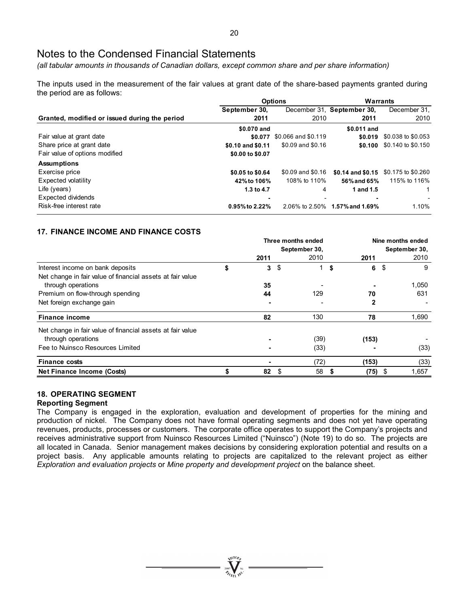*(all tabular amounts in thousands of Canadian dollars, except common share and per share information)* 

The inputs used in the measurement of the fair values at grant date of the share-based payments granted during the period are as follows:

|                                               |                   | <b>Options</b>      | <b>Warrants</b>            |                    |  |  |
|-----------------------------------------------|-------------------|---------------------|----------------------------|--------------------|--|--|
|                                               | September 30,     |                     | December 31, September 30, | December 31,       |  |  |
| Granted, modified or issued during the period | 2011              | 2010                | 2011                       | 2010               |  |  |
|                                               | \$0.070 and       |                     | \$0.011 and                |                    |  |  |
| Fair value at grant date                      | \$0.077           | \$0.066 and \$0.119 | \$0.019                    | \$0.038 to \$0.053 |  |  |
| Share price at grant date                     | \$0.10 and \$0.11 | \$0.09 and \$0.16   | \$0.100                    | \$0.140 to \$0.150 |  |  |
| Fair value of options modified                | \$0.00 to \$0.07  |                     |                            |                    |  |  |
| <b>Assumptions</b>                            |                   |                     |                            |                    |  |  |
| Exercise price                                | \$0.05 to \$0.64  | \$0.09 and \$0.16   | \$0.14 and \$0.15          | \$0.175 to \$0.260 |  |  |
| Expected volatility                           | 42% to 106%       | 108% to 110%        | 56% and 65%                | 115% to 116%       |  |  |
| Life (years)                                  | 1.3 to 4.7        | 4                   | 1 and 1.5                  |                    |  |  |
| Expected dividends                            |                   |                     |                            |                    |  |  |
| Risk-free interest rate                       | 0.95% to 2.22%    | 2.06% to 2.50%      | 1.57% and 1.69%            | 1.10%              |  |  |

# **17. FINANCE INCOME AND FINANCE COSTS**

|                                                            |         | Three months ended | Nine months ended |               |     |       |  |
|------------------------------------------------------------|---------|--------------------|-------------------|---------------|-----|-------|--|
|                                                            |         | September 30,      |                   | September 30, |     |       |  |
|                                                            | 2011    |                    | 2010              | 2011          |     | 2010  |  |
| Interest income on bank deposits                           | \$<br>3 | \$                 |                   | \$<br>6       | \$  | 9     |  |
| Net change in fair value of financial assets at fair value |         |                    |                   |               |     |       |  |
| through operations                                         | 35      |                    |                   |               |     | 1,050 |  |
| Premium on flow-through spending                           | 44      |                    | 129               | 70            |     | 631   |  |
| Net foreign exchange gain                                  |         |                    |                   |               |     |       |  |
| <b>Finance income</b>                                      | 82      |                    | 130               | 78            |     | 1,690 |  |
| Net change in fair value of financial assets at fair value |         |                    |                   |               |     |       |  |
| through operations                                         |         |                    | (39)              | (153)         |     |       |  |
| Fee to Nuinsco Resources Limited                           |         |                    | (33)              |               |     | (33)  |  |
| <b>Finance costs</b>                                       |         |                    | (72)              | (153)         |     | (33)  |  |
| Net Finance Income (Costs)                                 | 82      |                    | 58                | (75)          | -\$ | 1,657 |  |

### **18. OPERATING SEGMENT**

### **Reporting Segment**

The Company is engaged in the exploration, evaluation and development of properties for the mining and production of nickel. The Company does not have formal operating segments and does not yet have operating revenues, products, processes or customers. The corporate office operates to support the Company's projects and receives administrative support from Nuinsco Resources Limited ("Nuinsco") (Note 19) to do so. The projects are all located in Canada. Senior management makes decisions by considering exploration potential and results on a project basis. Any applicable amounts relating to projects are capitalized to the relevant project as either *Exploration and evaluation projects* or *Mine property and development project* on the balance sheet.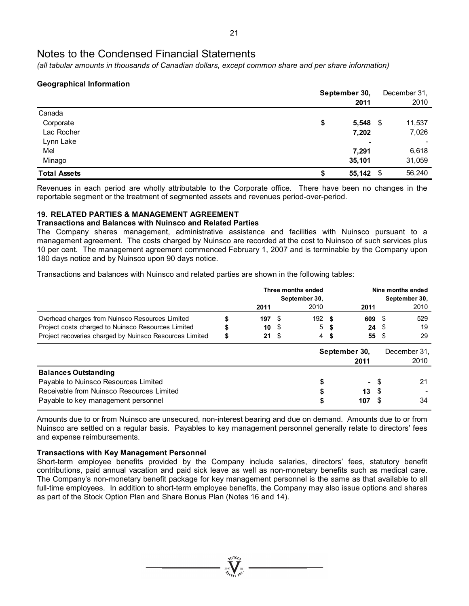*(all tabular amounts in thousands of Canadian dollars, except common share and per share information)* 

# **Geographical Information**

|                     | September 30, |            |  |        |  |  |
|---------------------|---------------|------------|--|--------|--|--|
|                     |               | 2011       |  | 2010   |  |  |
| Canada              |               |            |  |        |  |  |
| Corporate           | \$            | $5,548$ \$ |  | 11,537 |  |  |
| Lac Rocher          |               | 7,202      |  | 7,026  |  |  |
| Lynn Lake           |               | ٠          |  |        |  |  |
| Mel                 |               | 7,291      |  | 6,618  |  |  |
| Minago              |               | 35,101     |  | 31,059 |  |  |
| <b>Total Assets</b> | S             | 55,142 \$  |  | 56,240 |  |  |

Revenues in each period are wholly attributable to the Corporate office. There have been no changes in the reportable segment or the treatment of segmented assets and revenues period-over-period.

# **19. RELATED PARTIES & MANAGEMENT AGREEMENT**

### **Transactions and Balances with Nuinsco and Related Parties**

The Company shares management, administrative assistance and facilities with Nuinsco pursuant to a management agreement. The costs charged by Nuinsco are recorded at the cost to Nuinsco of such services plus 10 per cent. The management agreement commenced February 1, 2007 and is terminable by the Company upon 180 days notice and by Nuinsco upon 90 days notice.

Transactions and balances with Nuinsco and related parties are shown in the following tables:

|                                                         |           | Three months ended |               | Nine months ended |               |    |               |
|---------------------------------------------------------|-----------|--------------------|---------------|-------------------|---------------|----|---------------|
|                                                         |           |                    | September 30, |                   |               |    | September 30, |
|                                                         | 2011      |                    | 2010          |                   | 2011          |    | 2010          |
| Overhead charges from Nuinsco Resources Limited         | 197S      |                    | 192 S         |                   | 609 \$        |    | 529           |
| Project costs charged to Nuinsco Resources Limited      | 10 S      |                    |               | 5 \$              | 24S           |    | 19            |
| Project recoveries charged by Nuinsco Resources Limited | \$<br>21S |                    |               | 4\$               | 55S           |    | 29            |
|                                                         |           |                    |               |                   | September 30, |    | December 31.  |
|                                                         |           |                    |               |                   | 2011          |    | 2010          |
| <b>Balances Outstanding</b>                             |           |                    |               |                   |               |    |               |
| Payable to Nuinsco Resources Limited                    |           |                    | S             |                   | $\sim$        | \$ | 21            |
| Receivable from Nuinsco Resources Limited               |           |                    |               |                   | 13            | -S |               |
| Payable to key management personnel                     |           |                    | S             |                   | 107           |    | 34            |

Amounts due to or from Nuinsco are unsecured, non-interest bearing and due on demand. Amounts due to or from Nuinsco are settled on a regular basis. Payables to key management personnel generally relate to directors' fees and expense reimbursements.

# **Transactions with Key Management Personnel**

Short-term employee benefits provided by the Company include salaries, directors' fees, statutory benefit contributions, paid annual vacation and paid sick leave as well as non-monetary benefits such as medical care. The Company's non-monetary benefit package for key management personnel is the same as that available to all full-time employees. In addition to short-term employee benefits, the Company may also issue options and shares as part of the Stock Option Plan and Share Bonus Plan (Notes 16 and 14).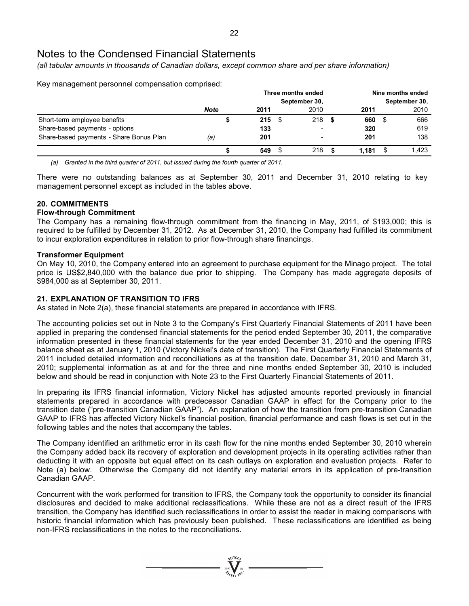*(all tabular amounts in thousands of Canadian dollars, except common share and per share information)* 

Key management personnel compensation comprised:

| <u>.</u>                                |             |           | Three months ended<br>September 30, |      | Nine months ended<br>September 30, |       |      |       |  |
|-----------------------------------------|-------------|-----------|-------------------------------------|------|------------------------------------|-------|------|-------|--|
|                                         | <b>Note</b> | 2011      |                                     | 2010 |                                    | 2011  |      | 2010  |  |
| Short-term employee benefits            |             | $215 \t$$ |                                     | 218S |                                    | 660   | - \$ | 666   |  |
| Share-based payments - options          |             | 133       |                                     |      |                                    | 320   |      | 619   |  |
| Share-based payments - Share Bonus Plan | (a)         | 201       |                                     |      |                                    | 201   |      | 138   |  |
|                                         |             | 549       |                                     | 218  |                                    | 1.181 |      | 1.423 |  |

*(a) Granted in the third quarter of 2011, but issued during the fourth quarter of 2011.* 

There were no outstanding balances as at September 30, 2011 and December 31, 2010 relating to key management personnel except as included in the tables above.

# **20. COMMITMENTS**

### **Flow-through Commitment**

The Company has a remaining flow-through commitment from the financing in May, 2011, of \$193,000; this is required to be fulfilled by December 31, 2012. As at December 31, 2010, the Company had fulfilled its commitment to incur exploration expenditures in relation to prior flow-through share financings.

### **Transformer Equipment**

On May 10, 2010, the Company entered into an agreement to purchase equipment for the Minago project. The total price is US\$2,840,000 with the balance due prior to shipping. The Company has made aggregate deposits of \$984,000 as at September 30, 2011.

# **21. EXPLANATION OF TRANSITION TO IFRS**

As stated in Note 2(a), these financial statements are prepared in accordance with IFRS.

The accounting policies set out in Note 3 to the Company's First Quarterly Financial Statements of 2011 have been applied in preparing the condensed financial statements for the period ended September 30, 2011, the comparative information presented in these financial statements for the year ended December 31, 2010 and the opening IFRS balance sheet as at January 1, 2010 (Victory Nickel's date of transition). The First Quarterly Financial Statements of 2011 included detailed information and reconciliations as at the transition date, December 31, 2010 and March 31, 2010; supplemental information as at and for the three and nine months ended September 30, 2010 is included below and should be read in conjunction with Note 23 to the First Quarterly Financial Statements of 2011.

In preparing its IFRS financial information, Victory Nickel has adjusted amounts reported previously in financial statements prepared in accordance with predecessor Canadian GAAP in effect for the Company prior to the transition date ("pre-transition Canadian GAAP"). An explanation of how the transition from pre-transition Canadian GAAP to IFRS has affected Victory Nickel's financial position, financial performance and cash flows is set out in the following tables and the notes that accompany the tables.

The Company identified an arithmetic error in its cash flow for the nine months ended September 30, 2010 wherein the Company added back its recovery of exploration and development projects in its operating activities rather than deducting it with an opposite but equal effect on its cash outlays on exploration and evaluation projects. Refer to Note (a) below. Otherwise the Company did not identify any material errors in its application of pre-transition Canadian GAAP.

Concurrent with the work performed for transition to IFRS, the Company took the opportunity to consider its financial disclosures and decided to make additional reclassifications. While these are not as a direct result of the IFRS transition, the Company has identified such reclassifications in order to assist the reader in making comparisons with historic financial information which has previously been published. These reclassifications are identified as being non-IFRS reclassifications in the notes to the reconciliations.

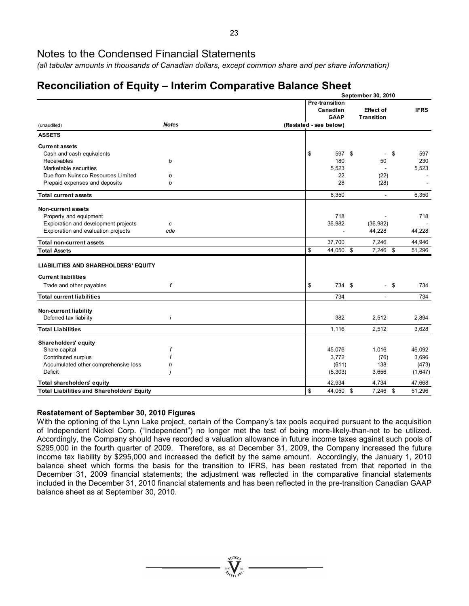*(all tabular amounts in thousands of Canadian dollars, except common share and per share information)* 

# **Reconciliation of Equity – Interim Comparative Balance Sheet**

|                                                   |                                           | September 30, 2010                    |    |             |  |
|---------------------------------------------------|-------------------------------------------|---------------------------------------|----|-------------|--|
|                                                   | Pre-transition<br>Canadian<br><b>GAAP</b> | <b>Effect of</b><br><b>Transition</b> |    | <b>IFRS</b> |  |
| <b>Notes</b><br>(unaudited)                       | (Restated - see below)                    |                                       |    |             |  |
| <b>ASSETS</b>                                     |                                           |                                       |    |             |  |
| <b>Current assets</b>                             |                                           |                                       |    |             |  |
| Cash and cash equivalents                         | \$<br>597 \$                              | $\blacksquare$                        | \$ | 597         |  |
| Receivables<br>b                                  | 180                                       | 50                                    |    | 230         |  |
| Marketable securities                             | 5,523                                     |                                       |    | 5,523       |  |
| Due from Nuinsco Resources Limited<br>b           | 22                                        | (22)                                  |    |             |  |
| b<br>Prepaid expenses and deposits                | 28                                        | (28)                                  |    |             |  |
| <b>Total current assets</b>                       | 6,350                                     | $\omega$                              |    | 6,350       |  |
| Non-current assets                                |                                           |                                       |    |             |  |
| Property and equipment                            | 718                                       |                                       |    | 718         |  |
| Exploration and development projects<br>c         | 36,982                                    | (36, 982)                             |    |             |  |
| Exploration and evaluation projects<br>cde        |                                           | 44,228                                |    | 44,228      |  |
| Total non-current assets                          | 37,700                                    | 7,246                                 |    | 44,946      |  |
| <b>Total Assets</b>                               | \$<br>44,050 \$                           | 7,246 \$                              |    | 51,296      |  |
| <b>LIABILITIES AND SHAREHOLDERS' EQUITY</b>       |                                           |                                       |    |             |  |
| <b>Current liabilities</b>                        |                                           |                                       |    |             |  |
| Trade and other payables<br>f                     | \$<br>734 \$                              | $-$ \$                                |    | 734         |  |
| <b>Total current liabilities</b>                  | 734                                       | $\overline{\phantom{a}}$              |    | 734         |  |
| Non-current liability                             |                                           |                                       |    |             |  |
| Deferred tax liability<br>i                       | 382                                       | 2,512                                 |    | 2,894       |  |
| <b>Total Liabilities</b>                          | 1,116                                     | 2,512                                 |    | 3,628       |  |
| Shareholders' equity                              |                                           |                                       |    |             |  |
| Share capital<br>f                                | 45,076                                    | 1,016                                 |    | 46,092      |  |
| Contributed surplus                               | 3,772                                     | (76)                                  |    | 3,696       |  |
| Accumulated other comprehensive loss<br>h         | (611)                                     | 138                                   |    | (473)       |  |
| Deficit                                           | (5, 303)                                  | 3,656                                 |    | (1,647)     |  |
| Total shareholders' equity                        | 42,934                                    | 4,734                                 |    | 47,668      |  |
| <b>Total Liabilities and Shareholders' Equity</b> | \$<br>44,050 \$                           | 7,246 \$                              |    | 51,296      |  |

# **Restatement of September 30, 2010 Figures**

With the optioning of the Lynn Lake project, certain of the Company's tax pools acquired pursuant to the acquisition of Independent Nickel Corp. ("Independent") no longer met the test of being more-likely-than-not to be utilized. Accordingly, the Company should have recorded a valuation allowance in future income taxes against such pools of \$295,000 in the fourth quarter of 2009. Therefore, as at December 31, 2009, the Company increased the future income tax liability by \$295,000 and increased the deficit by the same amount. Accordingly, the January 1, 2010 balance sheet which forms the basis for the transition to IFRS, has been restated from that reported in the December 31, 2009 financial statements; the adjustment was reflected in the comparative financial statements included in the December 31, 2010 financial statements and has been reflected in the pre-transition Canadian GAAP balance sheet as at September 30, 2010.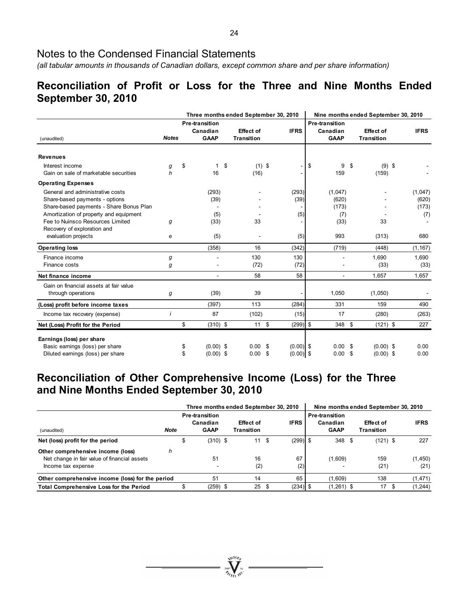*(all tabular amounts in thousands of Canadian dollars, except common share and per share information)* 

# **Reconciliation of Profit or Loss for the Three and Nine Months Ended September 30, 2010**

|                                                                                                                                                         |              |                                                  | Three months ended September 30, 2010 |                      | Nine months ended September 30, 2010 |                                  |      |                                       |                                  |
|---------------------------------------------------------------------------------------------------------------------------------------------------------|--------------|--------------------------------------------------|---------------------------------------|----------------------|--------------------------------------|----------------------------------|------|---------------------------------------|----------------------------------|
| (unaudited)                                                                                                                                             | <b>Notes</b> | <b>Pre-transition</b><br>Canadian<br><b>GAAP</b> | <b>Effect of</b><br><b>Transition</b> | <b>IFRS</b>          | Pre-transition                       | Canadian<br><b>GAAP</b>          |      | <b>Effect of</b><br><b>Transition</b> | <b>IFRS</b>                      |
| <b>Revenues</b>                                                                                                                                         |              |                                                  |                                       |                      |                                      |                                  |      |                                       |                                  |
| Interest income<br>Gain on sale of marketable securities                                                                                                | g<br>h       | \$<br>$\mathbf 1$<br>16                          | \$<br>$(1)$ \$<br>(16)                |                      | \$                                   | 9<br>159                         | \$   | $(9)$ \$<br>(159)                     |                                  |
| <b>Operating Expenses</b>                                                                                                                               |              |                                                  |                                       |                      |                                      |                                  |      |                                       |                                  |
| General and administrative costs<br>Share-based payments - options<br>Share-based payments - Share Bonus Plan<br>Amortization of property and equipment |              | (293)<br>(39)<br>(5)                             |                                       | (293)<br>(39)<br>(5) |                                      | (1,047)<br>(620)<br>(173)<br>(7) |      |                                       | (1,047)<br>(620)<br>(173)<br>(7) |
| Fee to Nuinsco Resources Limited<br>Recovery of exploration and<br>evaluation projects                                                                  | g<br>е       | (33)<br>(5)                                      | 33                                    | (5)                  |                                      | (33)<br>993                      |      | 33<br>(313)                           | 680                              |
| <b>Operating loss</b>                                                                                                                                   |              | (358)                                            | 16                                    | (342)                |                                      | (719)                            |      | (448)                                 | (1, 167)                         |
| Finance income<br>Finance costs                                                                                                                         | g<br>g       |                                                  | 130<br>(72)                           | 130<br>(72)          |                                      |                                  |      | 1,690<br>(33)                         | 1,690<br>(33)                    |
| Net finance income                                                                                                                                      |              |                                                  | 58                                    | 58                   |                                      |                                  |      | 1.657                                 | 1,657                            |
| Gain on financial assets at fair value<br>through operations                                                                                            | g            | (39)                                             | 39                                    |                      |                                      | 1,050                            |      | (1,050)                               |                                  |
| (Loss) profit before income taxes                                                                                                                       |              | (397)                                            | 113                                   | (284)                |                                      | 331                              |      | 159                                   | 490                              |
| Income tax recovery (expense)                                                                                                                           | i            | 87                                               | (102)                                 | (15)                 |                                      | 17                               |      | (280)                                 | (263)                            |
| Net (Loss) Profit for the Period                                                                                                                        |              | \$<br>$(310)$ \$                                 | $11 \quad$ \$                         | $(299)$ \$           |                                      | 348 \$                           |      | $(121)$ \$                            | 227                              |
| Earnings (loss) per share<br>Basic earnings (loss) per share                                                                                            |              | \$<br>$(0.00)$ \$                                | 0.00<br>-\$                           | $(0.00)$ \$          |                                      | 0.00 <sup>5</sup>                |      | $(0.00)$ \$                           | 0.00                             |
| Diluted earnings (loss) per share                                                                                                                       |              | \$<br>$(0.00)$ \$                                | 0.00<br>- \$                          | $(0.00)$ \$          |                                      | 0.00                             | - \$ | $(0.00)$ \$                           | 0.00                             |

# **Reconciliation of Other Comprehensive Income (Loss) for the Three and Nine Months Ended September 30, 2010**

|                                                                                                         |             | Three months ended September 30, 2010 |                                                  |  |                         |      |             |  | Nine months ended September 30, 2010             |      |                         |  |                  |  |  |
|---------------------------------------------------------------------------------------------------------|-------------|---------------------------------------|--------------------------------------------------|--|-------------------------|------|-------------|--|--------------------------------------------------|------|-------------------------|--|------------------|--|--|
| (unaudited)                                                                                             | <b>Note</b> |                                       | <b>Pre-transition</b><br>Canadian<br><b>GAAP</b> |  | Effect of<br>Transition |      | <b>IFRS</b> |  | <b>Pre-transition</b><br>Canadian<br><b>GAAP</b> |      | Effect of<br>Transition |  | <b>IFRS</b>      |  |  |
| Net (loss) profit for the period                                                                        |             | S                                     | $(310)$ \$                                       |  | 11                      | - \$ | $(299)$ \$  |  | 348                                              | - \$ | $(121)$ \$              |  | 227              |  |  |
| Other comprehensive income (loss)<br>Net change in fair value of financial assets<br>Income tax expense | h           |                                       | 51<br>-                                          |  | 16<br>(2)               |      | 67<br>(2)   |  | (1,609)                                          |      | 159<br>(21)             |  | (1, 450)<br>(21) |  |  |
| Other comprehensive income (loss) for the period                                                        |             |                                       | 51                                               |  | 14                      |      | 65          |  | (1,609)                                          |      | 138                     |  | (1, 471)         |  |  |
| <b>Total Comprehensive Loss for the Period</b>                                                          |             |                                       | $(259)$ \$                                       |  | 25                      | - \$ | $(234)$ \$  |  | $(1,261)$ \$                                     |      | 17                      |  | (1, 244)         |  |  |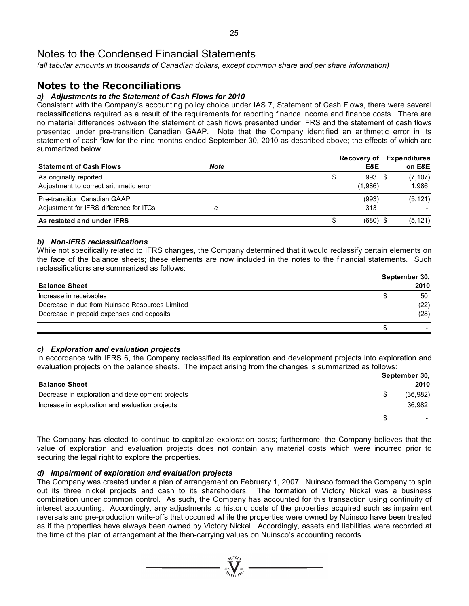*(all tabular amounts in thousands of Canadian dollars, except common share and per share information)* 

# **Notes to the Reconciliations**

# *a) Adjustments to the Statement of Cash Flows for 2010*

Consistent with the Company's accounting policy choice under IAS 7, Statement of Cash Flows, there were several reclassifications required as a result of the requirements for reporting finance income and finance costs. There are no material differences between the statement of cash flows presented under IFRS and the statement of cash flows presented under pre-transition Canadian GAAP. Note that the Company identified an arithmetic error in its statement of cash flow for the nine months ended September 30, 2010 as described above; the effects of which are summarized below.

|                                         |      | <b>Recovery of</b> | <b>Expenditures</b> |
|-----------------------------------------|------|--------------------|---------------------|
| <b>Statement of Cash Flows</b>          | Note | E&E                | on E&E              |
| As originally reported                  |      | 993 \$<br>\$       | (7, 107)            |
| Adjustment to correct arithmetic error  |      | (1,986)            | 1.986               |
| Pre-transition Canadian GAAP            |      | (993)              | (5, 121)            |
| Adjustment for IFRS difference for ITCs | е    | 313                |                     |
| As restated and under IFRS              |      | $(680)$ \$<br>S    | (5, 121)            |

### *b) Non-IFRS reclassifications*

While not specifically related to IFRS changes, the Company determined that it would reclassify certain elements on the face of the balance sheets; these elements are now included in the notes to the financial statements. Such reclassifications are summarized as follows:

|                                                |   | September 30, |  |  |  |  |
|------------------------------------------------|---|---------------|--|--|--|--|
| <b>Balance Sheet</b>                           |   | 2010          |  |  |  |  |
| Increase in receivables                        | S | 50            |  |  |  |  |
| Decrease in due from Nuinsco Resources Limited |   | (22)          |  |  |  |  |
| Decrease in prepaid expenses and deposits      |   | (28)          |  |  |  |  |
|                                                |   |               |  |  |  |  |

# *c) Exploration and evaluation projects*

In accordance with IFRS 6, the Company reclassified its exploration and development projects into exploration and evaluation projects on the balance sheets. The impact arising from the changes is summarized as follows:

| <b>Balance Sheet</b>                                                                                | September 30,<br>2010 |
|-----------------------------------------------------------------------------------------------------|-----------------------|
| Decrease in exploration and development projects<br>Increase in exploration and evaluation projects | (36,982)<br>36,982    |
|                                                                                                     |                       |

The Company has elected to continue to capitalize exploration costs; furthermore, the Company believes that the value of exploration and evaluation projects does not contain any material costs which were incurred prior to securing the legal right to explore the properties.

### *d) Impairment of exploration and evaluation projects*

The Company was created under a plan of arrangement on February 1, 2007. Nuinsco formed the Company to spin out its three nickel projects and cash to its shareholders. The formation of Victory Nickel was a business combination under common control. As such, the Company has accounted for this transaction using continuity of interest accounting. Accordingly, any adjustments to historic costs of the properties acquired such as impairment reversals and pre-production write-offs that occurred while the properties were owned by Nuinsco have been treated as if the properties have always been owned by Victory Nickel. Accordingly, assets and liabilities were recorded at the time of the plan of arrangement at the then-carrying values on Nuinsco's accounting records.

 $\sum_{2007}$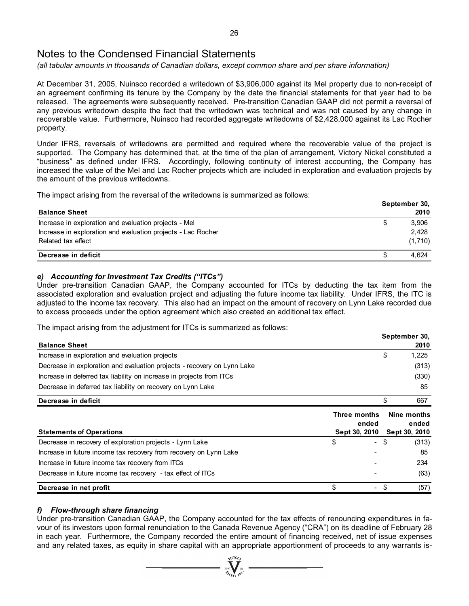*(all tabular amounts in thousands of Canadian dollars, except common share and per share information)* 

At December 31, 2005, Nuinsco recorded a writedown of \$3,906,000 against its Mel property due to non-receipt of an agreement confirming its tenure by the Company by the date the financial statements for that year had to be released. The agreements were subsequently received. Pre-transition Canadian GAAP did not permit a reversal of any previous writedown despite the fact that the writedown was technical and was not caused by any change in recoverable value. Furthermore, Nuinsco had recorded aggregate writedowns of \$2,428,000 against its Lac Rocher property.

Under IFRS, reversals of writedowns are permitted and required where the recoverable value of the project is supported. The Company has determined that, at the time of the plan of arrangement, Victory Nickel constituted a "business" as defined under IFRS. Accordingly, following continuity of interest accounting, the Company has increased the value of the Mel and Lac Rocher projects which are included in exploration and evaluation projects by the amount of the previous writedowns.

The impact arising from the reversal of the writedowns is summarized as follows:

|                                                              |   | September 30, |  |  |  |  |
|--------------------------------------------------------------|---|---------------|--|--|--|--|
| <b>Balance Sheet</b>                                         |   | 2010          |  |  |  |  |
| Increase in exploration and evaluation projects - Mel        | S | 3.906         |  |  |  |  |
| Increase in exploration and evaluation projects - Lac Rocher |   | 2.428         |  |  |  |  |
| Related tax effect                                           |   | (1,710)       |  |  |  |  |
| Decrease in deficit                                          |   | 4.624         |  |  |  |  |

### *e) Accounting for Investment Tax Credits ("ITCs")*

Under pre-transition Canadian GAAP, the Company accounted for ITCs by deducting the tax item from the associated exploration and evaluation project and adjusting the future income tax liability. Under IFRS, the ITC is adjusted to the income tax recovery. This also had an impact on the amount of recovery on Lynn Lake recorded due to excess proceeds under the option agreement which also created an additional tax effect.

The impact arising from the adjustment for ITCs is summarized as follows:

|                                                                           |                | September 30,                         |
|---------------------------------------------------------------------------|----------------|---------------------------------------|
| <b>Balance Sheet</b>                                                      |                | 2010                                  |
| Increase in exploration and evaluation projects                           |                | \$<br>1,225                           |
| Decrease in exploration and evaluation projects - recovery on Lynn Lake   |                | (313)                                 |
| Increase in deferred tax liability on increase in projects from ITCs      |                | (330)                                 |
| Decrease in deferred tax liability on recovery on Lynn Lake               |                | 85                                    |
| Decrease in deficit                                                       |                | \$<br>667                             |
| Three months<br>ended<br><b>Statements of Operations</b><br>Sept 30, 2010 |                | Nine months<br>ended<br>Sept 30, 2010 |
| \$<br>Decrease in recovery of exploration projects - Lynn Lake            | $\blacksquare$ | \$<br>(313)                           |
| Increase in future income tax recovery from recovery on Lynn Lake         |                | 85                                    |
| Increase in future income tax recovery from ITCs                          |                | 234                                   |
| Decrease in future income tax recovery - tax effect of ITCs               |                | (63)                                  |
| \$<br>Decrease in net profit                                              |                | \$<br>(57)                            |

# *f) Flow-through share financing*

Under pre-transition Canadian GAAP, the Company accounted for the tax effects of renouncing expenditures in favour of its investors upon formal renunciation to the Canada Revenue Agency ("CRA") on its deadline of February 28 in each year. Furthermore, the Company recorded the entire amount of financing received, net of issue expenses and any related taxes, as equity in share capital with an appropriate apportionment of proceeds to any warrants is-

 $\sum_{\alpha}$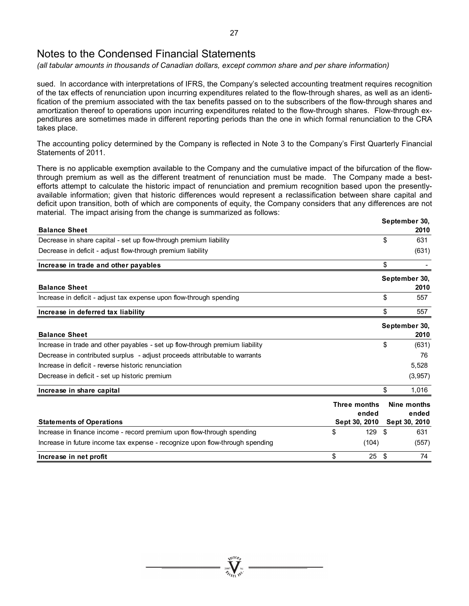*(all tabular amounts in thousands of Canadian dollars, except common share and per share information)* 

sued. In accordance with interpretations of IFRS, the Company's selected accounting treatment requires recognition of the tax effects of renunciation upon incurring expenditures related to the flow-through shares, as well as an identification of the premium associated with the tax benefits passed on to the subscribers of the flow-through shares and amortization thereof to operations upon incurring expenditures related to the flow-through shares. Flow-through expenditures are sometimes made in different reporting periods than the one in which formal renunciation to the CRA takes place.

The accounting policy determined by the Company is reflected in Note 3 to the Company's First Quarterly Financial Statements of 2011.

There is no applicable exemption available to the Company and the cumulative impact of the bifurcation of the flowthrough premium as well as the different treatment of renunciation must be made. The Company made a bestefforts attempt to calculate the historic impact of renunciation and premium recognition based upon the presentlyavailable information; given that historic differences would represent a reclassification between share capital and deficit upon transition, both of which are components of equity, the Company considers that any differences are not material. The impact arising from the change is summarized as follows:

|                                                                              |               |      | September 30, |
|------------------------------------------------------------------------------|---------------|------|---------------|
| <b>Balance Sheet</b>                                                         |               |      | 2010          |
| Decrease in share capital - set up flow-through premium liability            |               | \$   | 631           |
| Decrease in deficit - adjust flow-through premium liability                  |               |      | (631)         |
| Increase in trade and other payables                                         |               | \$   |               |
|                                                                              |               |      | September 30, |
| <b>Balance Sheet</b>                                                         |               |      | 2010          |
| Increase in deficit - adjust tax expense upon flow-through spending          |               | \$   | 557           |
| Increase in deferred tax liability                                           |               | \$   | 557           |
|                                                                              |               |      | September 30, |
| <b>Balance Sheet</b>                                                         |               |      | 2010          |
| Increase in trade and other payables - set up flow-through premium liability |               | \$   | (631)         |
| Decrease in contributed surplus - adjust proceeds attributable to warrants   |               |      | 76            |
| Increase in deficit - reverse historic renunciation                          |               |      | 5,528         |
| Decrease in deficit - set up historic premium                                |               |      | (3,957)       |
| Increase in share capital                                                    |               | \$   | 1,016         |
|                                                                              | Three months  |      | Nine months   |
|                                                                              | ended         |      | ended         |
| <b>Statements of Operations</b>                                              | Sept 30, 2010 |      | Sept 30, 2010 |
| Increase in finance income - record premium upon flow-through spending       | \$<br>129     | -\$  | 631           |
| Increase in future income tax expense - recognize upon flow-through spending | (104)         |      | (557)         |
| Increase in net profit                                                       | \$<br>25      | - \$ | 74            |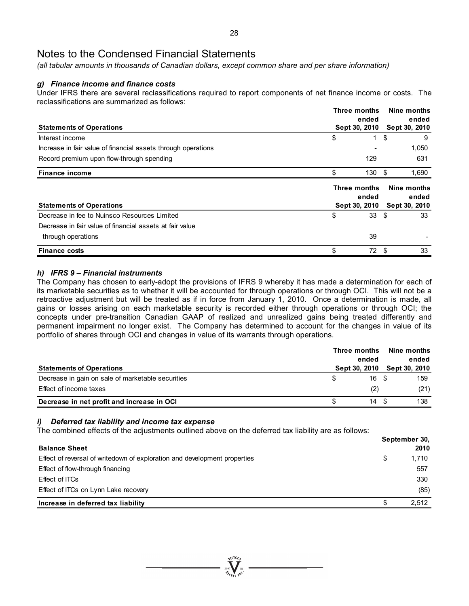*(all tabular amounts in thousands of Canadian dollars, except common share and per share information)* 

# *g) Finance income and finance costs*

Under IFRS there are several reclassifications required to report components of net finance income or costs. The reclassifications are summarized as follows:

|                                                               | Three months  |       |               |       |  |
|---------------------------------------------------------------|---------------|-------|---------------|-------|--|
|                                                               |               | ended |               | ended |  |
| <b>Statements of Operations</b>                               | Sept 30, 2010 |       | Sept 30, 2010 |       |  |
| Interest income                                               | \$            | 1.    | \$            | 9     |  |
| Increase in fair value of financial assets through operations |               |       |               | 1,050 |  |
| Record premium upon flow-through spending                     |               | 129   |               | 631   |  |
| <b>Finance income</b>                                         | \$            | 130   | -\$           | 1,690 |  |
|                                                               |               |       |               |       |  |
|                                                               | Three months  |       | Nine months   |       |  |
|                                                               |               | ended |               | ended |  |
| <b>Statements of Operations</b>                               | Sept 30, 2010 |       | Sept 30, 2010 |       |  |
| Decrease in fee to Nuinsco Resources Limited                  | \$            | 33    | - \$          | 33    |  |
| Decrease in fair value of financial assets at fair value      |               |       |               |       |  |
| through operations                                            |               | 39    |               |       |  |

# *h) IFRS 9 – Financial instruments*

The Company has chosen to early-adopt the provisions of IFRS 9 whereby it has made a determination for each of its marketable securities as to whether it will be accounted for through operations or through OCI. This will not be a retroactive adjustment but will be treated as if in force from January 1, 2010. Once a determination is made, all gains or losses arising on each marketable security is recorded either through operations or through OCI; the concepts under pre-transition Canadian GAAP of realized and unrealized gains being treated differently and permanent impairment no longer exist. The Company has determined to account for the changes in value of its portfolio of shares through OCI and changes in value of its warrants through operations.

|                                                   | Three months<br>ended |       |  |                             |  |
|---------------------------------------------------|-----------------------|-------|--|-----------------------------|--|
| <b>Statements of Operations</b>                   |                       |       |  | Sept 30, 2010 Sept 30, 2010 |  |
| Decrease in gain on sale of marketable securities | S                     | 16 \$ |  | 159                         |  |
| Effect of income taxes                            |                       | (2)   |  | (21)                        |  |
| Decrease in net profit and increase in OCI        |                       | 14 S  |  | 138                         |  |

### *i) Deferred tax liability and income tax expense*

The combined effects of the adjustments outlined above on the deferred tax liability are as follows:

|                                                                           | September 30, |       |  |  |
|---------------------------------------------------------------------------|---------------|-------|--|--|
| <b>Balance Sheet</b>                                                      |               | 2010  |  |  |
| Effect of reversal of writedown of exploration and development properties | \$            | 1,710 |  |  |
| Effect of flow-through financing                                          |               | 557   |  |  |
| Effect of ITCs                                                            |               | 330   |  |  |
| Effect of ITCs on Lynn Lake recovery                                      |               | (85)  |  |  |
| Increase in deferred tax liability                                        | S             | 2.512 |  |  |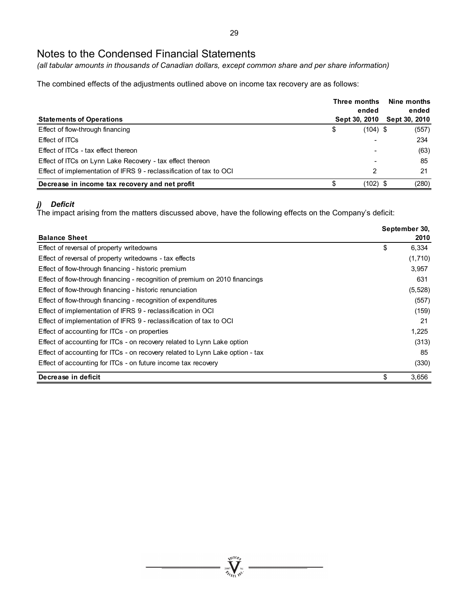*(all tabular amounts in thousands of Canadian dollars, except common share and per share information)* 

The combined effects of the adjustments outlined above on income tax recovery are as follows:

|                                                                     | Three months  | Nine months<br>ended<br>ended |       |  |
|---------------------------------------------------------------------|---------------|-------------------------------|-------|--|
| <b>Statements of Operations</b>                                     | Sept 30, 2010 | <b>Sept 30, 2010</b>          |       |  |
| Effect of flow-through financing                                    | \$            | $(104)$ \$                    | (557) |  |
| Effect of ITCs                                                      |               |                               | 234   |  |
| Effect of ITCs - tax effect thereon                                 |               |                               | (63)  |  |
| Effect of ITCs on Lynn Lake Recovery - tax effect thereon           |               |                               | 85    |  |
| Effect of implementation of IFRS 9 - reclassification of tax to OCI |               | 2                             | 21    |  |
| Decrease in income tax recovery and net profit                      | \$            | $(102)$ \$                    | (280) |  |

# *j) Deficit*

The impact arising from the matters discussed above, have the following effects on the Company's deficit:

|                                                                               | September 30, |
|-------------------------------------------------------------------------------|---------------|
| <b>Balance Sheet</b>                                                          | 2010          |
| Effect of reversal of property writedowns                                     | \$<br>6,334   |
| Effect of reversal of property writedowns - tax effects                       | (1,710)       |
| Effect of flow-through financing - historic premium                           | 3,957         |
| Effect of flow-through financing - recognition of premium on 2010 financings  | 631           |
| Effect of flow-through financing - historic renunciation                      | (5, 528)      |
| Effect of flow-through financing - recognition of expenditures                | (557)         |
| Effect of implementation of IFRS 9 - reclassification in OCI                  | (159)         |
| Effect of implementation of IFRS 9 - reclassification of tax to OCI           | 21            |
| Effect of accounting for ITCs - on properties                                 | 1,225         |
| Effect of accounting for ITCs - on recovery related to Lynn Lake option       | (313)         |
| Effect of accounting for ITCs - on recovery related to Lynn Lake option - tax | 85            |
| Effect of accounting for ITCs - on future income tax recovery                 | (330)         |
| Decrease in deficit                                                           | \$<br>3,656   |

 $\sum_{\substack{\mathbf{2007}\\ \mathbf{2007}}} \prod_{\mathbf{N} \in \mathbf{10} \mathbb{N}^{\mathbf{C}}} \mathbf{w}^{\mathbf{C}}$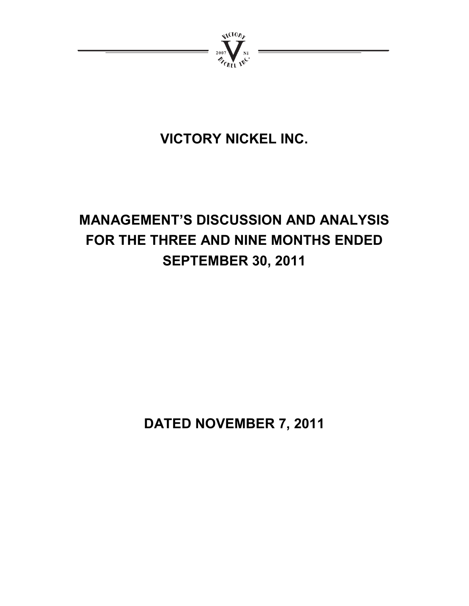

# **VICTORY NICKEL INC.**

# **MANAGEMENT'S DISCUSSION AND ANALYSIS FOR THE THREE AND NINE MONTHS ENDED SEPTEMBER 30, 2011**

**DATED NOVEMBER 7, 2011**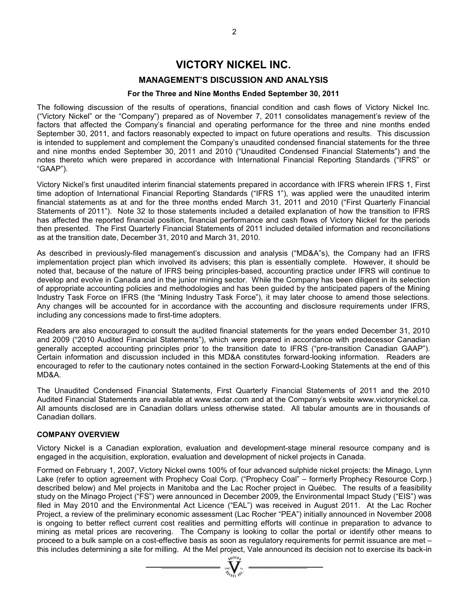# **VICTORY NICKEL INC.**

# **MANAGEMENT'S DISCUSSION AND ANALYSIS**

### **For the Three and Nine Months Ended September 30, 2011**

The following discussion of the results of operations, financial condition and cash flows of Victory Nickel Inc. ("Victory Nickel" or the "Company") prepared as of November 7, 2011 consolidates management's review of the factors that affected the Company's financial and operating performance for the three and nine months ended September 30, 2011, and factors reasonably expected to impact on future operations and results. This discussion is intended to supplement and complement the Company's unaudited condensed financial statements for the three and nine months ended September 30, 2011 and 2010 ("Unaudited Condensed Financial Statements") and the notes thereto which were prepared in accordance with International Financial Reporting Standards ("IFRS" or "GAAP").

Victory Nickel's first unaudited interim financial statements prepared in accordance with IFRS wherein IFRS 1, First time adoption of International Financial Reporting Standards ("IFRS 1"), was applied were the unaudited interim financial statements as at and for the three months ended March 31, 2011 and 2010 ("First Quarterly Financial Statements of 2011"). Note 32 to those statements included a detailed explanation of how the transition to IFRS has affected the reported financial position, financial performance and cash flows of Victory Nickel for the periods then presented. The First Quarterly Financial Statements of 2011 included detailed information and reconciliations as at the transition date, December 31, 2010 and March 31, 2010.

As described in previously-filed management's discussion and analysis ("MD&A"s), the Company had an IFRS implementation project plan which involved its advisers; this plan is essentially complete. However, it should be noted that, because of the nature of IFRS being principles-based, accounting practice under IFRS will continue to develop and evolve in Canada and in the junior mining sector. While the Company has been diligent in its selection of appropriate accounting policies and methodologies and has been guided by the anticipated papers of the Mining Industry Task Force on IFRS (the "Mining Industry Task Force"), it may later choose to amend those selections. Any changes will be accounted for in accordance with the accounting and disclosure requirements under IFRS, including any concessions made to first-time adopters.

Readers are also encouraged to consult the audited financial statements for the years ended December 31, 2010 and 2009 ("2010 Audited Financial Statements"), which were prepared in accordance with predecessor Canadian generally accepted accounting principles prior to the transition date to IFRS ("pre-transition Canadian GAAP"). Certain information and discussion included in this MD&A constitutes forward-looking information. Readers are encouraged to refer to the cautionary notes contained in the section Forward-Looking Statements at the end of this MD&A.

The Unaudited Condensed Financial Statements, First Quarterly Financial Statements of 2011 and the 2010 Audited Financial Statements are available at www.sedar.com and at the Company's website www.victorynickel.ca. All amounts disclosed are in Canadian dollars unless otherwise stated. All tabular amounts are in thousands of Canadian dollars.

#### **COMPANY OVERVIEW**

Victory Nickel is a Canadian exploration, evaluation and development-stage mineral resource company and is engaged in the acquisition, exploration, evaluation and development of nickel projects in Canada.

Formed on February 1, 2007, Victory Nickel owns 100% of four advanced sulphide nickel projects: the Minago, Lynn Lake (refer to option agreement with Prophecy Coal Corp. ("Prophecy Coal" – formerly Prophecy Resource Corp.) described below) and Mel projects in Manitoba and the Lac Rocher project in Québec. The results of a feasibility study on the Minago Project ("FS") were announced in December 2009, the Environmental Impact Study ("EIS") was filed in May 2010 and the Environmental Act Licence ("EAL") was received in August 2011. At the Lac Rocher Project, a review of the preliminary economic assessment (Lac Rocher "PEA") initially announced in November 2008 is ongoing to better reflect current cost realities and permitting efforts will continue in preparation to advance to mining as metal prices are recovering. The Company is looking to collar the portal or identify other means to proceed to a bulk sample on a cost-effective basis as soon as regulatory requirements for permit issuance are met – this includes determining a site for milling. At the Mel project, Vale announced its decision not to exercise its back-in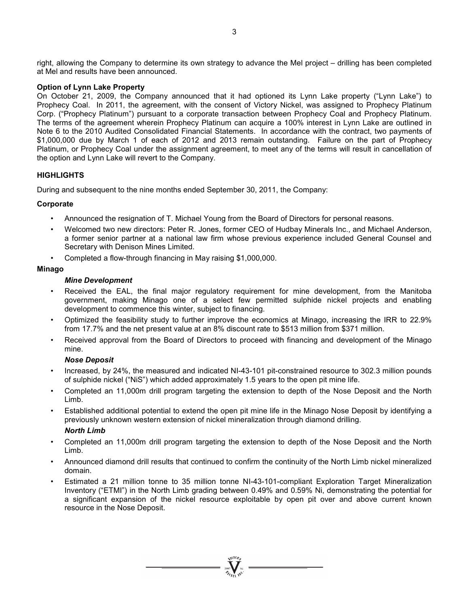right, allowing the Company to determine its own strategy to advance the Mel project – drilling has been completed at Mel and results have been announced.

### **Option of Lynn Lake Property**

On October 21, 2009, the Company announced that it had optioned its Lynn Lake property ("Lynn Lake") to Prophecy Coal. In 2011, the agreement, with the consent of Victory Nickel, was assigned to Prophecy Platinum Corp. ("Prophecy Platinum") pursuant to a corporate transaction between Prophecy Coal and Prophecy Platinum. The terms of the agreement wherein Prophecy Platinum can acquire a 100% interest in Lynn Lake are outlined in Note 6 to the 2010 Audited Consolidated Financial Statements. In accordance with the contract, two payments of \$1,000,000 due by March 1 of each of 2012 and 2013 remain outstanding. Failure on the part of Prophecy Platinum, or Prophecy Coal under the assignment agreement, to meet any of the terms will result in cancellation of the option and Lynn Lake will revert to the Company.

### **HIGHLIGHTS**

During and subsequent to the nine months ended September 30, 2011, the Company:

### **Corporate**

- Announced the resignation of T. Michael Young from the Board of Directors for personal reasons.
- Welcomed two new directors: Peter R. Jones, former CEO of Hudbay Minerals Inc., and Michael Anderson, a former senior partner at a national law firm whose previous experience included General Counsel and Secretary with Denison Mines Limited.
- Completed a flow-through financing in May raising \$1,000,000.

### **Minago**

### *Mine Development*

- Received the EAL, the final major regulatory reguirement for mine development, from the Manitoba government, making Minago one of a select few permitted sulphide nickel projects and enabling development to commence this winter, subject to financing.
- Optimized the feasibility study to further improve the economics at Minago, increasing the IRR to 22.9% from 17.7% and the net present value at an 8% discount rate to \$513 million from \$371 million.
- Received approval from the Board of Directors to proceed with financing and development of the Minago mine.

### *Nose Deposit*

- Increased, by 24%, the measured and indicated NI-43-101 pit-constrained resource to 302.3 million pounds of sulphide nickel ("NiS") which added approximately 1.5 years to the open pit mine life.
- Completed an 11,000m drill program targeting the extension to depth of the Nose Deposit and the North Limb.
- Established additional potential to extend the open pit mine life in the Minago Nose Deposit by identifying a previously unknown western extension of nickel mineralization through diamond drilling.

### *North Limb*

- Completed an 11,000m drill program targeting the extension to depth of the Nose Deposit and the North Limb.
- Announced diamond drill results that continued to confirm the continuity of the North Limb nickel mineralized domain.
- Estimated a 21 million tonne to 35 million tonne NI-43-101-compliant Exploration Target Mineralization Inventory ("ETMI") in the North Limb grading between 0.49% and 0.59% Ni, demonstrating the potential for a significant expansion of the nickel resource exploitable by open pit over and above current known resource in the Nose Deposit.

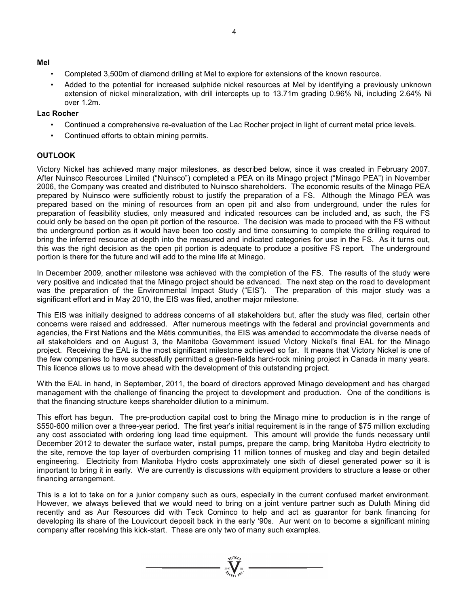### **Mel**

- Completed 3,500m of diamond drilling at Mel to explore for extensions of the known resource.
- Added to the potential for increased sulphide nickel resources at Mel by identifying a previously unknown extension of nickel mineralization, with drill intercepts up to 13.71m grading 0.96% Ni, including 2.64% Ni over 1.2m.

### **Lac Rocher**

- Continued a comprehensive re-evaluation of the Lac Rocher project in light of current metal price levels.
- Continued efforts to obtain mining permits.

# **OUTLOOK**

Victory Nickel has achieved many major milestones, as described below, since it was created in February 2007. After Nuinsco Resources Limited ("Nuinsco") completed a PEA on its Minago project ("Minago PEA") in November 2006, the Company was created and distributed to Nuinsco shareholders. The economic results of the Minago PEA prepared by Nuinsco were sufficiently robust to justify the preparation of a FS. Although the Minago PEA was prepared based on the mining of resources from an open pit and also from underground, under the rules for preparation of feasibility studies, only measured and indicated resources can be included and, as such, the FS could only be based on the open pit portion of the resource. The decision was made to proceed with the FS without the underground portion as it would have been too costly and time consuming to complete the drilling required to bring the inferred resource at depth into the measured and indicated categories for use in the FS. As it turns out, this was the right decision as the open pit portion is adequate to produce a positive FS report. The underground portion is there for the future and will add to the mine life at Minago.

In December 2009, another milestone was achieved with the completion of the FS. The results of the study were very positive and indicated that the Minago project should be advanced. The next step on the road to development was the preparation of the Environmental Impact Study ("EIS"). The preparation of this major study was a significant effort and in May 2010, the EIS was filed, another major milestone.

This EIS was initially designed to address concerns of all stakeholders but, after the study was filed, certain other concerns were raised and addressed. After numerous meetings with the federal and provincial governments and agencies, the First Nations and the Métis communities, the EIS was amended to accommodate the diverse needs of all stakeholders and on August 3, the Manitoba Government issued Victory Nickel's final EAL for the Minago project. Receiving the EAL is the most significant milestone achieved so far. It means that Victory Nickel is one of the few companies to have successfully permitted a green-fields hard-rock mining project in Canada in many years. This licence allows us to move ahead with the development of this outstanding project.

With the EAL in hand, in September, 2011, the board of directors approved Minago development and has charged management with the challenge of financing the project to development and production. One of the conditions is that the financing structure keeps shareholder dilution to a minimum.

This effort has begun. The pre-production capital cost to bring the Minago mine to production is in the range of \$550-600 million over a three-year period. The first year's initial requirement is in the range of \$75 million excluding any cost associated with ordering long lead time equipment. This amount will provide the funds necessary until December 2012 to dewater the surface water, install pumps, prepare the camp, bring Manitoba Hydro electricity to the site, remove the top layer of overburden comprising 11 million tonnes of muskeg and clay and begin detailed engineering. Electricity from Manitoba Hydro costs approximately one sixth of diesel generated power so it is important to bring it in early. We are currently is discussions with equipment providers to structure a lease or other financing arrangement.

This is a lot to take on for a junior company such as ours, especially in the current confused market environment. However, we always believed that we would need to bring on a joint venture partner such as Duluth Mining did recently and as Aur Resources did with Teck Cominco to help and act as guarantor for bank financing for developing its share of the Louvicourt deposit back in the early '90s. Aur went on to become a significant mining company after receiving this kick-start. These are only two of many such examples.

 $\sum_{2007}$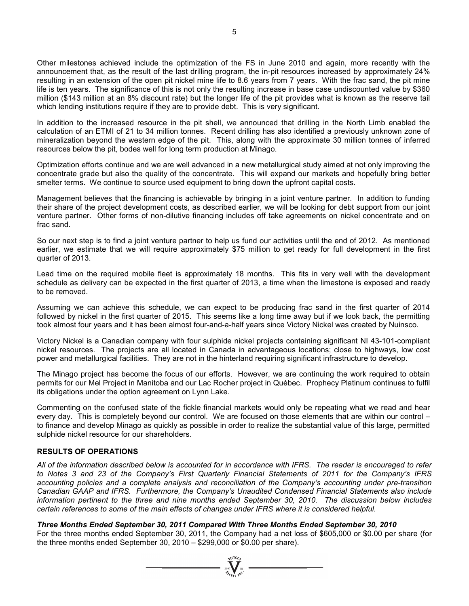Other milestones achieved include the optimization of the FS in June 2010 and again, more recently with the announcement that, as the result of the last drilling program, the in-pit resources increased by approximately 24% resulting in an extension of the open pit nickel mine life to 8.6 years from 7 years. With the frac sand, the pit mine life is ten years. The significance of this is not only the resulting increase in base case undiscounted value by \$360 million (\$143 million at an 8% discount rate) but the longer life of the pit provides what is known as the reserve tail which lending institutions require if they are to provide debt. This is very significant.

In addition to the increased resource in the pit shell, we announced that drilling in the North Limb enabled the calculation of an ETMI of 21 to 34 million tonnes. Recent drilling has also identified a previously unknown zone of mineralization beyond the western edge of the pit. This, along with the approximate 30 million tonnes of inferred resources below the pit, bodes well for long term production at Minago.

Optimization efforts continue and we are well advanced in a new metallurgical study aimed at not only improving the concentrate grade but also the quality of the concentrate. This will expand our markets and hopefully bring better smelter terms. We continue to source used equipment to bring down the upfront capital costs.

Management believes that the financing is achievable by bringing in a joint venture partner. In addition to funding their share of the project development costs, as described earlier, we will be looking for debt support from our joint venture partner. Other forms of non-dilutive financing includes off take agreements on nickel concentrate and on frac sand.

So our next step is to find a joint venture partner to help us fund our activities until the end of 2012. As mentioned earlier, we estimate that we will require approximately \$75 million to get ready for full development in the first quarter of 2013.

Lead time on the required mobile fleet is approximately 18 months. This fits in very well with the development schedule as delivery can be expected in the first quarter of 2013, a time when the limestone is exposed and ready to be removed.

Assuming we can achieve this schedule, we can expect to be producing frac sand in the first quarter of 2014 followed by nickel in the first quarter of 2015. This seems like a long time away but if we look back, the permitting took almost four years and it has been almost four-and-a-half years since Victory Nickel was created by Nuinsco.

Victory Nickel is a Canadian company with four sulphide nickel projects containing significant NI 43-101-compliant nickel resources. The projects are all located in Canada in advantageous locations; close to highways, low cost power and metallurgical facilities. They are not in the hinterland requiring significant infrastructure to develop.

The Minago project has become the focus of our efforts. However, we are continuing the work required to obtain permits for our Mel Project in Manitoba and our Lac Rocher project in Québec. Prophecy Platinum continues to fulfil its obligations under the option agreement on Lynn Lake.

Commenting on the confused state of the fickle financial markets would only be repeating what we read and hear every day. This is completely beyond our control. We are focused on those elements that are within our control – to finance and develop Minago as quickly as possible in order to realize the substantial value of this large, permitted sulphide nickel resource for our shareholders.

# **RESULTS OF OPERATIONS**

*All of the information described below is accounted for in accordance with IFRS. The reader is encouraged to refer to Notes 3 and 23 of the Company's First Quarterly Financial Statements of 2011 for the Company's IFRS accounting policies and a complete analysis and reconciliation of the Company's accounting under pre-transition Canadian GAAP and IFRS. Furthermore, the Company's Unaudited Condensed Financial Statements also include information pertinent to the three and nine months ended September 30, 2010. The discussion below includes certain references to some of the main effects of changes under IFRS where it is considered helpful.* 

*Three Months Ended September 30, 2011 Compared With Three Months Ended September 30, 2010* 

For the three months ended September 30, 2011, the Company had a net loss of \$605,000 or \$0.00 per share (for the three months ended September 30, 2010 – \$299,000 or \$0.00 per share).

 $\sum_{2007}$   $\sum_{\ell_{f} \in \mathcal{N}_{\ell}}^{N(\ell_{f} \cup \ell_{f})}$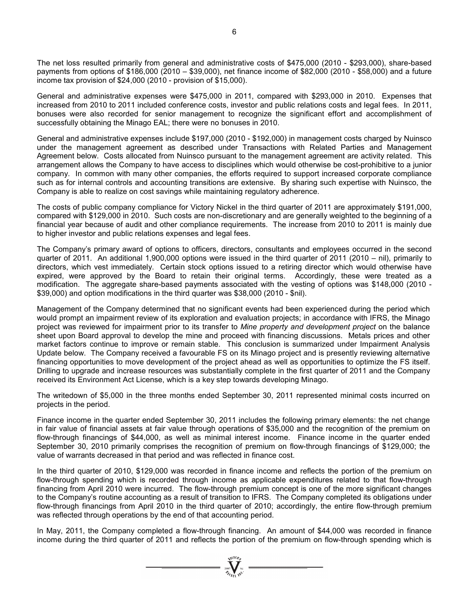The net loss resulted primarily from general and administrative costs of \$475,000 (2010 - \$293,000), share-based payments from options of \$186,000 (2010 – \$39,000), net finance income of \$82,000 (2010 - \$58,000) and a future income tax provision of \$24,000 (2010 - provision of \$15,000).

General and administrative expenses were \$475,000 in 2011, compared with \$293,000 in 2010. Expenses that increased from 2010 to 2011 included conference costs, investor and public relations costs and legal fees. In 2011, bonuses were also recorded for senior management to recognize the significant effort and accomplishment of successfully obtaining the Minago EAL; there were no bonuses in 2010.

General and administrative expenses include \$197,000 (2010 - \$192,000) in management costs charged by Nuinsco under the management agreement as described under Transactions with Related Parties and Management Agreement below. Costs allocated from Nuinsco pursuant to the management agreement are activity related. This arrangement allows the Company to have access to disciplines which would otherwise be cost-prohibitive to a junior company. In common with many other companies, the efforts required to support increased corporate compliance such as for internal controls and accounting transitions are extensive. By sharing such expertise with Nuinsco, the Company is able to realize on cost savings while maintaining regulatory adherence.

The costs of public company compliance for Victory Nickel in the third quarter of 2011 are approximately \$191,000, compared with \$129,000 in 2010. Such costs are non-discretionary and are generally weighted to the beginning of a financial year because of audit and other compliance requirements. The increase from 2010 to 2011 is mainly due to higher investor and public relations expenses and legal fees.

The Company's primary award of options to officers, directors, consultants and employees occurred in the second quarter of 2011. An additional 1,900,000 options were issued in the third quarter of 2011 (2010 – nil), primarily to directors, which vest immediately. Certain stock options issued to a retiring director which would otherwise have expired, were approved by the Board to retain their original terms. Accordingly, these were treated as a modification. The aggregate share-based payments associated with the vesting of options was \$148,000 (2010 - \$39,000) and option modifications in the third quarter was \$38,000 (2010 - \$nil).

Management of the Company determined that no significant events had been experienced during the period which would prompt an impairment review of its exploration and evaluation projects; in accordance with IFRS, the Minago project was reviewed for impairment prior to its transfer to *Mine property and development project* on the balance sheet upon Board approval to develop the mine and proceed with financing discussions. Metals prices and other market factors continue to improve or remain stable. This conclusion is summarized under Impairment Analysis Update below. The Company received a favourable FS on its Minago project and is presently reviewing alternative financing opportunities to move development of the project ahead as well as opportunities to optimize the FS itself. Drilling to upgrade and increase resources was substantially complete in the first quarter of 2011 and the Company received its Environment Act License, which is a key step towards developing Minago.

The writedown of \$5,000 in the three months ended September 30, 2011 represented minimal costs incurred on projects in the period.

Finance income in the quarter ended September 30, 2011 includes the following primary elements: the net change in fair value of financial assets at fair value through operations of \$35,000 and the recognition of the premium on flow-through financings of \$44,000, as well as minimal interest income. Finance income in the quarter ended September 30, 2010 primarily comprises the recognition of premium on flow-through financings of \$129,000; the value of warrants decreased in that period and was reflected in finance cost.

In the third quarter of 2010, \$129,000 was recorded in finance income and reflects the portion of the premium on flow-through spending which is recorded through income as applicable expenditures related to that flow-through financing from April 2010 were incurred. The flow-through premium concept is one of the more significant changes to the Company's routine accounting as a result of transition to IFRS. The Company completed its obligations under flow-through financings from April 2010 in the third quarter of 2010; accordingly, the entire flow-through premium was reflected through operations by the end of that accounting period.

In May, 2011, the Company completed a flow-through financing. An amount of \$44,000 was recorded in finance income during the third quarter of 2011 and reflects the portion of the premium on flow-through spending which is

 $\sum_{2007}$   $\sum_{n=1}^{N}$   $\sum_{n=1}^{N}$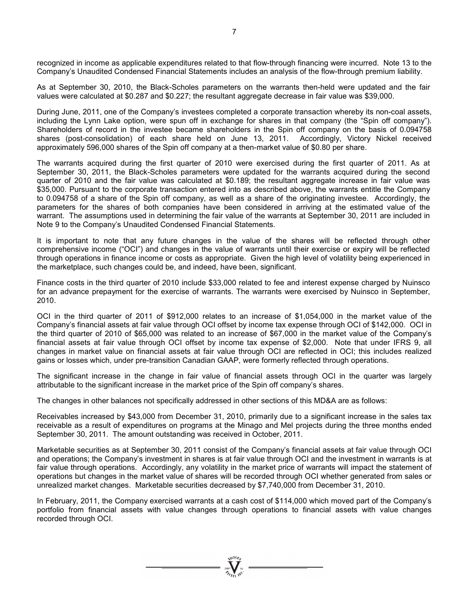recognized in income as applicable expenditures related to that flow-through financing were incurred. Note 13 to the Company's Unaudited Condensed Financial Statements includes an analysis of the flow-through premium liability.

As at September 30, 2010, the Black-Scholes parameters on the warrants then-held were updated and the fair values were calculated at \$0.287 and \$0.227; the resultant aggregate decrease in fair value was \$39,000.

During June, 2011, one of the Company's investees completed a corporate transaction whereby its non-coal assets, including the Lynn Lake option, were spun off in exchange for shares in that company (the "Spin off company"). Shareholders of record in the investee became shareholders in the Spin off company on the basis of 0.094758 shares (post-consolidation) of each share held on June 13, 2011. Accordingly, Victory Nickel received approximately 596,000 shares of the Spin off company at a then-market value of \$0.80 per share.

The warrants acquired during the first quarter of 2010 were exercised during the first quarter of 2011. As at September 30, 2011, the Black-Scholes parameters were updated for the warrants acquired during the second quarter of 2010 and the fair value was calculated at \$0.189; the resultant aggregate increase in fair value was \$35,000. Pursuant to the corporate transaction entered into as described above, the warrants entitle the Company to 0.094758 of a share of the Spin off company, as well as a share of the originating investee. Accordingly, the parameters for the shares of both companies have been considered in arriving at the estimated value of the warrant. The assumptions used in determining the fair value of the warrants at September 30, 2011 are included in Note 9 to the Company's Unaudited Condensed Financial Statements.

It is important to note that any future changes in the value of the shares will be reflected through other comprehensive income ("OCI") and changes in the value of warrants until their exercise or expiry will be reflected through operations in finance income or costs as appropriate. Given the high level of volatility being experienced in the marketplace, such changes could be, and indeed, have been, significant.

Finance costs in the third quarter of 2010 include \$33,000 related to fee and interest expense charged by Nuinsco for an advance prepayment for the exercise of warrants. The warrants were exercised by Nuinsco in September, 2010.

OCI in the third quarter of 2011 of \$912,000 relates to an increase of \$1,054,000 in the market value of the Company's financial assets at fair value through OCI offset by income tax expense through OCI of \$142,000. OCI in the third quarter of 2010 of \$65,000 was related to an increase of \$67,000 in the market value of the Company's financial assets at fair value through OCI offset by income tax expense of \$2,000. Note that under IFRS 9, all changes in market value on financial assets at fair value through OCI are reflected in OCI; this includes realized gains or losses which, under pre-transition Canadian GAAP, were formerly reflected through operations.

The significant increase in the change in fair value of financial assets through OCI in the quarter was largely attributable to the significant increase in the market price of the Spin off company's shares.

The changes in other balances not specifically addressed in other sections of this MD&A are as follows:

Receivables increased by \$43,000 from December 31, 2010, primarily due to a significant increase in the sales tax receivable as a result of expenditures on programs at the Minago and Mel projects during the three months ended September 30, 2011. The amount outstanding was received in October, 2011.

Marketable securities as at September 30, 2011 consist of the Company's financial assets at fair value through OCI and operations; the Company's investment in shares is at fair value through OCI and the investment in warrants is at fair value through operations. Accordingly, any volatility in the market price of warrants will impact the statement of operations but changes in the market value of shares will be recorded through OCI whether generated from sales or unrealized market changes. Marketable securities decreased by \$7,740,000 from December 31, 2010.

In February, 2011, the Company exercised warrants at a cash cost of \$114,000 which moved part of the Company's portfolio from financial assets with value changes through operations to financial assets with value changes recorded through OCI.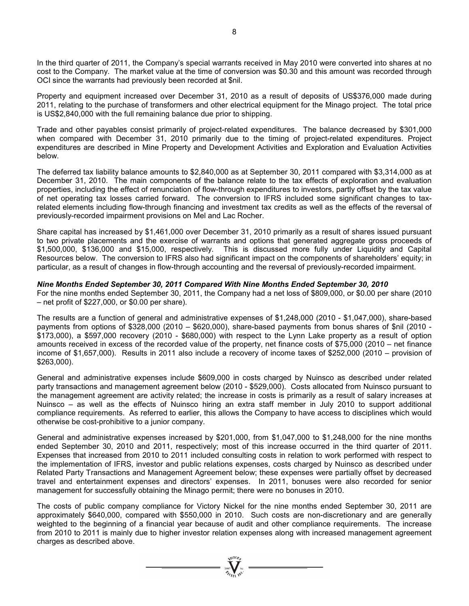In the third quarter of 2011, the Company's special warrants received in May 2010 were converted into shares at no cost to the Company. The market value at the time of conversion was \$0.30 and this amount was recorded through OCI since the warrants had previously been recorded at \$nil.

Property and equipment increased over December 31, 2010 as a result of deposits of US\$376,000 made during 2011, relating to the purchase of transformers and other electrical equipment for the Minago project. The total price is US\$2,840,000 with the full remaining balance due prior to shipping.

Trade and other payables consist primarily of project-related expenditures. The balance decreased by \$301,000 when compared with December 31, 2010 primarily due to the timing of project-related expenditures. Project expenditures are described in Mine Property and Development Activities and Exploration and Evaluation Activities below.

The deferred tax liability balance amounts to \$2,840,000 as at September 30, 2011 compared with \$3,314,000 as at December 31, 2010. The main components of the balance relate to the tax effects of exploration and evaluation properties, including the effect of renunciation of flow-through expenditures to investors, partly offset by the tax value of net operating tax losses carried forward. The conversion to IFRS included some significant changes to taxrelated elements including flow-through financing and investment tax credits as well as the effects of the reversal of previously-recorded impairment provisions on Mel and Lac Rocher.

Share capital has increased by \$1,461,000 over December 31, 2010 primarily as a result of shares issued pursuant to two private placements and the exercise of warrants and options that generated aggregate gross proceeds of \$1,500,000, \$136,000 and \$15,000, respectively. This is discussed more fully under Liquidity and Capital Resources below. The conversion to IFRS also had significant impact on the components of shareholders' equity; in particular, as a result of changes in flow-through accounting and the reversal of previously-recorded impairment.

### *Nine Months Ended September 30, 2011 Compared With Nine Months Ended September 30, 2010*

For the nine months ended September 30, 2011, the Company had a net loss of \$809,000, or \$0.00 per share (2010 – net profit of \$227,000, or \$0.00 per share).

The results are a function of general and administrative expenses of \$1,248,000 (2010 - \$1,047,000), share-based payments from options of \$328,000 (2010 – \$620,000), share-based payments from bonus shares of \$nil (2010 - \$173,000), a \$597,000 recovery (2010 - \$680,000) with respect to the Lynn Lake property as a result of option amounts received in excess of the recorded value of the property, net finance costs of \$75,000 (2010 – net finance income of \$1,657,000). Results in 2011 also include a recovery of income taxes of \$252,000 (2010 – provision of \$263,000).

General and administrative expenses include \$609,000 in costs charged by Nuinsco as described under related party transactions and management agreement below (2010 - \$529,000). Costs allocated from Nuinsco pursuant to the management agreement are activity related; the increase in costs is primarily as a result of salary increases at Nuinsco – as well as the effects of Nuinsco hiring an extra staff member in July 2010 to support additional compliance requirements. As referred to earlier, this allows the Company to have access to disciplines which would otherwise be cost-prohibitive to a junior company.

General and administrative expenses increased by \$201,000, from \$1,047,000 to \$1,248,000 for the nine months ended September 30, 2010 and 2011, respectively; most of this increase occurred in the third quarter of 2011. Expenses that increased from 2010 to 2011 included consulting costs in relation to work performed with respect to the implementation of IFRS, investor and public relations expenses, costs charged by Nuinsco as described under Related Party Transactions and Management Agreement below; these expenses were partially offset by decreased travel and entertainment expenses and directors' expenses. In 2011, bonuses were also recorded for senior management for successfully obtaining the Minago permit; there were no bonuses in 2010.

The costs of public company compliance for Victory Nickel for the nine months ended September 30, 2011 are approximately \$640,000, compared with \$550,000 in 2010. Such costs are non-discretionary and are generally weighted to the beginning of a financial year because of audit and other compliance requirements. The increase from 2010 to 2011 is mainly due to higher investor relation expenses along with increased management agreement charges as described above.

 $\sum_{\substack{2007 \ \text{N} \text{N}^{\text{N}}} \text{N}^{\text{N}}}$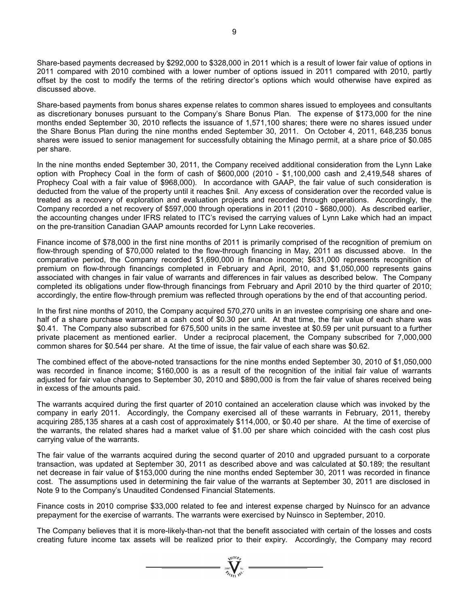Share-based payments decreased by \$292,000 to \$328,000 in 2011 which is a result of lower fair value of options in 2011 compared with 2010 combined with a lower number of options issued in 2011 compared with 2010, partly offset by the cost to modify the terms of the retiring director's options which would otherwise have expired as discussed above.

Share-based payments from bonus shares expense relates to common shares issued to employees and consultants as discretionary bonuses pursuant to the Company's Share Bonus Plan. The expense of \$173,000 for the nine months ended September 30, 2010 reflects the issuance of 1,571,100 shares; there were no shares issued under the Share Bonus Plan during the nine months ended September 30, 2011. On October 4, 2011, 648,235 bonus shares were issued to senior management for successfully obtaining the Minago permit, at a share price of \$0.085 per share.

In the nine months ended September 30, 2011, the Company received additional consideration from the Lynn Lake option with Prophecy Coal in the form of cash of \$600,000 (2010 - \$1,100,000 cash and 2,419,548 shares of Prophecy Coal with a fair value of \$968,000). In accordance with GAAP, the fair value of such consideration is deducted from the value of the property until it reaches \$nil. Any excess of consideration over the recorded value is treated as a recovery of exploration and evaluation projects and recorded through operations. Accordingly, the Company recorded a net recovery of \$597,000 through operations in 2011 (2010 - \$680,000). As described earlier, the accounting changes under IFRS related to ITC's revised the carrying values of Lynn Lake which had an impact on the pre-transition Canadian GAAP amounts recorded for Lynn Lake recoveries.

Finance income of \$78,000 in the first nine months of 2011 is primarily comprised of the recognition of premium on flow-through spending of \$70,000 related to the flow-through financing in May, 2011 as discussed above. In the comparative period, the Company recorded \$1,690,000 in finance income; \$631,000 represents recognition of premium on flow-through financings completed in February and April, 2010, and \$1,050,000 represents gains associated with changes in fair value of warrants and differences in fair values as described below. The Company completed its obligations under flow-through financings from February and April 2010 by the third quarter of 2010; accordingly, the entire flow-through premium was reflected through operations by the end of that accounting period.

In the first nine months of 2010, the Company acquired 570,270 units in an investee comprising one share and onehalf of a share purchase warrant at a cash cost of \$0.30 per unit. At that time, the fair value of each share was \$0.41. The Company also subscribed for 675,500 units in the same investee at \$0.59 per unit pursuant to a further private placement as mentioned earlier. Under a reciprocal placement, the Company subscribed for 7,000,000 common shares for \$0.544 per share. At the time of issue, the fair value of each share was \$0.62.

The combined effect of the above-noted transactions for the nine months ended September 30, 2010 of \$1,050,000 was recorded in finance income; \$160,000 is as a result of the recognition of the initial fair value of warrants adjusted for fair value changes to September 30, 2010 and \$890,000 is from the fair value of shares received being in excess of the amounts paid.

The warrants acquired during the first quarter of 2010 contained an acceleration clause which was invoked by the company in early 2011. Accordingly, the Company exercised all of these warrants in February, 2011, thereby acquiring 285,135 shares at a cash cost of approximately \$114,000, or \$0.40 per share. At the time of exercise of the warrants, the related shares had a market value of \$1.00 per share which coincided with the cash cost plus carrying value of the warrants.

The fair value of the warrants acquired during the second quarter of 2010 and upgraded pursuant to a corporate transaction, was updated at September 30, 2011 as described above and was calculated at \$0.189; the resultant net decrease in fair value of \$153,000 during the nine months ended September 30, 2011 was recorded in finance cost. The assumptions used in determining the fair value of the warrants at September 30, 2011 are disclosed in Note 9 to the Company's Unaudited Condensed Financial Statements.

Finance costs in 2010 comprise \$33,000 related to fee and interest expense charged by Nuinsco for an advance prepayment for the exercise of warrants. The warrants were exercised by Nuinsco in September, 2010.

The Company believes that it is more-likely-than-not that the benefit associated with certain of the losses and costs creating future income tax assets will be realized prior to their expiry. Accordingly, the Company may record

 $\sum_{\substack{2007 \ \text{N} \text{N}^{\text{N}}} \text{N}^{\text{N}}}$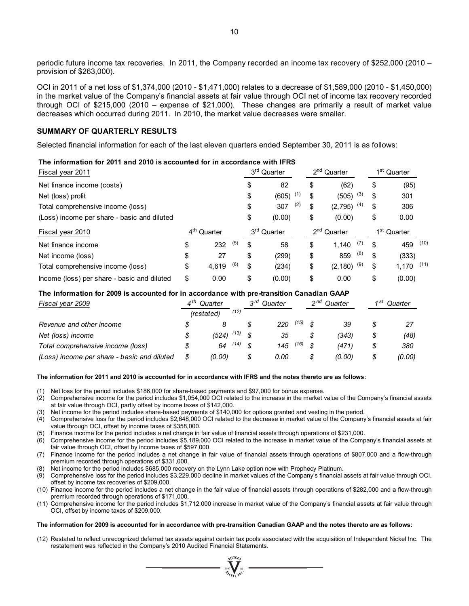periodic future income tax recoveries. In 2011, the Company recorded an income tax recovery of \$252,000 (2010 – provision of \$263,000).

OCI in 2011 of a net loss of \$1,374,000 (2010 - \$1,471,000) relates to a decrease of \$1,589,000 (2010 - \$1,450,000) in the market value of the Company's financial assets at fair value through OCI net of income tax recovery recorded through OCI of \$215,000 (2010 – expense of \$21,000). These changes are primarily a result of market value decreases which occurred during 2011. In 2010, the market value decreases were smaller.

#### **SUMMARY OF QUARTERLY RESULTS**

Selected financial information for each of the last eleven quarters ended September 30, 2011 is as follows:

| Fiscal year 2011                            |                            |       |     | 3 <sup>rd</sup> Quarter |              |                         | 2 <sup>nd</sup> Quarter |          |     | 1 <sup>st</sup> Quarter |        |      |
|---------------------------------------------|----------------------------|-------|-----|-------------------------|--------------|-------------------------|-------------------------|----------|-----|-------------------------|--------|------|
| Net finance income (costs)                  |                            |       |     | \$                      | 82           |                         | \$                      | (62)     |     | \$                      | (95)   |      |
| Net (loss) profit                           |                            |       |     | \$                      | (1)<br>(605) |                         | \$                      | (505)    | (3) | \$                      | 301    |      |
| Total comprehensive income (loss)           |                            |       |     | \$                      | (2)<br>307   |                         | \$                      | (2, 795) | (4) | \$                      | 306    |      |
| (Loss) income per share - basic and diluted |                            |       |     | \$                      | (0.00)       |                         | \$                      | (0.00)   |     | \$                      | 0.00   |      |
| Fiscal year 2010                            | $4^{\text{th}}$<br>Quarter |       |     | 3 <sup>rd</sup> Quarter |              | 2 <sup>nd</sup> Quarter |                         |          |     | 1 <sup>st</sup> Quarter |        |      |
| Net finance income                          | \$                         | 232   | (5) | \$                      | 58           |                         | \$                      | 1.140    | (7) | \$                      | 459    | (10) |
| Net income (loss)                           | \$                         | 27    |     | \$                      | (299)        |                         | \$                      | 859      | (8) | \$                      | (333)  |      |
| Total comprehensive income (loss)           | \$                         | 4,619 | (6) | \$                      | (234)        |                         | \$                      | (2, 180) | (9) | \$                      | 1,170  | (11) |
| Income (loss) per share - basic and diluted | \$                         | 0.00  |     | \$                      | (0.00)       |                         | \$                      | 0.00     |     | \$                      | (0.00) |      |

### **The information for 2011 and 2010 is accounted for in accordance with IFRS**

#### **The information for 2009 is accounted for in accordance with pre-transition Canadian GAAP**

| Fiscal year 2009                            |  | $4^{th}$<br>Quarter |      | ეrd | Quarter |      | ∩nd<br>Quarter |        | ⊿ st<br>Quarter |        |
|---------------------------------------------|--|---------------------|------|-----|---------|------|----------------|--------|-----------------|--------|
|                                             |  | (restated)          | (12) |     |         |      |                |        |                 |        |
| Revenue and other income                    |  |                     |      |     | 220     | (15) |                | 39     |                 | 27     |
| Net (loss) income                           |  | (524)               | (13) |     | 35      |      |                | (343)  |                 | (48)   |
| Total comprehensive income (loss)           |  | 64                  | (14) |     | 145     | (16) | \$             | (471)  |                 | 380    |
| (Loss) income per share - basic and diluted |  | (0.00)              |      |     | 0.00    |      |                | (0.00) |                 | (0.00) |

#### **The information for 2011 and 2010 is accounted for in accordance with IFRS and the notes thereto are as follows:**

- (1) Net loss for the period includes \$186,000 for share-based payments and \$97,000 for bonus expense.
- (2) Comprehensive income for the period includes \$1,054,000 OCI related to the increase in the market value of the Company's financial assets at fair value through OCI, partly offset by income taxes of \$142,000.
- (3) Net income for the period includes share-based payments of \$140,000 for options granted and vesting in the period.
- (4) Comprehensive loss for the period includes \$2,648,000 OCI related to the decrease in market value of the Company's financial assets at fair value through OCI, offset by income taxes of \$358,000.
- (5) Finance income for the period includes a net change in fair value of financial assets through operations of \$231,000.
- (6) Comprehensive income for the period includes \$5,189,000 OCI related to the increase in market value of the Company's financial assets at fair value through OCI, offset by income taxes of \$597,000.
- (7) Finance income for the period includes a net change in fair value of financial assets through operations of \$807,000 and a flow-through premium recorded through operations of \$331,000.
- (8) Net income for the period includes \$685,000 recovery on the Lynn Lake option now with Prophecy Platinum.
- (9) Comprehensive loss for the period includes \$3,229,000 decline in market values of the Company's financial assets at fair value through OCI, offset by income tax recoveries of \$209,000.
- (10) Finance income for the period includes a net change in the fair value of financial assets through operations of \$282,000 and a flow-through premium recorded through operations of \$171,000.
- (11) Comprehensive income for the period includes \$1,712,000 increase in market value of the Company's financial assets at fair value through OCI, offset by income taxes of \$209,000.

#### **The information for 2009 is accounted for in accordance with pre-transition Canadian GAAP and the notes thereto are as follows:**

(12) Restated to reflect unrecognized deferred tax assets against certain tax pools associated with the acquisition of Independent Nickel Inc. The restatement was reflected in the Company's 2010 Audited Financial Statements.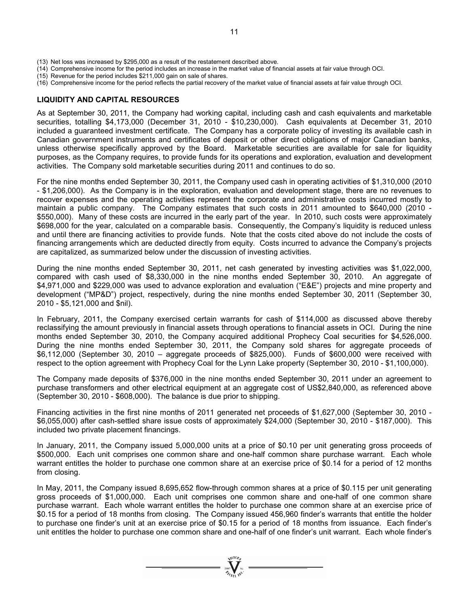- (13) Net loss was increased by \$295,000 as a result of the restatement described above.
- (14) Comprehensive income for the period includes an increase in the market value of financial assets at fair value through OCI.
- (15) Revenue for the period includes \$211,000 gain on sale of shares.
- (16) Comprehensive income for the period reflects the partial recovery of the market value of financial assets at fair value through OCI.

### **LIQUIDITY AND CAPITAL RESOURCES**

As at September 30, 2011, the Company had working capital, including cash and cash equivalents and marketable securities, totalling \$4,173,000 (December 31, 2010 - \$10,230,000). Cash equivalents at December 31, 2010 included a guaranteed investment certificate. The Company has a corporate policy of investing its available cash in Canadian government instruments and certificates of deposit or other direct obligations of major Canadian banks, unless otherwise specifically approved by the Board. Marketable securities are available for sale for liquidity purposes, as the Company requires, to provide funds for its operations and exploration, evaluation and development activities. The Company sold marketable securities during 2011 and continues to do so.

For the nine months ended September 30, 2011, the Company used cash in operating activities of \$1,310,000 (2010 - \$1,206,000). As the Company is in the exploration, evaluation and development stage, there are no revenues to recover expenses and the operating activities represent the corporate and administrative costs incurred mostly to maintain a public company. The Company estimates that such costs in 2011 amounted to \$640,000 (2010 - \$550,000). Many of these costs are incurred in the early part of the year. In 2010, such costs were approximately \$698,000 for the year, calculated on a comparable basis. Consequently, the Company's liquidity is reduced unless and until there are financing activities to provide funds. Note that the costs cited above do not include the costs of financing arrangements which are deducted directly from equity. Costs incurred to advance the Company's projects are capitalized, as summarized below under the discussion of investing activities.

During the nine months ended September 30, 2011, net cash generated by investing activities was \$1,022,000, compared with cash used of \$8,330,000 in the nine months ended September 30, 2010. An aggregate of \$4,971,000 and \$229,000 was used to advance exploration and evaluation ("E&E") projects and mine property and development ("MP&D") project, respectively, during the nine months ended September 30, 2011 (September 30, 2010 - \$5,121,000 and \$nil).

In February, 2011, the Company exercised certain warrants for cash of \$114,000 as discussed above thereby reclassifying the amount previously in financial assets through operations to financial assets in OCI. During the nine months ended September 30, 2010, the Company acquired additional Prophecy Coal securities for \$4,526,000. During the nine months ended September 30, 2011, the Company sold shares for aggregate proceeds of \$6,112,000 (September 30, 2010 – aggregate proceeds of \$825,000). Funds of \$600,000 were received with respect to the option agreement with Prophecy Coal for the Lynn Lake property (September 30, 2010 - \$1,100,000).

The Company made deposits of \$376,000 in the nine months ended September 30, 2011 under an agreement to purchase transformers and other electrical equipment at an aggregate cost of US\$2,840,000, as referenced above (September 30, 2010 - \$608,000). The balance is due prior to shipping.

Financing activities in the first nine months of 2011 generated net proceeds of \$1,627,000 (September 30, 2010 - \$6,055,000) after cash-settled share issue costs of approximately \$24,000 (September 30, 2010 - \$187,000). This included two private placement financings.

In January, 2011, the Company issued 5,000,000 units at a price of \$0.10 per unit generating gross proceeds of \$500,000. Each unit comprises one common share and one-half common share purchase warrant. Each whole warrant entitles the holder to purchase one common share at an exercise price of \$0.14 for a period of 12 months from closing.

In May, 2011, the Company issued 8,695,652 flow-through common shares at a price of \$0.115 per unit generating gross proceeds of \$1,000,000. Each unit comprises one common share and one-half of one common share purchase warrant. Each whole warrant entitles the holder to purchase one common share at an exercise price of \$0.15 for a period of 18 months from closing. The Company issued 456,960 finder's warrants that entitle the holder to purchase one finder's unit at an exercise price of \$0.15 for a period of 18 months from issuance. Each finder's unit entitles the holder to purchase one common share and one-half of one finder's unit warrant. Each whole finder's

 $\sum_{2007}$   $\sum_{\substack{1007 \text{ Ni} \\ \text{Nj} \text{ Nj}}}$   $\sum_{\substack{Ni \\ \text{Nk}}}$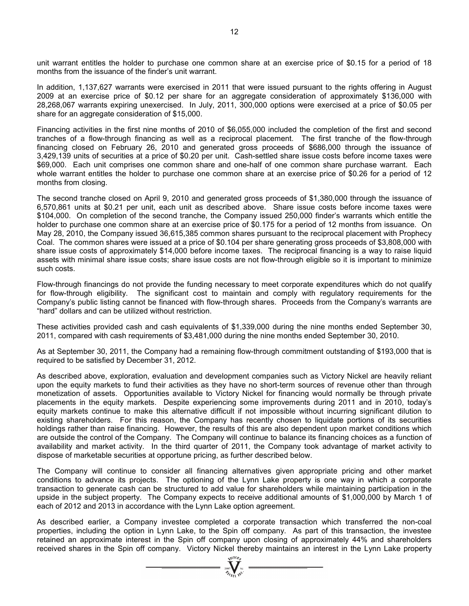unit warrant entitles the holder to purchase one common share at an exercise price of \$0.15 for a period of 18 months from the issuance of the finder's unit warrant.

In addition, 1,137,627 warrants were exercised in 2011 that were issued pursuant to the rights offering in August 2009 at an exercise price of \$0.12 per share for an aggregate consideration of approximately \$136,000 with 28,268,067 warrants expiring unexercised. In July, 2011, 300,000 options were exercised at a price of \$0.05 per share for an aggregate consideration of \$15,000.

Financing activities in the first nine months of 2010 of \$6,055,000 included the completion of the first and second tranches of a flow-through financing as well as a reciprocal placement. The first tranche of the flow-through financing closed on February 26, 2010 and generated gross proceeds of \$686,000 through the issuance of 3,429,139 units of securities at a price of \$0.20 per unit. Cash-settled share issue costs before income taxes were \$69,000. Each unit comprises one common share and one-half of one common share purchase warrant. Each whole warrant entitles the holder to purchase one common share at an exercise price of \$0.26 for a period of 12 months from closing.

The second tranche closed on April 9, 2010 and generated gross proceeds of \$1,380,000 through the issuance of 6,570,861 units at \$0.21 per unit, each unit as described above. Share issue costs before income taxes were \$104,000. On completion of the second tranche, the Company issued 250,000 finder's warrants which entitle the holder to purchase one common share at an exercise price of \$0.175 for a period of 12 months from issuance. On May 28, 2010, the Company issued 36,615,385 common shares pursuant to the reciprocal placement with Prophecy Coal. The common shares were issued at a price of \$0.104 per share generating gross proceeds of \$3,808,000 with share issue costs of approximately \$14,000 before income taxes. The reciprocal financing is a way to raise liquid assets with minimal share issue costs; share issue costs are not flow-through eligible so it is important to minimize such costs.

Flow-through financings do not provide the funding necessary to meet corporate expenditures which do not qualify for flow-through eligibility. The significant cost to maintain and comply with regulatory requirements for the Company's public listing cannot be financed with flow-through shares. Proceeds from the Company's warrants are "hard" dollars and can be utilized without restriction.

These activities provided cash and cash equivalents of \$1,339,000 during the nine months ended September 30, 2011, compared with cash requirements of \$3,481,000 during the nine months ended September 30, 2010.

As at September 30, 2011, the Company had a remaining flow-through commitment outstanding of \$193,000 that is required to be satisfied by December 31, 2012.

As described above, exploration, evaluation and development companies such as Victory Nickel are heavily reliant upon the equity markets to fund their activities as they have no short-term sources of revenue other than through monetization of assets. Opportunities available to Victory Nickel for financing would normally be through private placements in the equity markets. Despite experiencing some improvements during 2011 and in 2010, today's equity markets continue to make this alternative difficult if not impossible without incurring significant dilution to existing shareholders. For this reason, the Company has recently chosen to liquidate portions of its securities holdings rather than raise financing. However, the results of this are also dependent upon market conditions which are outside the control of the Company. The Company will continue to balance its financing choices as a function of availability and market activity. In the third quarter of 2011, the Company took advantage of market activity to dispose of marketable securities at opportune pricing, as further described below.

The Company will continue to consider all financing alternatives given appropriate pricing and other market conditions to advance its projects. The optioning of the Lynn Lake property is one way in which a corporate transaction to generate cash can be structured to add value for shareholders while maintaining participation in the upside in the subject property. The Company expects to receive additional amounts of \$1,000,000 by March 1 of each of 2012 and 2013 in accordance with the Lynn Lake option agreement.

As described earlier, a Company investee completed a corporate transaction which transferred the non-coal properties, including the option in Lynn Lake, to the Spin off company. As part of this transaction, the investee retained an approximate interest in the Spin off company upon closing of approximately 44% and shareholders received shares in the Spin off company. Victory Nickel thereby maintains an interest in the Lynn Lake property

 $\sum_{2007}$  Wellon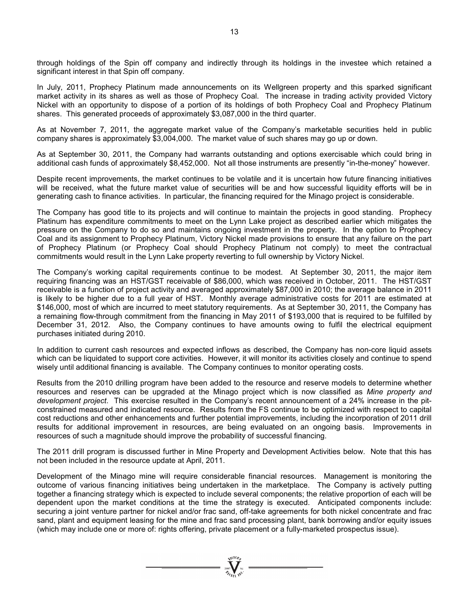through holdings of the Spin off company and indirectly through its holdings in the investee which retained a significant interest in that Spin off company.

In July, 2011, Prophecy Platinum made announcements on its Wellgreen property and this sparked significant market activity in its shares as well as those of Prophecy Coal. The increase in trading activity provided Victory Nickel with an opportunity to dispose of a portion of its holdings of both Prophecy Coal and Prophecy Platinum shares. This generated proceeds of approximately \$3,087,000 in the third quarter.

As at November 7, 2011, the aggregate market value of the Company's marketable securities held in public company shares is approximately \$3,004,000. The market value of such shares may go up or down.

As at September 30, 2011, the Company had warrants outstanding and options exercisable which could bring in additional cash funds of approximately \$8,452,000. Not all those instruments are presently "in-the-money" however.

Despite recent improvements, the market continues to be volatile and it is uncertain how future financing initiatives will be received, what the future market value of securities will be and how successful liquidity efforts will be in generating cash to finance activities. In particular, the financing required for the Minago project is considerable.

The Company has good title to its projects and will continue to maintain the projects in good standing. Prophecy Platinum has expenditure commitments to meet on the Lynn Lake project as described earlier which mitigates the pressure on the Company to do so and maintains ongoing investment in the property. In the option to Prophecy Coal and its assignment to Prophecy Platinum, Victory Nickel made provisions to ensure that any failure on the part of Prophecy Platinum (or Prophecy Coal should Prophecy Platinum not comply) to meet the contractual commitments would result in the Lynn Lake property reverting to full ownership by Victory Nickel.

The Company's working capital requirements continue to be modest. At September 30, 2011, the major item requiring financing was an HST/GST receivable of \$86,000, which was received in October, 2011. The HST/GST receivable is a function of project activity and averaged approximately \$87,000 in 2010; the average balance in 2011 is likely to be higher due to a full year of HST. Monthly average administrative costs for 2011 are estimated at \$146,000, most of which are incurred to meet statutory requirements. As at September 30, 2011, the Company has a remaining flow-through commitment from the financing in May 2011 of \$193,000 that is required to be fulfilled by December 31, 2012. Also, the Company continues to have amounts owing to fulfil the electrical equipment purchases initiated during 2010.

In addition to current cash resources and expected inflows as described, the Company has non-core liquid assets which can be liquidated to support core activities. However, it will monitor its activities closely and continue to spend wisely until additional financing is available. The Company continues to monitor operating costs.

Results from the 2010 drilling program have been added to the resource and reserve models to determine whether resources and reserves can be upgraded at the Minago project which is now classified as *Mine property and development project*. This exercise resulted in the Company's recent announcement of a 24% increase in the pitconstrained measured and indicated resource. Results from the FS continue to be optimized with respect to capital cost reductions and other enhancements and further potential improvements, including the incorporation of 2011 drill results for additional improvement in resources, are being evaluated on an ongoing basis. Improvements in resources of such a magnitude should improve the probability of successful financing.

The 2011 drill program is discussed further in Mine Property and Development Activities below. Note that this has not been included in the resource update at April, 2011.

Development of the Minago mine will require considerable financial resources. Management is monitoring the outcome of various financing initiatives being undertaken in the marketplace. The Company is actively putting together a financing strategy which is expected to include several components; the relative proportion of each will be dependent upon the market conditions at the time the strategy is executed. Anticipated components include: securing a joint venture partner for nickel and/or frac sand, off-take agreements for both nickel concentrate and frac sand, plant and equipment leasing for the mine and frac sand processing plant, bank borrowing and/or equity issues (which may include one or more of: rights offering, private placement or a fully-marketed prospectus issue).

 $\sum_{2007}$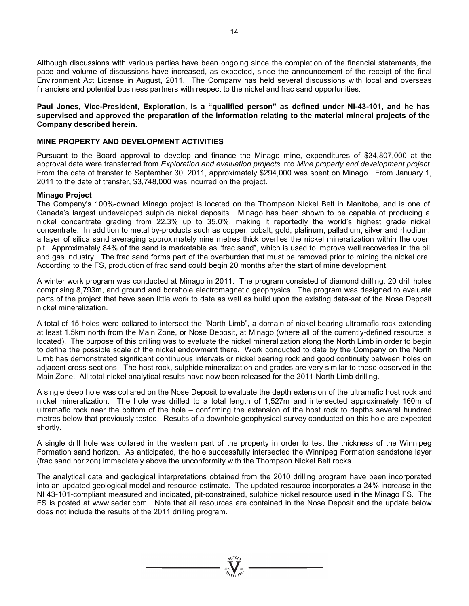Although discussions with various parties have been ongoing since the completion of the financial statements, the pace and volume of discussions have increased, as expected, since the announcement of the receipt of the final Environment Act License in August, 2011. The Company has held several discussions with local and overseas financiers and potential business partners with respect to the nickel and frac sand opportunities.

### **Paul Jones, Vice-President, Exploration, is a "qualified person" as defined under NI-43-101, and he has supervised and approved the preparation of the information relating to the material mineral projects of the Company described herein.**

### **MINE PROPERTY AND DEVELOPMENT ACTIVITIES**

Pursuant to the Board approval to develop and finance the Minago mine, expenditures of \$34,807,000 at the approval date were transferred from *Exploration and evaluation projects* into *Mine property and development project*. From the date of transfer to September 30, 2011, approximately \$294,000 was spent on Minago. From January 1, 2011 to the date of transfer, \$3,748,000 was incurred on the project.

### **Minago Project**

The Company's 100%-owned Minago project is located on the Thompson Nickel Belt in Manitoba, and is one of Canada's largest undeveloped sulphide nickel deposits. Minago has been shown to be capable of producing a nickel concentrate grading from 22.3% up to 35.0%, making it reportedly the world's highest grade nickel concentrate. In addition to metal by-products such as copper, cobalt, gold, platinum, palladium, silver and rhodium, a layer of silica sand averaging approximately nine metres thick overlies the nickel mineralization within the open pit. Approximately 84% of the sand is marketable as "frac sand", which is used to improve well recoveries in the oil and gas industry. The frac sand forms part of the overburden that must be removed prior to mining the nickel ore. According to the FS, production of frac sand could begin 20 months after the start of mine development.

A winter work program was conducted at Minago in 2011. The program consisted of diamond drilling, 20 drill holes comprising 8,793m, and ground and borehole electromagnetic geophysics. The program was designed to evaluate parts of the project that have seen little work to date as well as build upon the existing data-set of the Nose Deposit nickel mineralization.

A total of 15 holes were collared to intersect the "North Limb", a domain of nickel-bearing ultramafic rock extending at least 1.5km north from the Main Zone, or Nose Deposit, at Minago (where all of the currently-defined resource is located). The purpose of this drilling was to evaluate the nickel mineralization along the North Limb in order to begin to define the possible scale of the nickel endowment there. Work conducted to date by the Company on the North Limb has demonstrated significant continuous intervals or nickel bearing rock and good continuity between holes on adjacent cross-sections. The host rock, sulphide mineralization and grades are very similar to those observed in the Main Zone. All total nickel analytical results have now been released for the 2011 North Limb drilling.

A single deep hole was collared on the Nose Deposit to evaluate the depth extension of the ultramafic host rock and nickel mineralization. The hole was drilled to a total length of 1,527m and intersected approximately 160m of ultramafic rock near the bottom of the hole – confirming the extension of the host rock to depths several hundred metres below that previously tested. Results of a downhole geophysical survey conducted on this hole are expected shortly.

A single drill hole was collared in the western part of the property in order to test the thickness of the Winnipeg Formation sand horizon. As anticipated, the hole successfully intersected the Winnipeg Formation sandstone layer (frac sand horizon) immediately above the unconformity with the Thompson Nickel Belt rocks.

The analytical data and geological interpretations obtained from the 2010 drilling program have been incorporated into an updated geological model and resource estimate. The updated resource incorporates a 24% increase in the NI 43-101-compliant measured and indicated, pit-constrained, sulphide nickel resource used in the Minago FS. The FS is posted at www.sedar.com. Note that all resources are contained in the Nose Deposit and the update below does not include the results of the 2011 drilling program.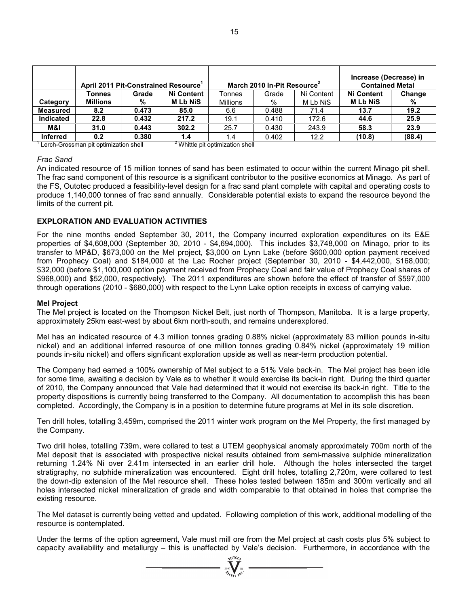| April 2011 Pit-Constrained Resource <sup>1</sup> |                 |       |                   | March 2010 In-Pit Resource <sup>2</sup> | Increase (Decrease) in<br><b>Contained Metal</b> |            |                   |        |
|--------------------------------------------------|-----------------|-------|-------------------|-----------------------------------------|--------------------------------------------------|------------|-------------------|--------|
|                                                  | Tonnes          | Grade | <b>Ni Content</b> | Tonnes                                  | Grade                                            | Ni Content | <b>Ni Content</b> | Change |
| Category                                         | <b>Millions</b> | %     | <b>MLbNiS</b>     | <b>Millions</b>                         | %                                                | M Lb NiS   | <b>MLbNiS</b>     | %      |
| <b>Measured</b>                                  | 8.2             | 0.473 | 85.0              | 6.6                                     | 0.488                                            | 71.4       | 13.7              | 19.2   |
| <b>Indicated</b>                                 | 22.8            | 0.432 | 217.2             | 19.1                                    | 0.410                                            | 172.6      | 44.6              | 25.9   |
| M&I                                              | 31.0            | 0.443 | 302.2             | 25.7                                    | 0.430                                            | 243.9      | 58.3              | 23.9   |
| <b>Inferred</b>                                  | 0.2             | 0.380 | 1.4               | 1.4                                     | 0.402                                            | 12.2       | (10.8)            | (88.4) |

 $1$  Lerch-Grossman pit optimization shell  $2$ <sup>2</sup> Whittle pit optimization shell

### *Frac Sand*

An indicated resource of 15 million tonnes of sand has been estimated to occur within the current Minago pit shell. The frac sand component of this resource is a significant contributor to the positive economics at Minago. As part of the FS, Outotec produced a feasibility-level design for a frac sand plant complete with capital and operating costs to produce 1,140,000 tonnes of frac sand annually. Considerable potential exists to expand the resource beyond the limits of the current pit.

### **EXPLORATION AND EVALUATION ACTIVITIES**

For the nine months ended September 30, 2011, the Company incurred exploration expenditures on its E&E properties of \$4,608,000 (September 30, 2010 - \$4,694,000). This includes \$3,748,000 on Minago, prior to its transfer to MP&D, \$673,000 on the Mel project, \$3,000 on Lynn Lake (before \$600,000 option payment received from Prophecy Coal) and \$184,000 at the Lac Rocher project (September 30, 2010 - \$4,442,000, \$168,000; \$32,000 (before \$1,100,000 option payment received from Prophecy Coal and fair value of Prophecy Coal shares of \$968,000) and \$52,000, respectively). The 2011 expenditures are shown before the effect of transfer of \$597,000 through operations (2010 - \$680,000) with respect to the Lynn Lake option receipts in excess of carrying value.

### **Mel Project**

The Mel project is located on the Thompson Nickel Belt, just north of Thompson, Manitoba. It is a large property, approximately 25km east-west by about 6km north-south, and remains underexplored.

Mel has an indicated resource of 4.3 million tonnes grading 0.88% nickel (approximately 83 million pounds in-situ nickel) and an additional inferred resource of one million tonnes grading 0.84% nickel (approximately 19 million pounds in-situ nickel) and offers significant exploration upside as well as near-term production potential.

The Company had earned a 100% ownership of Mel subject to a 51% Vale back-in. The Mel project has been idle for some time, awaiting a decision by Vale as to whether it would exercise its back-in right. During the third quarter of 2010, the Company announced that Vale had determined that it would not exercise its back-in right. Title to the property dispositions is currently being transferred to the Company. All documentation to accomplish this has been completed. Accordingly, the Company is in a position to determine future programs at Mel in its sole discretion.

Ten drill holes, totalling 3,459m, comprised the 2011 winter work program on the Mel Property, the first managed by the Company.

Two drill holes, totalling 739m, were collared to test a UTEM geophysical anomaly approximately 700m north of the Mel deposit that is associated with prospective nickel results obtained from semi-massive sulphide mineralization returning 1.24% Ni over 2.41m intersected in an earlier drill hole. Although the holes intersected the target stratigraphy, no sulphide mineralization was encountered. Eight drill holes, totalling 2,720m, were collared to test the down-dip extension of the Mel resource shell. These holes tested between 185m and 300m vertically and all holes intersected nickel mineralization of grade and width comparable to that obtained in holes that comprise the existing resource.

The Mel dataset is currently being vetted and updated. Following completion of this work, additional modelling of the resource is contemplated.

Under the terms of the option agreement, Vale must mill ore from the Mel project at cash costs plus 5% subject to capacity availability and metallurgy – this is unaffected by Vale's decision. Furthermore, in accordance with the

 $\sum_{2007}$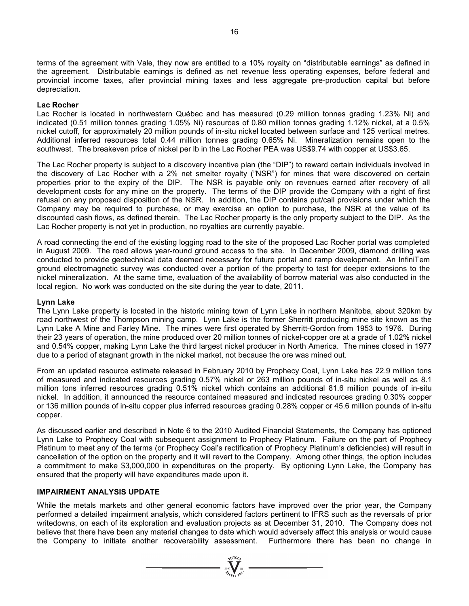terms of the agreement with Vale, they now are entitled to a 10% royalty on "distributable earnings" as defined in the agreement. Distributable earnings is defined as net revenue less operating expenses, before federal and provincial income taxes, after provincial mining taxes and less aggregate pre-production capital but before depreciation.

### **Lac Rocher**

Lac Rocher is located in northwestern Québec and has measured (0.29 million tonnes grading 1.23% Ni) and indicated (0.51 million tonnes grading 1.05% Ni) resources of 0.80 million tonnes grading 1.12% nickel, at a 0.5% nickel cutoff, for approximately 20 million pounds of in-situ nickel located between surface and 125 vertical metres. Additional inferred resources total 0.44 million tonnes grading 0.65% Ni. Mineralization remains open to the southwest. The breakeven price of nickel per lb in the Lac Rocher PEA was US\$9.74 with copper at US\$3.65.

The Lac Rocher property is subject to a discovery incentive plan (the "DIP") to reward certain individuals involved in the discovery of Lac Rocher with a 2% net smelter royalty ("NSR") for mines that were discovered on certain properties prior to the expiry of the DIP. The NSR is payable only on revenues earned after recovery of all development costs for any mine on the property. The terms of the DIP provide the Company with a right of first refusal on any proposed disposition of the NSR. In addition, the DIP contains put/call provisions under which the Company may be required to purchase, or may exercise an option to purchase, the NSR at the value of its discounted cash flows, as defined therein. The Lac Rocher property is the only property subject to the DIP. As the Lac Rocher property is not yet in production, no royalties are currently payable.

A road connecting the end of the existing logging road to the site of the proposed Lac Rocher portal was completed in August 2009. The road allows year-round ground access to the site. In December 2009, diamond drilling was conducted to provide geotechnical data deemed necessary for future portal and ramp development. An InfiniTem ground electromagnetic survey was conducted over a portion of the property to test for deeper extensions to the nickel mineralization. At the same time, evaluation of the availability of borrow material was also conducted in the local region. No work was conducted on the site during the year to date, 2011.

#### **Lynn Lake**

The Lynn Lake property is located in the historic mining town of Lynn Lake in northern Manitoba, about 320km by road northwest of the Thompson mining camp. Lynn Lake is the former Sherritt producing mine site known as the Lynn Lake A Mine and Farley Mine. The mines were first operated by Sherritt-Gordon from 1953 to 1976. During their 23 years of operation, the mine produced over 20 million tonnes of nickel-copper ore at a grade of 1.02% nickel and 0.54% copper, making Lynn Lake the third largest nickel producer in North America. The mines closed in 1977 due to a period of stagnant growth in the nickel market, not because the ore was mined out.

From an updated resource estimate released in February 2010 by Prophecy Coal, Lynn Lake has 22.9 million tons of measured and indicated resources grading 0.57% nickel or 263 million pounds of in-situ nickel as well as 8.1 million tons inferred resources grading 0.51% nickel which contains an additional 81.6 million pounds of in-situ nickel. In addition, it announced the resource contained measured and indicated resources grading 0.30% copper or 136 million pounds of in-situ copper plus inferred resources grading 0.28% copper or 45.6 million pounds of in-situ copper.

As discussed earlier and described in Note 6 to the 2010 Audited Financial Statements, the Company has optioned Lynn Lake to Prophecy Coal with subsequent assignment to Prophecy Platinum. Failure on the part of Prophecy Platinum to meet any of the terms (or Prophecy Coal's rectification of Prophecy Platinum's deficiencies) will result in cancellation of the option on the property and it will revert to the Company. Among other things, the option includes a commitment to make \$3,000,000 in expenditures on the property. By optioning Lynn Lake, the Company has ensured that the property will have expenditures made upon it.

### **IMPAIRMENT ANALYSIS UPDATE**

While the metals markets and other general economic factors have improved over the prior year, the Company performed a detailed impairment analysis, which considered factors pertinent to IFRS such as the reversals of prior writedowns, on each of its exploration and evaluation projects as at December 31, 2010. The Company does not believe that there have been any material changes to date which would adversely affect this analysis or would cause the Company to initiate another recoverability assessment. Furthermore there has been no change in

 $\sum_{\substack{i=0\\i\neq j\neq k}}^{N^{(10)}h_{j}}$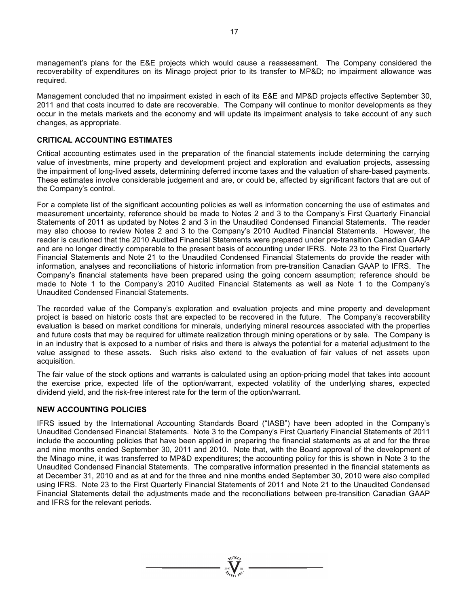management's plans for the E&E projects which would cause a reassessment. The Company considered the recoverability of expenditures on its Minago project prior to its transfer to MP&D; no impairment allowance was required.

Management concluded that no impairment existed in each of its E&E and MP&D projects effective September 30, 2011 and that costs incurred to date are recoverable. The Company will continue to monitor developments as they occur in the metals markets and the economy and will update its impairment analysis to take account of any such changes, as appropriate.

### **CRITICAL ACCOUNTING ESTIMATES**

Critical accounting estimates used in the preparation of the financial statements include determining the carrying value of investments, mine property and development project and exploration and evaluation projects, assessing the impairment of long-lived assets, determining deferred income taxes and the valuation of share-based payments. These estimates involve considerable judgement and are, or could be, affected by significant factors that are out of the Company's control.

For a complete list of the significant accounting policies as well as information concerning the use of estimates and measurement uncertainty, reference should be made to Notes 2 and 3 to the Company's First Quarterly Financial Statements of 2011 as updated by Notes 2 and 3 in the Unaudited Condensed Financial Statements. The reader may also choose to review Notes 2 and 3 to the Company's 2010 Audited Financial Statements. However, the reader is cautioned that the 2010 Audited Financial Statements were prepared under pre-transition Canadian GAAP and are no longer directly comparable to the present basis of accounting under IFRS. Note 23 to the First Quarterly Financial Statements and Note 21 to the Unaudited Condensed Financial Statements do provide the reader with information, analyses and reconciliations of historic information from pre-transition Canadian GAAP to IFRS. The Company's financial statements have been prepared using the going concern assumption; reference should be made to Note 1 to the Company's 2010 Audited Financial Statements as well as Note 1 to the Company's Unaudited Condensed Financial Statements.

The recorded value of the Company's exploration and evaluation projects and mine property and development project is based on historic costs that are expected to be recovered in the future. The Company's recoverability evaluation is based on market conditions for minerals, underlying mineral resources associated with the properties and future costs that may be required for ultimate realization through mining operations or by sale. The Company is in an industry that is exposed to a number of risks and there is always the potential for a material adjustment to the value assigned to these assets. Such risks also extend to the evaluation of fair values of net assets upon acquisition.

The fair value of the stock options and warrants is calculated using an option-pricing model that takes into account the exercise price, expected life of the option/warrant, expected volatility of the underlying shares, expected dividend yield, and the risk-free interest rate for the term of the option/warrant.

### **NEW ACCOUNTING POLICIES**

IFRS issued by the International Accounting Standards Board ("IASB") have been adopted in the Company's Unaudited Condensed Financial Statements. Note 3 to the Company's First Quarterly Financial Statements of 2011 include the accounting policies that have been applied in preparing the financial statements as at and for the three and nine months ended September 30, 2011 and 2010. Note that, with the Board approval of the development of the Minago mine, it was transferred to MP&D expenditures; the accounting policy for this is shown in Note 3 to the Unaudited Condensed Financial Statements. The comparative information presented in the financial statements as at December 31, 2010 and as at and for the three and nine months ended September 30, 2010 were also compiled using IFRS. Note 23 to the First Quarterly Financial Statements of 2011 and Note 21 to the Unaudited Condensed Financial Statements detail the adjustments made and the reconciliations between pre-transition Canadian GAAP and IFRS for the relevant periods.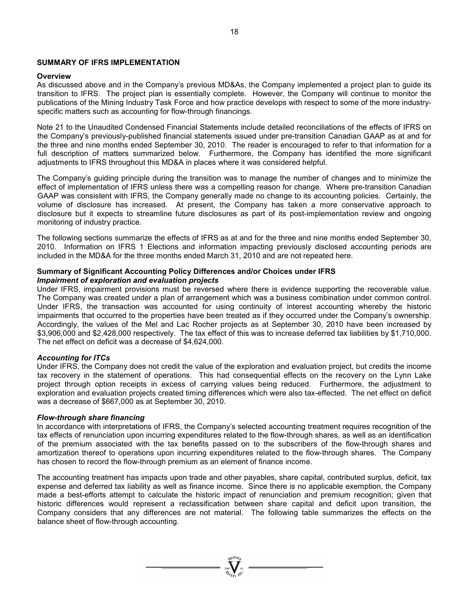### **SUMMARY OF IFRS IMPLEMENTATION**

### **Overview**

As discussed above and in the Company's previous MD&As, the Company implemented a project plan to guide its transition to IFRS. The project plan is essentially complete. However, the Company will continue to monitor the publications of the Mining Industry Task Force and how practice develops with respect to some of the more industryspecific matters such as accounting for flow-through financings.

Note 21 to the Unaudited Condensed Financial Statements include detailed reconciliations of the effects of IFRS on the Company's previously-published financial statements issued under pre-transition Canadian GAAP as at and for the three and nine months ended September 30, 2010. The reader is encouraged to refer to that information for a full description of matters summarized below. Furthermore, the Company has identified the more significant adjustments to IFRS throughout this MD&A in places where it was considered helpful.

The Company's guiding principle during the transition was to manage the number of changes and to minimize the effect of implementation of IFRS unless there was a compelling reason for change. Where pre-transition Canadian GAAP was consistent with IFRS, the Company generally made no change to its accounting policies. Certainly, the volume of disclosure has increased. At present, the Company has taken a more conservative approach to disclosure but it expects to streamline future disclosures as part of its post-implementation review and ongoing monitoring of industry practice.

The following sections summarize the effects of IFRS as at and for the three and nine months ended September 30, 2010. Information on IFRS 1 Elections and information impacting previously disclosed accounting periods are included in the MD&A for the three months ended March 31, 2010 and are not repeated here.

#### **Summary of Significant Accounting Policy Differences and/or Choices under IFRS**  *Impairment of exploration and evaluation projects*

Under IFRS, impairment provisions must be reversed where there is evidence supporting the recoverable value. The Company was created under a plan of arrangement which was a business combination under common control. Under IFRS, the transaction was accounted for using continuity of interest accounting whereby the historic impairments that occurred to the properties have been treated as if they occurred under the Company's ownership. Accordingly, the values of the Mel and Lac Rocher projects as at September 30, 2010 have been increased by \$3,906,000 and \$2,428,000 respectively. The tax effect of this was to increase deferred tax liabilities by \$1,710,000. The net effect on deficit was a decrease of \$4,624,000.

### *Accounting for ITCs*

Under IFRS, the Company does not credit the value of the exploration and evaluation project, but credits the income tax recovery in the statement of operations. This had consequential effects on the recovery on the Lynn Lake project through option receipts in excess of carrying values being reduced. Furthermore, the adjustment to exploration and evaluation projects created timing differences which were also tax-effected. The net effect on deficit was a decrease of \$667,000 as at September 30, 2010.

#### *Flow-through share financing*

In accordance with interpretations of IFRS, the Company's selected accounting treatment requires recognition of the tax effects of renunciation upon incurring expenditures related to the flow-through shares, as well as an identification of the premium associated with the tax benefits passed on to the subscribers of the flow-through shares and amortization thereof to operations upon incurring expenditures related to the flow-through shares. The Company has chosen to record the flow-through premium as an element of finance income.

The accounting treatment has impacts upon trade and other payables, share capital, contributed surplus, deficit, tax expense and deferred tax liability as well as finance income. Since there is no applicable exemption, the Company made a best-efforts attempt to calculate the historic impact of renunciation and premium recognition; given that historic differences would represent a reclassification between share capital and deficit upon transition, the Company considers that any differences are not material. The following table summarizes the effects on the balance sheet of flow-through accounting.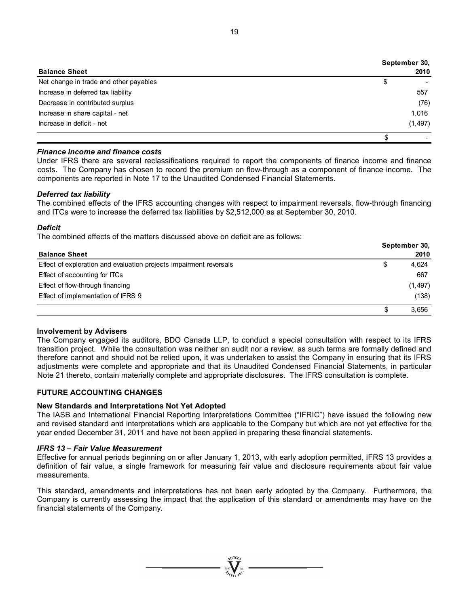| <b>Balance Sheet</b>                   | September 30,<br>2010 |
|----------------------------------------|-----------------------|
| Net change in trade and other payables | \$                    |
| Increase in deferred tax liability     | 557                   |
| Decrease in contributed surplus        | (76)                  |
| Increase in share capital - net        | 1,016                 |
| Increase in deficit - net              | (1, 497)              |
|                                        |                       |

### *Finance income and finance costs*

Under IFRS there are several reclassifications required to report the components of finance income and finance costs. The Company has chosen to record the premium on flow-through as a component of finance income. The components are reported in Note 17 to the Unaudited Condensed Financial Statements.

### *Deferred tax liability*

The combined effects of the IFRS accounting changes with respect to impairment reversals, flow-through financing and ITCs were to increase the deferred tax liabilities by \$2,512,000 as at September 30, 2010.

### *Deficit*

The combined effects of the matters discussed above on deficit are as follows:

|                                                                    | September 30, |          |  |  |
|--------------------------------------------------------------------|---------------|----------|--|--|
| <b>Balance Sheet</b>                                               |               | 2010     |  |  |
| Effect of exploration and evaluation projects impairment reversals | \$            | 4,624    |  |  |
| Effect of accounting for ITCs                                      |               | 667      |  |  |
| Effect of flow-through financing                                   |               | (1, 497) |  |  |
| Effect of implementation of IFRS 9                                 |               | (138)    |  |  |
|                                                                    |               | 3.656    |  |  |

### **Involvement by Advisers**

The Company engaged its auditors, BDO Canada LLP, to conduct a special consultation with respect to its IFRS transition project. While the consultation was neither an audit nor a review, as such terms are formally defined and therefore cannot and should not be relied upon, it was undertaken to assist the Company in ensuring that its IFRS adjustments were complete and appropriate and that its Unaudited Condensed Financial Statements, in particular Note 21 thereto, contain materially complete and appropriate disclosures. The IFRS consultation is complete.

# **FUTURE ACCOUNTING CHANGES**

### **New Standards and Interpretations Not Yet Adopted**

The IASB and International Financial Reporting Interpretations Committee ("IFRIC") have issued the following new and revised standard and interpretations which are applicable to the Company but which are not yet effective for the year ended December 31, 2011 and have not been applied in preparing these financial statements.

### *IFRS 13 – Fair Value Measurement*

Effective for annual periods beginning on or after January 1, 2013, with early adoption permitted, IFRS 13 provides a definition of fair value, a single framework for measuring fair value and disclosure requirements about fair value measurements.

This standard, amendments and interpretations has not been early adopted by the Company. Furthermore, the Company is currently assessing the impact that the application of this standard or amendments may have on the financial statements of the Company.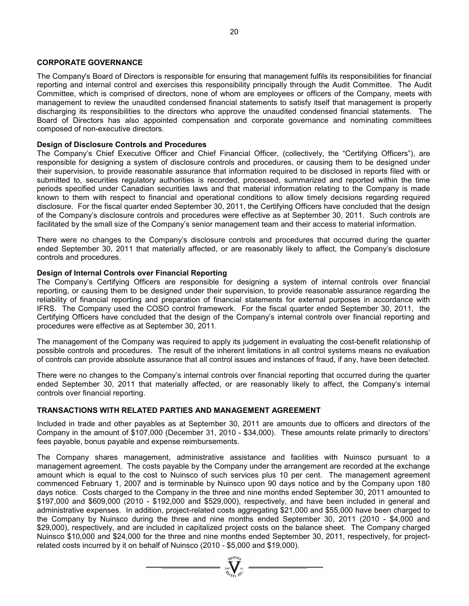### **CORPORATE GOVERNANCE**

The Company's Board of Directors is responsible for ensuring that management fulfils its responsibilities for financial reporting and internal control and exercises this responsibility principally through the Audit Committee. The Audit Committee, which is comprised of directors, none of whom are employees or officers of the Company, meets with management to review the unaudited condensed financial statements to satisfy itself that management is properly discharging its responsibilities to the directors who approve the unaudited condensed financial statements. The Board of Directors has also appointed compensation and corporate governance and nominating committees composed of non-executive directors.

#### **Design of Disclosure Controls and Procedures**

The Company's Chief Executive Officer and Chief Financial Officer, (collectively, the "Certifying Officers"), are responsible for designing a system of disclosure controls and procedures, or causing them to be designed under their supervision, to provide reasonable assurance that information required to be disclosed in reports filed with or submitted to, securities regulatory authorities is recorded, processed, summarized and reported within the time periods specified under Canadian securities laws and that material information relating to the Company is made known to them with respect to financial and operational conditions to allow timely decisions regarding required disclosure. For the fiscal quarter ended September 30, 2011, the Certifying Officers have concluded that the design of the Company's disclosure controls and procedures were effective as at September 30, 2011. Such controls are facilitated by the small size of the Company's senior management team and their access to material information.

There were no changes to the Company's disclosure controls and procedures that occurred during the quarter ended September 30, 2011 that materially affected, or are reasonably likely to affect, the Company's disclosure controls and procedures.

### **Design of Internal Controls over Financial Reporting**

The Company's Certifying Officers are responsible for designing a system of internal controls over financial reporting, or causing them to be designed under their supervision, to provide reasonable assurance regarding the reliability of financial reporting and preparation of financial statements for external purposes in accordance with IFRS. The Company used the COSO control framework. For the fiscal quarter ended September 30, 2011, the Certifying Officers have concluded that the design of the Company's internal controls over financial reporting and procedures were effective as at September 30, 2011.

The management of the Company was required to apply its judgement in evaluating the cost-benefit relationship of possible controls and procedures. The result of the inherent limitations in all control systems means no evaluation of controls can provide absolute assurance that all control issues and instances of fraud, if any, have been detected.

There were no changes to the Company's internal controls over financial reporting that occurred during the quarter ended September 30, 2011 that materially affected, or are reasonably likely to affect, the Company's internal controls over financial reporting.

#### **TRANSACTIONS WITH RELATED PARTIES AND MANAGEMENT AGREEMENT**

Included in trade and other payables as at September 30, 2011 are amounts due to officers and directors of the Company in the amount of \$107,000 (December 31, 2010 - \$34,000). These amounts relate primarily to directors' fees payable, bonus payable and expense reimbursements.

The Company shares management, administrative assistance and facilities with Nuinsco pursuant to a management agreement. The costs payable by the Company under the arrangement are recorded at the exchange amount which is equal to the cost to Nuinsco of such services plus 10 per cent. The management agreement commenced February 1, 2007 and is terminable by Nuinsco upon 90 days notice and by the Company upon 180 days notice. Costs charged to the Company in the three and nine months ended September 30, 2011 amounted to \$197,000 and \$609,000 (2010 - \$192,000 and \$529,000), respectively, and have been included in general and administrative expenses. In addition, project-related costs aggregating \$21,000 and \$55,000 have been charged to the Company by Nuinsco during the three and nine months ended September 30, 2011 (2010 - \$4,000 and \$29,000), respectively, and are included in capitalized project costs on the balance sheet. The Company charged Nuinsco \$10,000 and \$24,000 for the three and nine months ended September 30, 2011, respectively, for projectrelated costs incurred by it on behalf of Nuinsco (2010 - \$5,000 and \$19,000).

 $\sum_{2007}$   $\sum_{\gamma_i=0}^{N^{(10)}h}$   $\sum_{\gamma_i=0}^{N^{(10)}h}$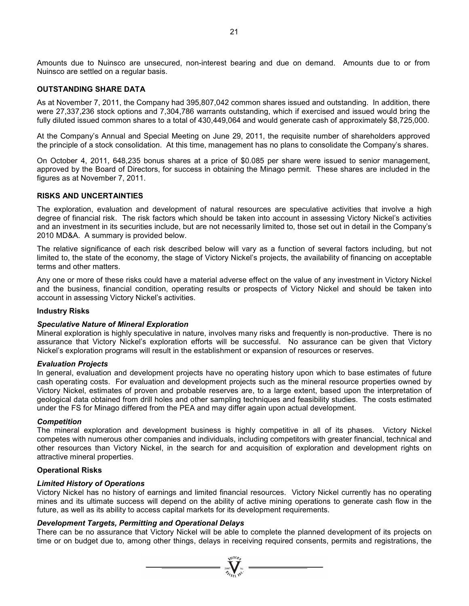Amounts due to Nuinsco are unsecured, non-interest bearing and due on demand. Amounts due to or from Nuinsco are settled on a regular basis.

### **OUTSTANDING SHARE DATA**

As at November 7, 2011, the Company had 395,807,042 common shares issued and outstanding. In addition, there were 27,337,236 stock options and 7,304,786 warrants outstanding, which if exercised and issued would bring the fully diluted issued common shares to a total of 430,449,064 and would generate cash of approximately \$8,725,000.

At the Company's Annual and Special Meeting on June 29, 2011, the requisite number of shareholders approved the principle of a stock consolidation. At this time, management has no plans to consolidate the Company's shares.

On October 4, 2011, 648,235 bonus shares at a price of \$0.085 per share were issued to senior management, approved by the Board of Directors, for success in obtaining the Minago permit. These shares are included in the figures as at November 7, 2011.

### **RISKS AND UNCERTAINTIES**

The exploration, evaluation and development of natural resources are speculative activities that involve a high degree of financial risk. The risk factors which should be taken into account in assessing Victory Nickel's activities and an investment in its securities include, but are not necessarily limited to, those set out in detail in the Company's 2010 MD&A. A summary is provided below.

The relative significance of each risk described below will vary as a function of several factors including, but not limited to, the state of the economy, the stage of Victory Nickel's projects, the availability of financing on acceptable terms and other matters.

Any one or more of these risks could have a material adverse effect on the value of any investment in Victory Nickel and the business, financial condition, operating results or prospects of Victory Nickel and should be taken into account in assessing Victory Nickel's activities.

### **Industry Risks**

#### *Speculative Nature of Mineral Exploration*

Mineral exploration is highly speculative in nature, involves many risks and frequently is non-productive. There is no assurance that Victory Nickel's exploration efforts will be successful. No assurance can be given that Victory Nickel's exploration programs will result in the establishment or expansion of resources or reserves.

#### *Evaluation Projects*

In general, evaluation and development projects have no operating history upon which to base estimates of future cash operating costs. For evaluation and development projects such as the mineral resource properties owned by Victory Nickel, estimates of proven and probable reserves are, to a large extent, based upon the interpretation of geological data obtained from drill holes and other sampling techniques and feasibility studies. The costs estimated under the FS for Minago differed from the PEA and may differ again upon actual development.

#### *Competition*

The mineral exploration and development business is highly competitive in all of its phases. Victory Nickel competes with numerous other companies and individuals, including competitors with greater financial, technical and other resources than Victory Nickel, in the search for and acquisition of exploration and development rights on attractive mineral properties.

#### **Operational Risks**

#### *Limited History of Operations*

Victory Nickel has no history of earnings and limited financial resources. Victory Nickel currently has no operating mines and its ultimate success will depend on the ability of active mining operations to generate cash flow in the future, as well as its ability to access capital markets for its development requirements.

#### *Development Targets, Permitting and Operational Delays*

There can be no assurance that Victory Nickel will be able to complete the planned development of its projects on time or on budget due to, among other things, delays in receiving required consents, permits and registrations, the

 $\sum_{\substack{1007 \ \text{with} \ \text{with} \ \text{with} \ \text{with} \ \text{with} \ \text{with} \ \text{with} \ \text{with} \ \text{with} \ \text{with} \ \text{with} \ \text{with} \ \text{with} \ \text{with} \ \text{with} \ \text{with} \ \text{with} \ \text{with} \ \text{with} \ \text{with} \ \text{with} \ \text{with} \ \text{with} \ \text{with} \ \text{with} \ \text{with} \ \text{with} \ \text{with} \ \text{with} \ \text{with} \ \text{with} \ \text{with} \ \text{with} \ \text{with} \ \text{with$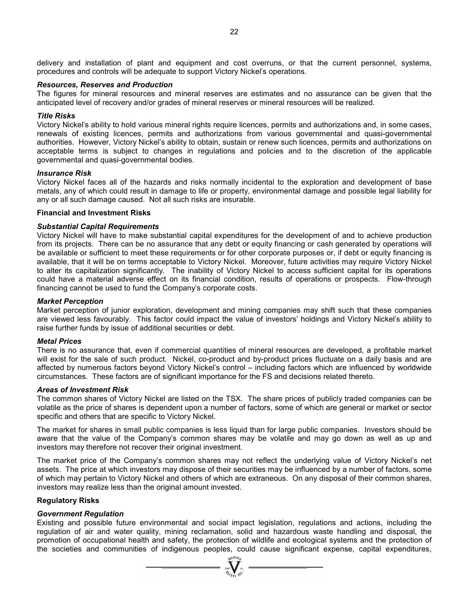delivery and installation of plant and equipment and cost overruns, or that the current personnel, systems, procedures and controls will be adequate to support Victory Nickel's operations.

#### *Resources, Reserves and Production*

The figures for mineral resources and mineral reserves are estimates and no assurance can be given that the anticipated level of recovery and/or grades of mineral reserves or mineral resources will be realized.

#### *Title Risks*

Victory Nickel's ability to hold various mineral rights require licences, permits and authorizations and, in some cases, renewals of existing licences, permits and authorizations from various governmental and quasi-governmental authorities. However, Victory Nickel's ability to obtain, sustain or renew such licences, permits and authorizations on acceptable terms is subject to changes in regulations and policies and to the discretion of the applicable governmental and quasi-governmental bodies.

#### *Insurance Risk*

Victory Nickel faces all of the hazards and risks normally incidental to the exploration and development of base metals, any of which could result in damage to life or property, environmental damage and possible legal liability for any or all such damage caused. Not all such risks are insurable.

#### **Financial and Investment Risks**

### *Substantial Capital Requirements*

Victory Nickel will have to make substantial capital expenditures for the development of and to achieve production from its projects. There can be no assurance that any debt or equity financing or cash generated by operations will be available or sufficient to meet these requirements or for other corporate purposes or, if debt or equity financing is available, that it will be on terms acceptable to Victory Nickel. Moreover, future activities may require Victory Nickel to alter its capitalization significantly. The inability of Victory Nickel to access sufficient capital for its operations could have a material adverse effect on its financial condition, results of operations or prospects. Flow-through financing cannot be used to fund the Company's corporate costs.

#### *Market Perception*

Market perception of junior exploration, development and mining companies may shift such that these companies are viewed less favourably. This factor could impact the value of investors' holdings and Victory Nickel's ability to raise further funds by issue of additional securities or debt.

#### *Metal Prices*

There is no assurance that, even if commercial quantities of mineral resources are developed, a profitable market will exist for the sale of such product. Nickel, co-product and by-product prices fluctuate on a daily basis and are affected by numerous factors beyond Victory Nickel's control – including factors which are influenced by worldwide circumstances. These factors are of significant importance for the FS and decisions related thereto.

#### *Areas of Investment Risk*

The common shares of Victory Nickel are listed on the TSX. The share prices of publicly traded companies can be volatile as the price of shares is dependent upon a number of factors, some of which are general or market or sector specific and others that are specific to Victory Nickel.

The market for shares in small public companies is less liquid than for large public companies. Investors should be aware that the value of the Company's common shares may be volatile and may go down as well as up and investors may therefore not recover their original investment.

The market price of the Company's common shares may not reflect the underlying value of Victory Nickel's net assets. The price at which investors may dispose of their securities may be influenced by a number of factors, some of which may pertain to Victory Nickel and others of which are extraneous. On any disposal of their common shares, investors may realize less than the original amount invested.

### **Regulatory Risks**

### *Government Regulation*

Existing and possible future environmental and social impact legislation, regulations and actions, including the regulation of air and water quality, mining reclamation, solid and hazardous waste handling and disposal, the promotion of occupational health and safety, the protection of wildlife and ecological systems and the protection of the societies and communities of indigenous peoples, could cause significant expense, capital expenditures,

 $\sum_{2007}$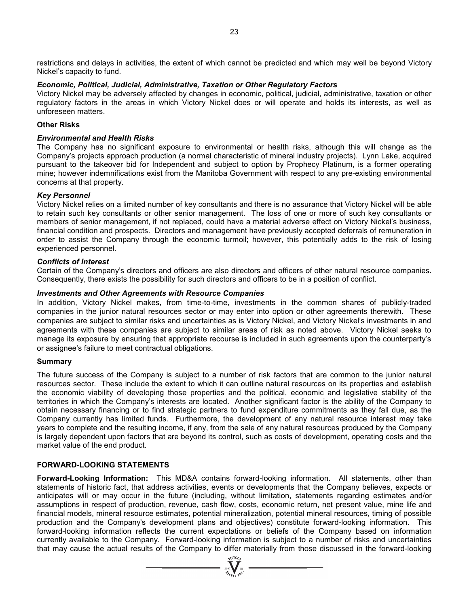restrictions and delays in activities, the extent of which cannot be predicted and which may well be beyond Victory Nickel's capacity to fund.

### *Economic, Political, Judicial, Administrative, Taxation or Other Regulatory Factors*

Victory Nickel may be adversely affected by changes in economic, political, judicial, administrative, taxation or other regulatory factors in the areas in which Victory Nickel does or will operate and holds its interests, as well as unforeseen matters.

### **Other Risks**

### *Environmental and Health Risks*

The Company has no significant exposure to environmental or health risks, although this will change as the Company's projects approach production (a normal characteristic of mineral industry projects). Lynn Lake, acquired pursuant to the takeover bid for Independent and subject to option by Prophecy Platinum, is a former operating mine; however indemnifications exist from the Manitoba Government with respect to any pre-existing environmental concerns at that property.

#### *Key Personnel*

Victory Nickel relies on a limited number of key consultants and there is no assurance that Victory Nickel will be able to retain such key consultants or other senior management. The loss of one or more of such key consultants or members of senior management, if not replaced, could have a material adverse effect on Victory Nickel's business, financial condition and prospects. Directors and management have previously accepted deferrals of remuneration in order to assist the Company through the economic turmoil; however, this potentially adds to the risk of losing experienced personnel.

#### *Conflicts of Interest*

Certain of the Company's directors and officers are also directors and officers of other natural resource companies. Consequently, there exists the possibility for such directors and officers to be in a position of conflict.

### *Investments and Other Agreements with Resource Companies*

In addition, Victory Nickel makes, from time-to-time, investments in the common shares of publicly-traded companies in the junior natural resources sector or may enter into option or other agreements therewith. These companies are subject to similar risks and uncertainties as is Victory Nickel, and Victory Nickel's investments in and agreements with these companies are subject to similar areas of risk as noted above. Victory Nickel seeks to manage its exposure by ensuring that appropriate recourse is included in such agreements upon the counterparty's or assignee's failure to meet contractual obligations.

#### **Summary**

The future success of the Company is subject to a number of risk factors that are common to the junior natural resources sector. These include the extent to which it can outline natural resources on its properties and establish the economic viability of developing those properties and the political, economic and legislative stability of the territories in which the Company's interests are located. Another significant factor is the ability of the Company to obtain necessary financing or to find strategic partners to fund expenditure commitments as they fall due, as the Company currently has limited funds. Furthermore, the development of any natural resource interest may take years to complete and the resulting income, if any, from the sale of any natural resources produced by the Company is largely dependent upon factors that are beyond its control, such as costs of development, operating costs and the market value of the end product.

#### **FORWARD-LOOKING STATEMENTS**

**Forward-Looking Information:** This MD&A contains forward-looking information. All statements, other than statements of historic fact, that address activities, events or developments that the Company believes, expects or anticipates will or may occur in the future (including, without limitation, statements regarding estimates and/or assumptions in respect of production, revenue, cash flow, costs, economic return, net present value, mine life and financial models, mineral resource estimates, potential mineralization, potential mineral resources, timing of possible production and the Company's development plans and objectives) constitute forward-looking information. This forward-looking information reflects the current expectations or beliefs of the Company based on information currently available to the Company. Forward-looking information is subject to a number of risks and uncertainties that may cause the actual results of the Company to differ materially from those discussed in the forward-looking

 $\sum_{2007}$